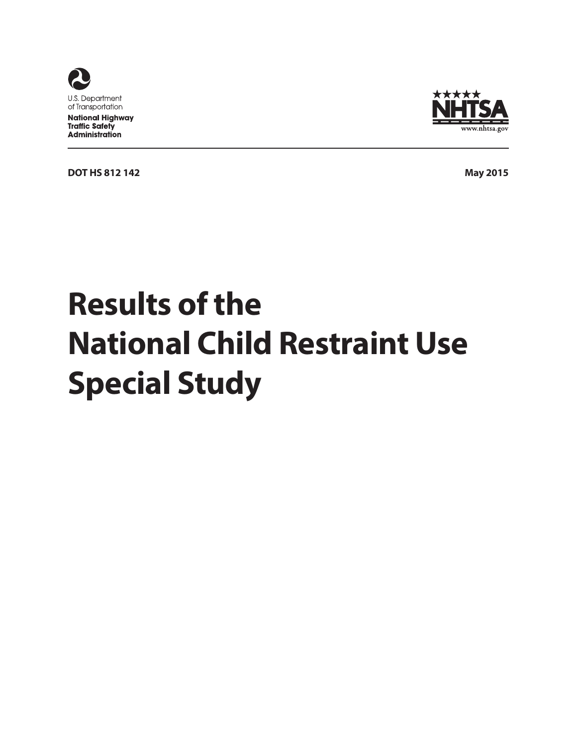





# **Results of the National Child Restraint Use Special Study**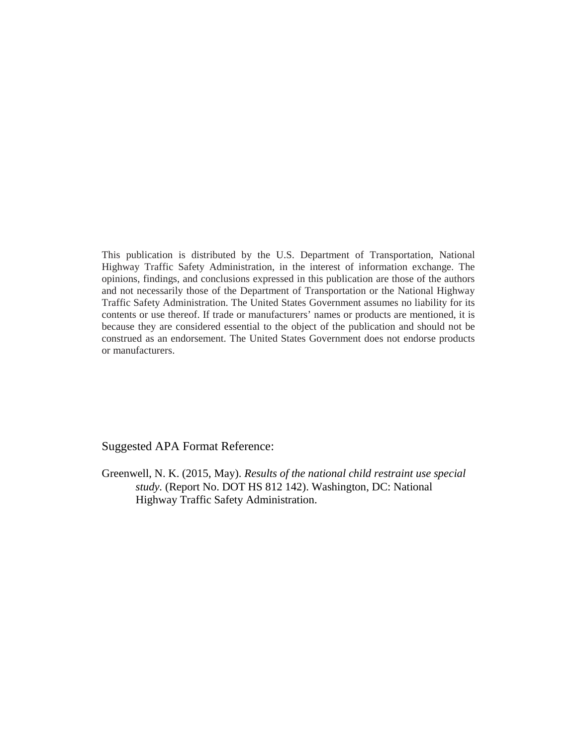This publication is distributed by the U.S. Department of Transportation, National Highway Traffic Safety Administration, in the interest of information exchange. The opinions, findings, and conclusions expressed in this publication are those of the authors and not necessarily those of the Department of Transportation or the National Highway Traffic Safety Administration. The United States Government assumes no liability for its contents or use thereof. If trade or manufacturers' names or products are mentioned, it is because they are considered essential to the object of the publication and should not be construed as an endorsement. The United States Government does not endorse products or manufacturers.

Suggested APA Format Reference:

Greenwell, N. K. (2015, May). *Results of the national child restraint use special study.* (Report No. DOT HS 812 142). Washington, DC: National Highway Traffic Safety Administration.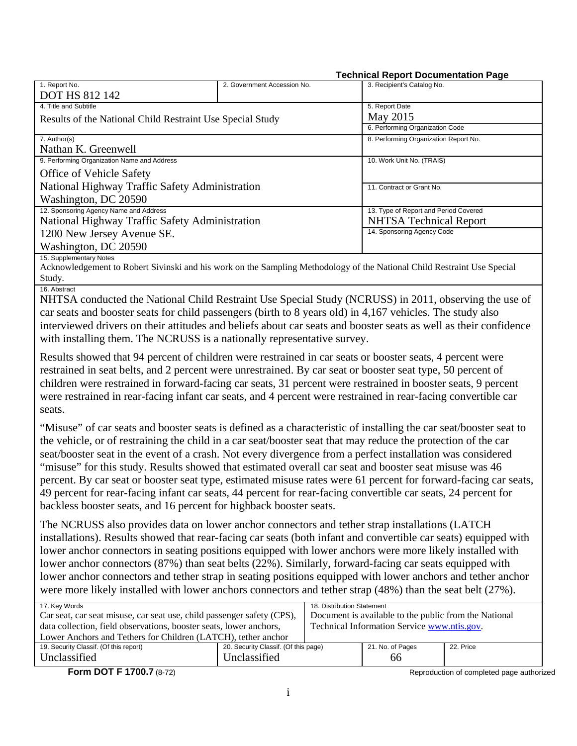#### **Technical Report Documentation Page**

| 1. Report No.                                             | 2. Government Accession No. | 3. Recipient's Catalog No.            |  |  |
|-----------------------------------------------------------|-----------------------------|---------------------------------------|--|--|
| <b>DOT HS 812 142</b>                                     |                             |                                       |  |  |
| 4. Title and Subtitle                                     |                             | 5. Report Date                        |  |  |
| Results of the National Child Restraint Use Special Study |                             | May 2015                              |  |  |
|                                                           |                             | 6. Performing Organization Code       |  |  |
| 7. Author(s)                                              |                             | 8. Performing Organization Report No. |  |  |
| Nathan K. Greenwell                                       |                             |                                       |  |  |
| 9. Performing Organization Name and Address               |                             | 10. Work Unit No. (TRAIS)             |  |  |
| <b>Office of Vehicle Safety</b>                           |                             |                                       |  |  |
| National Highway Traffic Safety Administration            |                             | 11. Contract or Grant No.             |  |  |
| Washington, DC 20590                                      |                             |                                       |  |  |
| 12. Sponsoring Agency Name and Address                    |                             | 13. Type of Report and Period Covered |  |  |
| National Highway Traffic Safety Administration            |                             | <b>NHTSA Technical Report</b>         |  |  |
| 1200 New Jersey Avenue SE.                                |                             | 14. Sponsoring Agency Code            |  |  |
| Washington, DC 20590                                      |                             |                                       |  |  |
| 15. Supplementary Notes                                   |                             |                                       |  |  |

Acknowledgement to Robert Sivinski and his work on the Sampling Methodology of the National Child Restraint Use Special Study.

16. Abstract

NHTSA conducted the National Child Restraint Use Special Study (NCRUSS) in 2011, observing the use of car seats and booster seats for child passengers (birth to 8 years old) in 4,167 vehicles. The study also interviewed drivers on their attitudes and beliefs about car seats and booster seats as well as their confidence with installing them. The NCRUSS is a nationally representative survey.

Results showed that 94 percent of children were restrained in car seats or booster seats, 4 percent were restrained in seat belts, and 2 percent were unrestrained. By car seat or booster seat type, 50 percent of children were restrained in forward-facing car seats, 31 percent were restrained in booster seats, 9 percent were restrained in rear-facing infant car seats, and 4 percent were restrained in rear-facing convertible car seats.

"Misuse" of car seats and booster seats is defined as a characteristic of installing the car seat/booster seat to the vehicle, or of restraining the child in a car seat/booster seat that may reduce the protection of the car seat/booster seat in the event of a crash. Not every divergence from a perfect installation was considered "misuse" for this study. Results showed that estimated overall car seat and booster seat misuse was 46 percent. By car seat or booster seat type, estimated misuse rates were 61 percent for forward-facing car seats, 49 percent for rear-facing infant car seats, 44 percent for rear-facing convertible car seats, 24 percent for backless booster seats, and 16 percent for highback booster seats.

The NCRUSS also provides data on lower anchor connectors and tether strap installations (LATCH installations). Results showed that rear-facing car seats (both infant and convertible car seats) equipped with lower anchor connectors in seating positions equipped with lower anchors were more likely installed with lower anchor connectors (87%) than seat belts (22%). Similarly, forward-facing car seats equipped with lower anchor connectors and tether strap in seating positions equipped with lower anchors and tether anchor were more likely installed with lower anchors connectors and tether strap (48%) than the seat belt (27%).

| 17. Key Words                                                          |                                      | 18. Distribution Statement                            |                  |           |
|------------------------------------------------------------------------|--------------------------------------|-------------------------------------------------------|------------------|-----------|
| Car seat, car seat misuse, car seat use, child passenger safety (CPS), |                                      | Document is available to the public from the National |                  |           |
| data collection, field observations, booster seats, lower anchors,     |                                      | Technical Information Service www.ntis.gov.           |                  |           |
| Lower Anchors and Tethers for Children (LATCH), tether anchor          |                                      |                                                       |                  |           |
| 19. Security Classif. (Of this report)                                 | 20. Security Classif. (Of this page) |                                                       | 21. No. of Pages | 22. Price |
| Unclassified                                                           | Unclassified                         |                                                       | 66               |           |

**Form DOT F 1700.7** (8-72) **Reproduction of completed page authorized Reproduction of completed page authorized**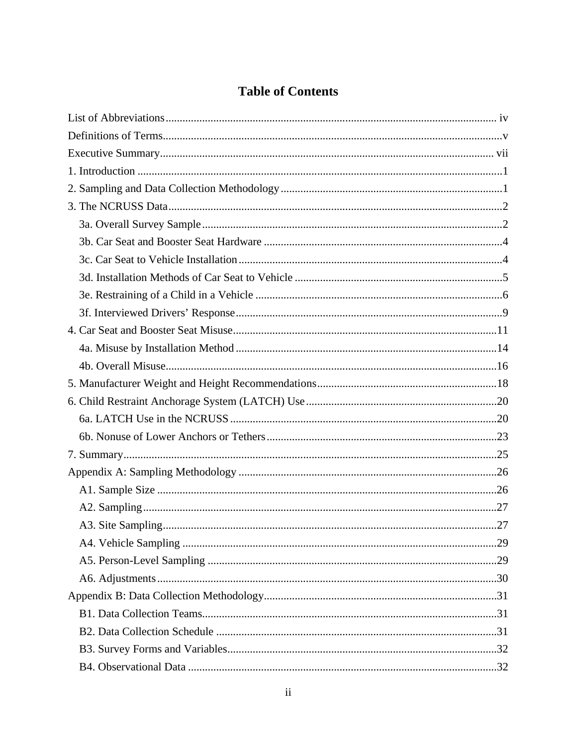# **Table of Contents**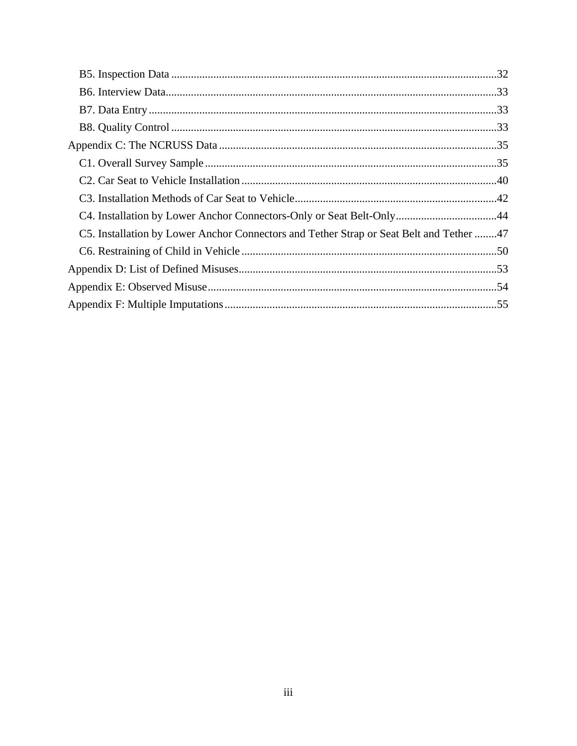| C4. Installation by Lower Anchor Connectors-Only or Seat Belt-Only44                    |  |
|-----------------------------------------------------------------------------------------|--|
| C5. Installation by Lower Anchor Connectors and Tether Strap or Seat Belt and Tether 47 |  |
|                                                                                         |  |
|                                                                                         |  |
|                                                                                         |  |
|                                                                                         |  |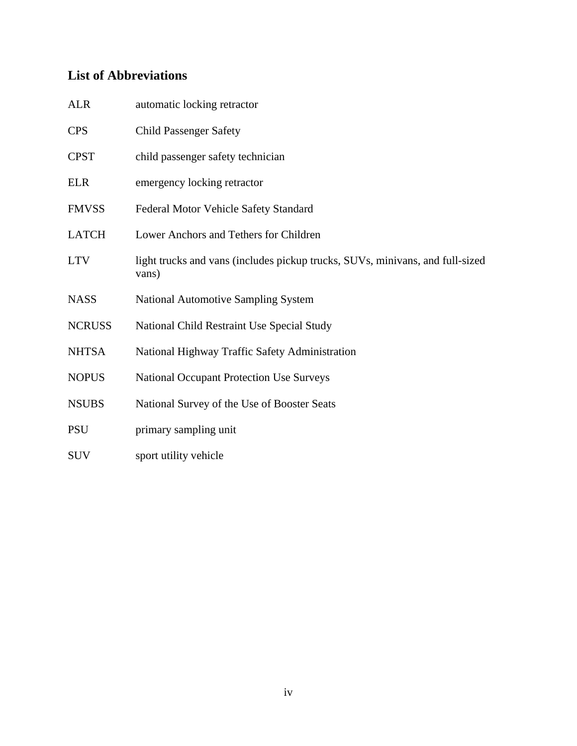# <span id="page-5-0"></span>**List of Abbreviations**

| <b>ALR</b>    | automatic locking retractor                                                            |
|---------------|----------------------------------------------------------------------------------------|
| <b>CPS</b>    | <b>Child Passenger Safety</b>                                                          |
| <b>CPST</b>   | child passenger safety technician                                                      |
| <b>ELR</b>    | emergency locking retractor                                                            |
| <b>FMVSS</b>  | Federal Motor Vehicle Safety Standard                                                  |
| <b>LATCH</b>  | Lower Anchors and Tethers for Children                                                 |
| <b>LTV</b>    | light trucks and vans (includes pickup trucks, SUVs, minivans, and full-sized<br>vans) |
| <b>NASS</b>   | <b>National Automotive Sampling System</b>                                             |
| <b>NCRUSS</b> | National Child Restraint Use Special Study                                             |
| <b>NHTSA</b>  | National Highway Traffic Safety Administration                                         |
| <b>NOPUS</b>  | <b>National Occupant Protection Use Surveys</b>                                        |
| <b>NSUBS</b>  | National Survey of the Use of Booster Seats                                            |
| <b>PSU</b>    | primary sampling unit                                                                  |
| <b>SUV</b>    | sport utility vehicle                                                                  |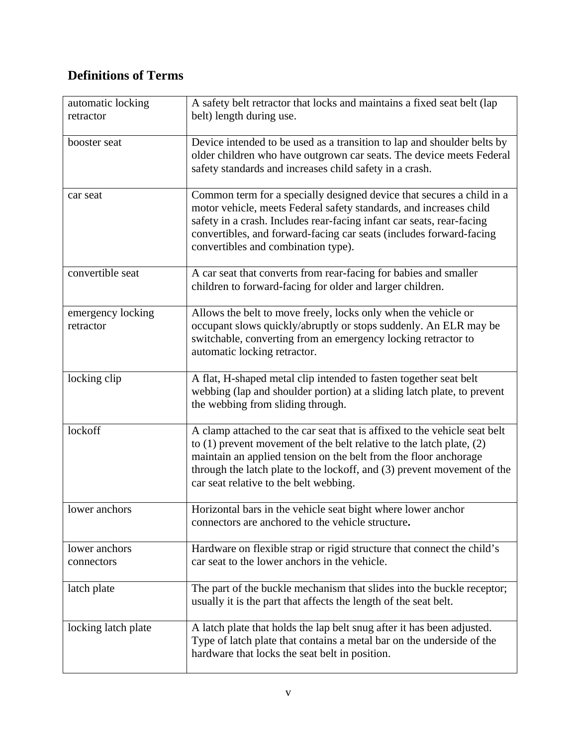# <span id="page-6-0"></span>**Definitions of Terms**

| automatic locking<br>retractor | A safety belt retractor that locks and maintains a fixed seat belt (lap<br>belt) length during use.                                                                                                                                                                                                                                            |
|--------------------------------|------------------------------------------------------------------------------------------------------------------------------------------------------------------------------------------------------------------------------------------------------------------------------------------------------------------------------------------------|
| booster seat                   | Device intended to be used as a transition to lap and shoulder belts by<br>older children who have outgrown car seats. The device meets Federal<br>safety standards and increases child safety in a crash.                                                                                                                                     |
| car seat                       | Common term for a specially designed device that secures a child in a<br>motor vehicle, meets Federal safety standards, and increases child<br>safety in a crash. Includes rear-facing infant car seats, rear-facing<br>convertibles, and forward-facing car seats (includes forward-facing<br>convertibles and combination type).             |
| convertible seat               | A car seat that converts from rear-facing for babies and smaller<br>children to forward-facing for older and larger children.                                                                                                                                                                                                                  |
| emergency locking<br>retractor | Allows the belt to move freely, locks only when the vehicle or<br>occupant slows quickly/abruptly or stops suddenly. An ELR may be<br>switchable, converting from an emergency locking retractor to<br>automatic locking retractor.                                                                                                            |
| locking clip                   | A flat, H-shaped metal clip intended to fasten together seat belt<br>webbing (lap and shoulder portion) at a sliding latch plate, to prevent<br>the webbing from sliding through.                                                                                                                                                              |
| lockoff                        | A clamp attached to the car seat that is affixed to the vehicle seat belt<br>to $(1)$ prevent movement of the belt relative to the latch plate, $(2)$<br>maintain an applied tension on the belt from the floor anchorage<br>through the latch plate to the lockoff, and (3) prevent movement of the<br>car seat relative to the belt webbing. |
| lower anchors                  | Horizontal bars in the vehicle seat bight where lower anchor<br>connectors are anchored to the vehicle structure.                                                                                                                                                                                                                              |
| lower anchors<br>connectors    | Hardware on flexible strap or rigid structure that connect the child's<br>car seat to the lower anchors in the vehicle.                                                                                                                                                                                                                        |
| latch plate                    | The part of the buckle mechanism that slides into the buckle receptor;<br>usually it is the part that affects the length of the seat belt.                                                                                                                                                                                                     |
| locking latch plate            | A latch plate that holds the lap belt snug after it has been adjusted.<br>Type of latch plate that contains a metal bar on the underside of the<br>hardware that locks the seat belt in position.                                                                                                                                              |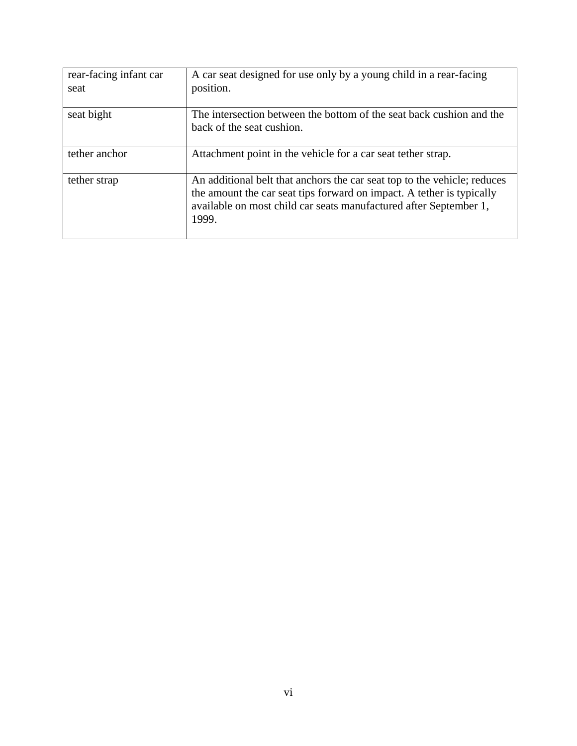| rear-facing infant car<br>seat | A car seat designed for use only by a young child in a rear-facing<br>position.                                                                                                                                                 |
|--------------------------------|---------------------------------------------------------------------------------------------------------------------------------------------------------------------------------------------------------------------------------|
| seat bight                     | The intersection between the bottom of the seat back cushion and the<br>back of the seat cushion.                                                                                                                               |
| tether anchor                  | Attachment point in the vehicle for a car seat tether strap.                                                                                                                                                                    |
| tether strap                   | An additional belt that anchors the car seat top to the vehicle; reduces<br>the amount the car seat tips forward on impact. A tether is typically<br>available on most child car seats manufactured after September 1,<br>1999. |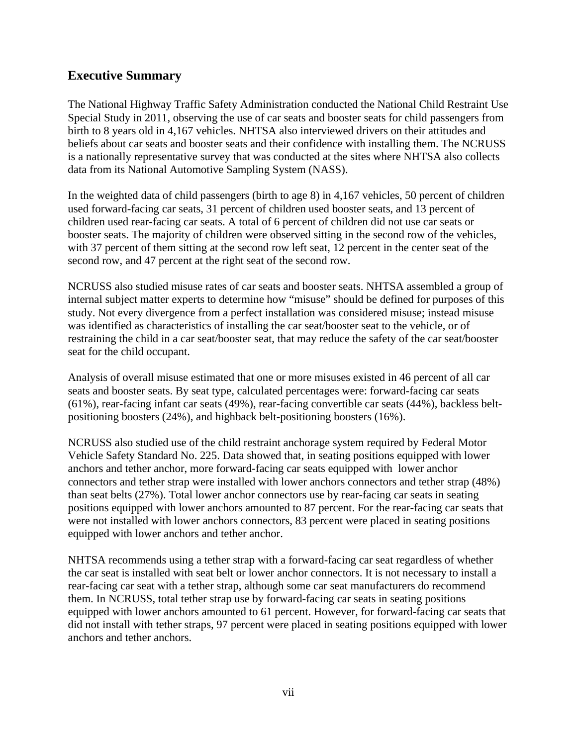# <span id="page-8-0"></span>**Executive Summary**

The National Highway Traffic Safety Administration conducted the National Child Restraint Use Special Study in 2011, observing the use of car seats and booster seats for child passengers from birth to 8 years old in 4,167 vehicles. NHTSA also interviewed drivers on their attitudes and beliefs about car seats and booster seats and their confidence with installing them. The NCRUSS is a nationally representative survey that was conducted at the sites where NHTSA also collects data from its National Automotive Sampling System (NASS).

In the weighted data of child passengers (birth to age 8) in 4,167 vehicles, 50 percent of children used forward-facing car seats, 31 percent of children used booster seats, and 13 percent of children used rear-facing car seats. A total of 6 percent of children did not use car seats or booster seats. The majority of children were observed sitting in the second row of the vehicles, with 37 percent of them sitting at the second row left seat, 12 percent in the center seat of the second row, and 47 percent at the right seat of the second row.

NCRUSS also studied misuse rates of car seats and booster seats. NHTSA assembled a group of internal subject matter experts to determine how "misuse" should be defined for purposes of this study. Not every divergence from a perfect installation was considered misuse; instead misuse was identified as characteristics of installing the car seat/booster seat to the vehicle, or of restraining the child in a car seat/booster seat, that may reduce the safety of the car seat/booster seat for the child occupant.

Analysis of overall misuse estimated that one or more misuses existed in 46 percent of all car seats and booster seats. By seat type, calculated percentages were: forward-facing car seats (61%), rear-facing infant car seats (49%), rear-facing convertible car seats (44%), backless beltpositioning boosters (24%), and highback belt-positioning boosters (16%).

NCRUSS also studied use of the child restraint anchorage system required by Federal Motor Vehicle Safety Standard No. 225. Data showed that, in seating positions equipped with lower anchors and tether anchor, more forward-facing car seats equipped with lower anchor connectors and tether strap were installed with lower anchors connectors and tether strap (48%) than seat belts (27%). Total lower anchor connectors use by rear-facing car seats in seating positions equipped with lower anchors amounted to 87 percent. For the rear-facing car seats that were not installed with lower anchors connectors, 83 percent were placed in seating positions equipped with lower anchors and tether anchor.

NHTSA recommends using a tether strap with a forward-facing car seat regardless of whether the car seat is installed with seat belt or lower anchor connectors. It is not necessary to install a rear-facing car seat with a tether strap, although some car seat manufacturers do recommend them. In NCRUSS, total tether strap use by forward-facing car seats in seating positions equipped with lower anchors amounted to 61 percent. However, for forward-facing car seats that did not install with tether straps, 97 percent were placed in seating positions equipped with lower anchors and tether anchors.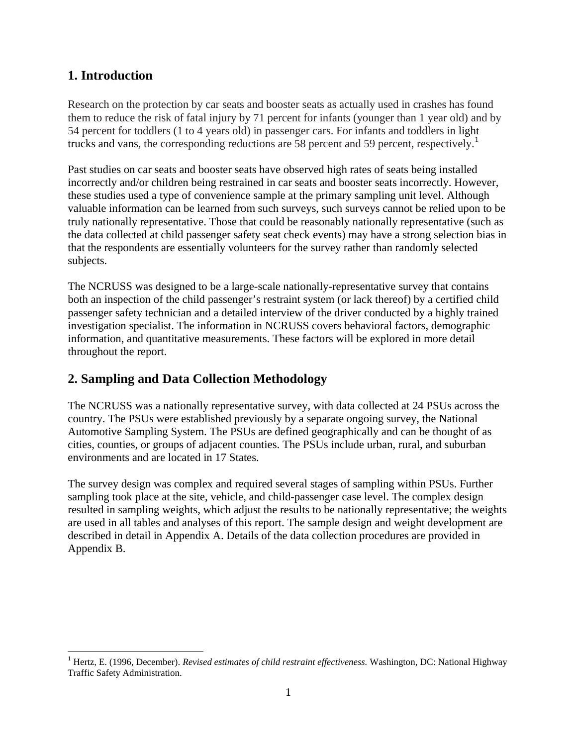# <span id="page-9-0"></span>**1. Introduction**

Research on the protection by car seats and booster seats as actually used in crashes has found them to reduce the risk of fatal injury by 71 percent for infants (younger than 1 year old) and by 54 percent for toddlers (1 to 4 years old) in passenger cars. For infants and toddlers in light trucks and vans, the corresponding reductions are 58 percent and 59 percent, respectively.<sup>[1](#page-9-2)</sup>

Past studies on car seats and booster seats have observed high rates of seats being installed incorrectly and/or children being restrained in car seats and booster seats incorrectly. However, these studies used a type of convenience sample at the primary sampling unit level. Although valuable information can be learned from such surveys, such surveys cannot be relied upon to be truly nationally representative. Those that could be reasonably nationally representative (such as the data collected at child passenger safety seat check events) may have a strong selection bias in that the respondents are essentially volunteers for the survey rather than randomly selected subjects.

The NCRUSS was designed to be a large-scale nationally-representative survey that contains both an inspection of the child passenger's restraint system (or lack thereof) by a certified child passenger safety technician and a detailed interview of the driver conducted by a highly trained investigation specialist. The information in NCRUSS covers behavioral factors, demographic information, and quantitative measurements. These factors will be explored in more detail throughout the report.

# <span id="page-9-1"></span>**2. Sampling and Data Collection Methodology**

The NCRUSS was a nationally representative survey, with data collected at 24 PSUs across the country. The PSUs were established previously by a separate ongoing survey, the National Automotive Sampling System. The PSUs are defined geographically and can be thought of as cities, counties, or groups of adjacent counties. The PSUs include urban, rural, and suburban environments and are located in 17 States.

The survey design was complex and required several stages of sampling within PSUs. Further sampling took place at the site, vehicle, and child-passenger case level. The complex design resulted in sampling weights, which adjust the results to be nationally representative; the weights are used in all tables and analyses of this report. The sample design and weight development are described in detail in Appendix A. Details of the data collection procedures are provided in Appendix B.

<span id="page-9-2"></span> $\overline{a}$ <sup>1</sup> Hertz, E. (1996, December). *Revised estimates of child restraint effectiveness*. Washington, DC: National Highway Traffic Safety Administration.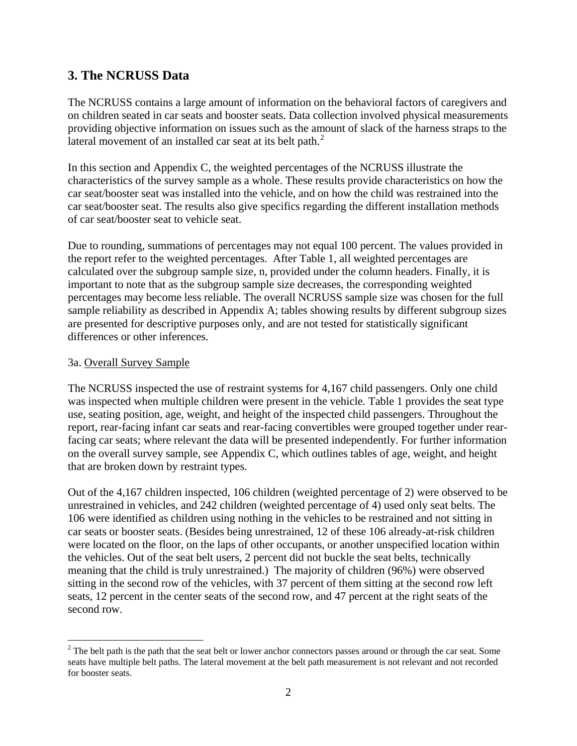# <span id="page-10-0"></span>**3. The NCRUSS Data**

The NCRUSS contains a large amount of information on the behavioral factors of caregivers and on children seated in car seats and booster seats. Data collection involved physical measurements providing objective information on issues such as the amount of slack of the harness straps to the lateral movement of an installed car seat at its belt path.<sup>[2](#page-10-2)</sup>

In this section and Appendix C, the weighted percentages of the NCRUSS illustrate the characteristics of the survey sample as a whole. These results provide characteristics on how the car seat/booster seat was installed into the vehicle, and on how the child was restrained into the car seat/booster seat. The results also give specifics regarding the different installation methods of car seat/booster seat to vehicle seat.

Due to rounding, summations of percentages may not equal 100 percent. The values provided in the report refer to the weighted percentages. After Table 1, all weighted percentages are calculated over the subgroup sample size, n, provided under the column headers. Finally, it is important to note that as the subgroup sample size decreases, the corresponding weighted percentages may become less reliable. The overall NCRUSS sample size was chosen for the full sample reliability as described in Appendix A; tables showing results by different subgroup sizes are presented for descriptive purposes only, and are not tested for statistically significant differences or other inferences.

## <span id="page-10-1"></span>3a. Overall Survey Sample

The NCRUSS inspected the use of restraint systems for 4,167 child passengers. Only one child was inspected when multiple children were present in the vehicle. Table 1 provides the seat type use, seating position, age, weight, and height of the inspected child passengers. Throughout the report, rear-facing infant car seats and rear-facing convertibles were grouped together under rearfacing car seats; where relevant the data will be presented independently. For further information on the overall survey sample, see Appendix C, which outlines tables of age, weight, and height that are broken down by restraint types.

Out of the 4,167 children inspected, 106 children (weighted percentage of 2) were observed to be unrestrained in vehicles, and 242 children (weighted percentage of 4) used only seat belts. The 106 were identified as children using nothing in the vehicles to be restrained and not sitting in car seats or booster seats. (Besides being unrestrained, 12 of these 106 already-at-risk children were located on the floor, on the laps of other occupants, or another unspecified location within the vehicles. Out of the seat belt users, 2 percent did not buckle the seat belts, technically meaning that the child is truly unrestrained.) The majority of children (96%) were observed sitting in the second row of the vehicles, with 37 percent of them sitting at the second row left seats, 12 percent in the center seats of the second row, and 47 percent at the right seats of the second row.

<span id="page-10-2"></span><sup>&</sup>lt;sup>2</sup> The belt path is the path that the seat belt or lower anchor connectors passes around or through the car seat. Some seats have multiple belt paths. The lateral movement at the belt path measurement is not relevant and not recorded for booster seats.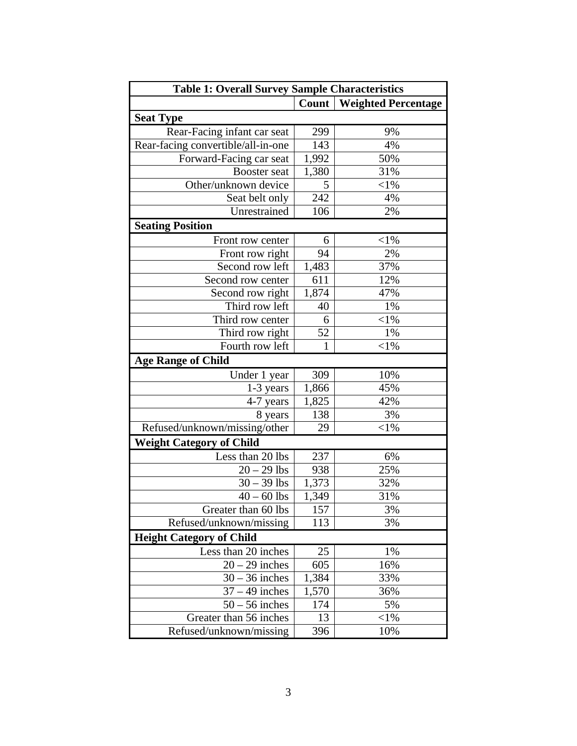| <b>Table 1: Overall Survey Sample Characteristics</b> |       |                            |  |  |
|-------------------------------------------------------|-------|----------------------------|--|--|
|                                                       | Count | <b>Weighted Percentage</b> |  |  |
| <b>Seat Type</b>                                      |       |                            |  |  |
| Rear-Facing infant car seat                           | 299   | 9%                         |  |  |
| Rear-facing convertible/all-in-one                    | 143   | 4%                         |  |  |
| Forward-Facing car seat                               | 1,992 | 50%                        |  |  |
| Booster seat                                          | 1,380 | 31%                        |  |  |
| Other/unknown device                                  | 5     | ${<}1\%$                   |  |  |
| Seat belt only                                        | 242   | 4%                         |  |  |
| Unrestrained                                          | 106   | 2%                         |  |  |
| <b>Seating Position</b>                               |       |                            |  |  |
| Front row center                                      | 6     | ${<}1\%$                   |  |  |
| Front row right                                       | 94    | 2%                         |  |  |
| Second row left                                       | 1,483 | 37%                        |  |  |
| Second row center                                     | 611   | 12%                        |  |  |
| Second row right                                      | 1,874 | 47%                        |  |  |
| Third row left                                        | 40    | 1%                         |  |  |
| Third row center                                      | 6     | ${<}1\%$                   |  |  |
| Third row right                                       | 52    | 1%                         |  |  |
| Fourth row left                                       | 1     | ${<}1\%$                   |  |  |
| <b>Age Range of Child</b>                             |       |                            |  |  |
| Under 1 year                                          | 309   | 10%                        |  |  |
| 1-3 years                                             | 1,866 | 45%                        |  |  |
| 4-7 years                                             | 1,825 | 42%                        |  |  |
| 8 years                                               | 138   | 3%                         |  |  |
| Refused/unknown/missing/other                         | 29    | $<$ 1%                     |  |  |
| <b>Weight Category of Child</b>                       |       |                            |  |  |
| Less than 20 lbs                                      | 237   | 6%                         |  |  |
| $20 - 29$ lbs                                         | 938   | 25%                        |  |  |
| $30 - 39$ lbs                                         | 1,373 | 32%                        |  |  |
| $40 - 60$ lbs                                         | 1,349 | 31%                        |  |  |
| Greater than 60 lbs                                   | 157   | 3%                         |  |  |
| Refused/unknown/missing                               | 113   | 3%                         |  |  |
| <b>Height Category of Child</b>                       |       |                            |  |  |
| Less than 20 inches                                   | 25    | 1%                         |  |  |
| $20 - 29$ inches                                      | 605   | 16%                        |  |  |
| $30 - 36$ inches                                      | 1,384 | 33%                        |  |  |
| $37 - 49$ inches                                      | 1,570 | 36%                        |  |  |
| $50 - 56$ inches                                      | 174   | 5%                         |  |  |
| Greater than 56 inches                                | 13    | ${<}1\%$                   |  |  |
| Refused/unknown/missing                               | 396   | 10%                        |  |  |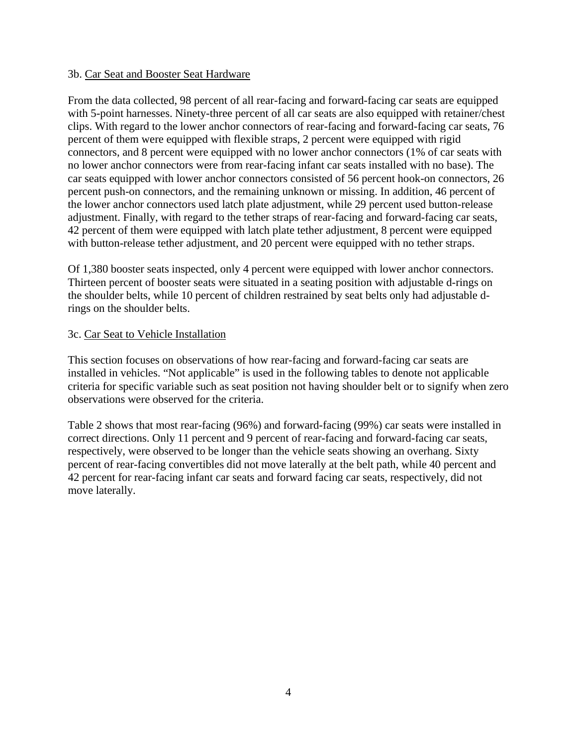#### <span id="page-12-0"></span>3b. Car Seat and Booster Seat Hardware

From the data collected, 98 percent of all rear-facing and forward-facing car seats are equipped with 5-point harnesses. Ninety-three percent of all car seats are also equipped with retainer/chest clips. With regard to the lower anchor connectors of rear-facing and forward-facing car seats, 76 percent of them were equipped with flexible straps, 2 percent were equipped with rigid connectors, and 8 percent were equipped with no lower anchor connectors (1% of car seats with no lower anchor connectors were from rear-facing infant car seats installed with no base). The car seats equipped with lower anchor connectors consisted of 56 percent hook-on connectors, 26 percent push-on connectors, and the remaining unknown or missing. In addition, 46 percent of the lower anchor connectors used latch plate adjustment, while 29 percent used button-release adjustment. Finally, with regard to the tether straps of rear-facing and forward-facing car seats, 42 percent of them were equipped with latch plate tether adjustment, 8 percent were equipped with button-release tether adjustment, and 20 percent were equipped with no tether straps.

Of 1,380 booster seats inspected, only 4 percent were equipped with lower anchor connectors. Thirteen percent of booster seats were situated in a seating position with adjustable d-rings on the shoulder belts, while 10 percent of children restrained by seat belts only had adjustable drings on the shoulder belts.

## <span id="page-12-1"></span>3c. Car Seat to Vehicle Installation

This section focuses on observations of how rear-facing and forward-facing car seats are installed in vehicles. "Not applicable" is used in the following tables to denote not applicable criteria for specific variable such as seat position not having shoulder belt or to signify when zero observations were observed for the criteria.

Table 2 shows that most rear-facing (96%) and forward-facing (99%) car seats were installed in correct directions. Only 11 percent and 9 percent of rear-facing and forward-facing car seats, respectively, were observed to be longer than the vehicle seats showing an overhang. Sixty percent of rear-facing convertibles did not move laterally at the belt path, while 40 percent and 42 percent for rear-facing infant car seats and forward facing car seats, respectively, did not move laterally.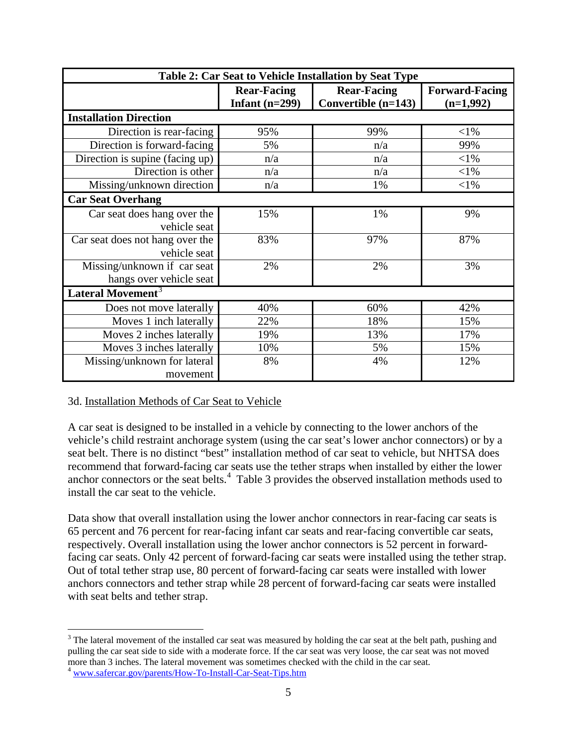| Table 2: Car Seat to Vehicle Installation by Seat Type |                                        |                                           |                                      |
|--------------------------------------------------------|----------------------------------------|-------------------------------------------|--------------------------------------|
|                                                        | <b>Rear-Facing</b><br>Infant $(n=299)$ | <b>Rear-Facing</b><br>Convertible (n=143) | <b>Forward-Facing</b><br>$(n=1,992)$ |
| <b>Installation Direction</b>                          |                                        |                                           |                                      |
| Direction is rear-facing                               | 95%                                    | 99%                                       | ${<}1\%$                             |
| Direction is forward-facing                            | 5%                                     | n/a                                       | 99%                                  |
| Direction is supine (facing up)                        | n/a                                    | n/a                                       | $<$ 1%                               |
| Direction is other                                     | n/a                                    | n/a                                       | $<$ 1%                               |
| Missing/unknown direction                              | n/a                                    | 1%                                        | $<$ 1%                               |
| <b>Car Seat Overhang</b>                               |                                        |                                           |                                      |
| Car seat does hang over the                            | 15%                                    | 1%                                        | 9%                                   |
| vehicle seat                                           |                                        |                                           |                                      |
| Car seat does not hang over the                        | 83%                                    | 97%                                       | 87%                                  |
| vehicle seat                                           |                                        |                                           |                                      |
| Missing/unknown if car seat                            | 2%                                     | 2%                                        | 3%                                   |
| hangs over vehicle seat                                |                                        |                                           |                                      |
| Lateral Movement <sup>3</sup>                          |                                        |                                           |                                      |
| Does not move laterally                                | 40%                                    | 60%                                       | 42%                                  |
| Moves 1 inch laterally                                 | 22%                                    | 18%                                       | 15%                                  |
| Moves 2 inches laterally                               | 19%                                    | 13%                                       | 17%                                  |
| Moves 3 inches laterally                               | 10%                                    | 5%                                        | 15%                                  |
| Missing/unknown for lateral                            | 8%                                     | 4%                                        | 12%                                  |
| movement                                               |                                        |                                           |                                      |

## <span id="page-13-0"></span>3d. Installation Methods of Car Seat to Vehicle

A car seat is designed to be installed in a vehicle by connecting to the lower anchors of the vehicle's child restraint anchorage system (using the car seat's lower anchor connectors) or by a seat belt. There is no distinct "best" installation method of car seat to vehicle, but NHTSA does recommend that forward-facing car seats use the tether straps when installed by either the lower anchor connectors or the seat belts.<sup>[4](#page-13-2)</sup> Table 3 provides the observed installation methods used to install the car seat to the vehicle.

Data show that overall installation using the lower anchor connectors in rear-facing car seats is 65 percent and 76 percent for rear-facing infant car seats and rear-facing convertible car seats, respectively. Overall installation using the lower anchor connectors is 52 percent in forwardfacing car seats. Only 42 percent of forward-facing car seats were installed using the tether strap. Out of total tether strap use, 80 percent of forward-facing car seats were installed with lower anchors connectors and tether strap while 28 percent of forward-facing car seats were installed with seat belts and tether strap.

<span id="page-13-1"></span> $\overline{a}$ <sup>3</sup> The lateral movement of the installed car seat was measured by holding the car seat at the belt path, pushing and pulling the car seat side to side with a moderate force. If the car seat was very loose, the car seat was not moved more than 3 inches. The lateral movement was sometimes checked with the child in the car seat.

<span id="page-13-2"></span><sup>4</sup> www.safercar.gov/parents/How-To-Install-Car-Seat-Tips.htm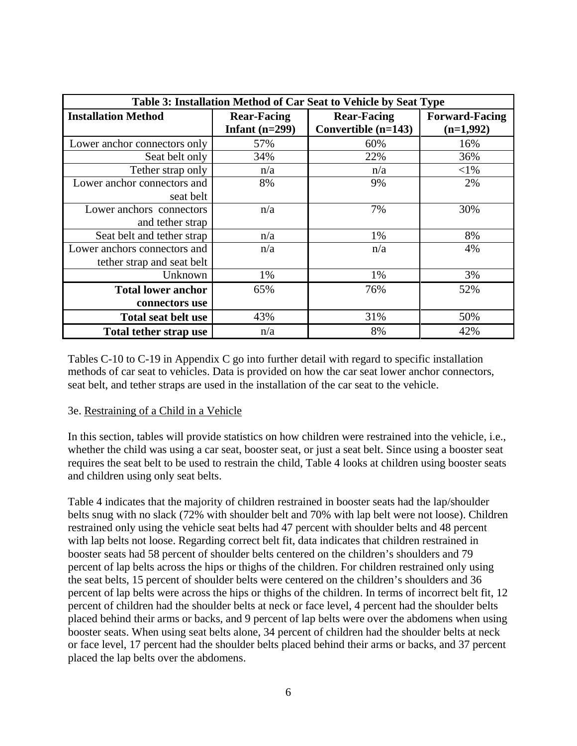| Table 3: Installation Method of Car Seat to Vehicle by Seat Type |                                        |                                             |                                      |
|------------------------------------------------------------------|----------------------------------------|---------------------------------------------|--------------------------------------|
| <b>Installation Method</b>                                       | <b>Rear-Facing</b><br>Infant $(n=299)$ | <b>Rear-Facing</b><br>Convertible $(n=143)$ | <b>Forward-Facing</b><br>$(n=1,992)$ |
| Lower anchor connectors only                                     | 57%                                    | 60%                                         | 16%                                  |
| Seat belt only                                                   | 34%                                    | 22%                                         | 36%                                  |
| Tether strap only                                                | n/a                                    | n/a                                         | ${<}1\%$                             |
| Lower anchor connectors and<br>seat belt                         | 8%                                     | 9%                                          | 2%                                   |
| Lower anchors connectors<br>and tether strap                     | n/a                                    | 7%                                          | 30%                                  |
| Seat belt and tether strap                                       | n/a                                    | 1%                                          | 8%                                   |
| Lower anchors connectors and<br>tether strap and seat belt       | n/a                                    | n/a                                         | 4%                                   |
| Unknown                                                          | 1%                                     | 1%                                          | 3%                                   |
| <b>Total lower anchor</b><br>connectors use                      | 65%                                    | 76%                                         | 52%                                  |
| <b>Total seat belt use</b>                                       | 43%                                    | 31%                                         | 50%                                  |
| <b>Total tether strap use</b>                                    | n/a                                    | 8%                                          | 42%                                  |

Tables C-10 to C-19 in Appendix C go into further detail with regard to specific installation methods of car seat to vehicles. Data is provided on how the car seat lower anchor connectors, seat belt, and tether straps are used in the installation of the car seat to the vehicle.

## <span id="page-14-0"></span>3e. Restraining of a Child in a Vehicle

In this section, tables will provide statistics on how children were restrained into the vehicle, i.e., whether the child was using a car seat, booster seat, or just a seat belt. Since using a booster seat requires the seat belt to be used to restrain the child, Table 4 looks at children using booster seats and children using only seat belts.

Table 4 indicates that the majority of children restrained in booster seats had the lap/shoulder belts snug with no slack (72% with shoulder belt and 70% with lap belt were not loose). Children restrained only using the vehicle seat belts had 47 percent with shoulder belts and 48 percent with lap belts not loose. Regarding correct belt fit, data indicates that children restrained in booster seats had 58 percent of shoulder belts centered on the children's shoulders and 79 percent of lap belts across the hips or thighs of the children. For children restrained only using the seat belts, 15 percent of shoulder belts were centered on the children's shoulders and 36 percent of lap belts were across the hips or thighs of the children. In terms of incorrect belt fit, 12 percent of children had the shoulder belts at neck or face level, 4 percent had the shoulder belts placed behind their arms or backs, and 9 percent of lap belts were over the abdomens when using booster seats. When using seat belts alone, 34 percent of children had the shoulder belts at neck or face level, 17 percent had the shoulder belts placed behind their arms or backs, and 37 percent placed the lap belts over the abdomens.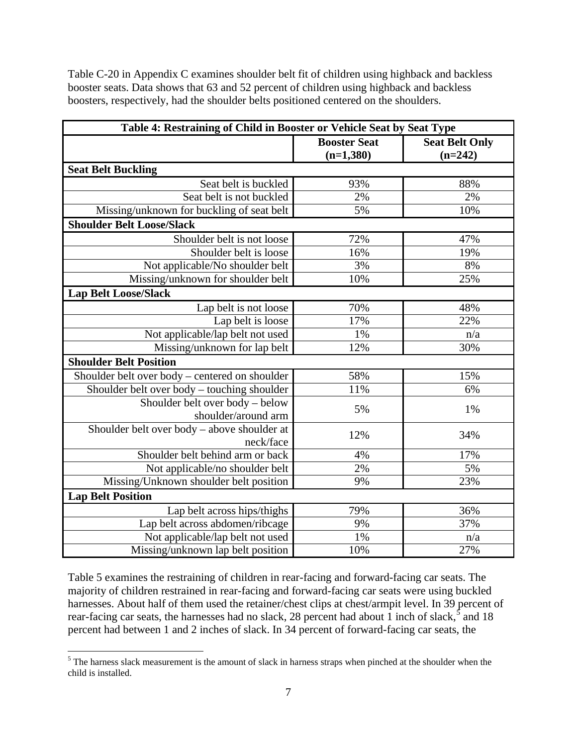Table C-20 in Appendix C examines shoulder belt fit of children using highback and backless booster seats. Data shows that 63 and 52 percent of children using highback and backless boosters, respectively, had the shoulder belts positioned centered on the shoulders.

| Table 4: Restraining of Child in Booster or Vehicle Seat by Seat Type |                                    |                                    |  |
|-----------------------------------------------------------------------|------------------------------------|------------------------------------|--|
|                                                                       | <b>Booster Seat</b><br>$(n=1,380)$ | <b>Seat Belt Only</b><br>$(n=242)$ |  |
| <b>Seat Belt Buckling</b>                                             |                                    |                                    |  |
| Seat belt is buckled                                                  | 93%                                | 88%                                |  |
| Seat belt is not buckled                                              | 2%                                 | 2%                                 |  |
| Missing/unknown for buckling of seat belt                             | 5%                                 | 10%                                |  |
| <b>Shoulder Belt Loose/Slack</b>                                      |                                    |                                    |  |
| Shoulder belt is not loose                                            | 72%                                | 47%                                |  |
| Shoulder belt is loose                                                | 16%                                | 19%                                |  |
| Not applicable/No shoulder belt                                       | 3%                                 | 8%                                 |  |
| Missing/unknown for shoulder belt                                     | 10%                                | 25%                                |  |
| <b>Lap Belt Loose/Slack</b>                                           |                                    |                                    |  |
| Lap belt is not loose                                                 | 70%                                | 48%                                |  |
| Lap belt is loose                                                     | 17%                                | 22%                                |  |
| Not applicable/lap belt not used                                      | 1%                                 | n/a                                |  |
| Missing/unknown for lap belt                                          | 12%                                | 30%                                |  |
| <b>Shoulder Belt Position</b>                                         |                                    |                                    |  |
| Shoulder belt over body - centered on shoulder                        | 58%                                | 15%                                |  |
| Shoulder belt over body – touching shoulder                           | 11%                                | 6%                                 |  |
| Shoulder belt over body - below<br>shoulder/around arm                | 5%                                 | 1%                                 |  |
| Shoulder belt over body – above shoulder at<br>neck/face              | 12%                                | 34%                                |  |
| Shoulder belt behind arm or back                                      | 4%                                 | 17%                                |  |
| Not applicable/no shoulder belt                                       | 2%                                 | 5%                                 |  |
| Missing/Unknown shoulder belt position                                | 9%                                 | 23%                                |  |
| <b>Lap Belt Position</b>                                              |                                    |                                    |  |
| Lap belt across hips/thighs                                           | 79%                                | 36%                                |  |
| Lap belt across abdomen/ribcage                                       | 9%                                 | 37%                                |  |
| Not applicable/lap belt not used                                      | 1%                                 | n/a                                |  |
| Missing/unknown lap belt position                                     | 10%                                | 27%                                |  |

Table 5 examines the restraining of children in rear-facing and forward-facing car seats. The majority of children restrained in rear-facing and forward-facing car seats were using buckled harnesses. About half of them used the retainer/chest clips at chest/armpit level. In 39 percent of rear-facing car seats, the harnesses had no slack, 28 percent had about 1 inch of slack,<sup>[5](#page-15-0)</sup> and 18 percent had between 1 and 2 inches of slack. In 34 percent of forward-facing car seats, the

<span id="page-15-0"></span><sup>&</sup>lt;sup>5</sup>The harness slack measurement is the amount of slack in harness straps when pinched at the shoulder when the child is installed.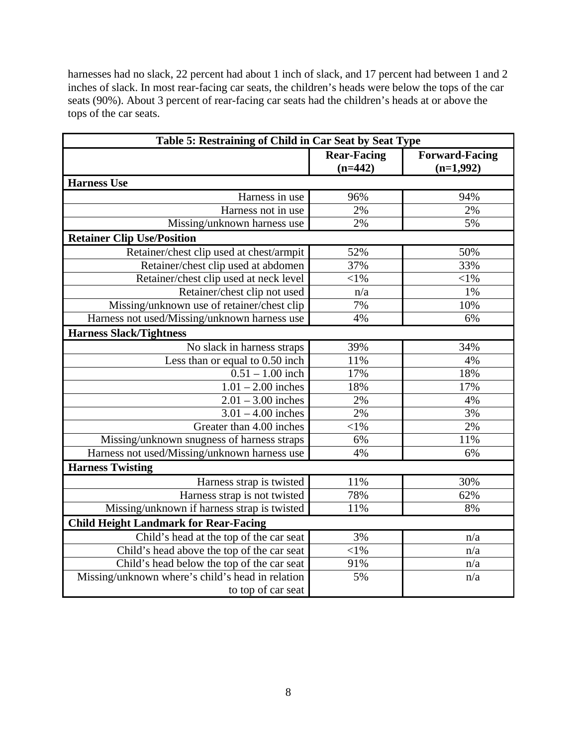harnesses had no slack, 22 percent had about 1 inch of slack, and 17 percent had between 1 and 2 inches of slack. In most rear-facing car seats, the children's heads were below the tops of the car seats (90%). About 3 percent of rear-facing car seats had the children's heads at or above the tops of the car seats.

| Table 5: Restraining of Child in Car Seat by Seat Type |                    |                       |  |
|--------------------------------------------------------|--------------------|-----------------------|--|
|                                                        | <b>Rear-Facing</b> | <b>Forward-Facing</b> |  |
|                                                        | $(n=442)$          | $(n=1,992)$           |  |
| <b>Harness Use</b>                                     |                    |                       |  |
| Harness in use                                         | 96%                | 94%                   |  |
| Harness not in use                                     | 2%                 | 2%                    |  |
| Missing/unknown harness use                            | 2%                 | 5%                    |  |
| <b>Retainer Clip Use/Position</b>                      |                    |                       |  |
| Retainer/chest clip used at chest/armpit               | 52%                | 50%                   |  |
| Retainer/chest clip used at abdomen                    | 37%                | 33%                   |  |
| Retainer/chest clip used at neck level                 | $<$ 1%             | $<$ 1%                |  |
| Retainer/chest clip not used                           | n/a                | 1%                    |  |
| Missing/unknown use of retainer/chest clip             | 7%                 | 10%                   |  |
| Harness not used/Missing/unknown harness use           | 4%                 | 6%                    |  |
| <b>Harness Slack/Tightness</b>                         |                    |                       |  |
| No slack in harness straps                             | 39%                | 34%                   |  |
| Less than or equal to 0.50 inch                        | 11%                | 4%                    |  |
| $0.51 - 1.00$ inch                                     | 17%                | 18%                   |  |
| $1.01 - 2.00$ inches                                   | 18%                | 17%                   |  |
| $2.01 - 3.00$ inches                                   | 2%                 | 4%                    |  |
| $3.01 - 4.00$ inches                                   | 2%                 | 3%                    |  |
| Greater than 4.00 inches                               | ${<}1\%$           | 2%                    |  |
| Missing/unknown snugness of harness straps             | 6%                 | 11%                   |  |
| Harness not used/Missing/unknown harness use           | 4%                 | 6%                    |  |
| <b>Harness Twisting</b>                                |                    |                       |  |
| Harness strap is twisted                               | 11%                | 30%                   |  |
| Harness strap is not twisted                           | 78%                | 62%                   |  |
| Missing/unknown if harness strap is twisted            | 11%                | 8%                    |  |
| <b>Child Height Landmark for Rear-Facing</b>           |                    |                       |  |
| Child's head at the top of the car seat                | 3%                 | n/a                   |  |
| Child's head above the top of the car seat             | $<$ 1%             | n/a                   |  |
| Child's head below the top of the car seat             | 91%                | n/a                   |  |
| Missing/unknown where's child's head in relation       | 5%                 | n/a                   |  |
| to top of car seat                                     |                    |                       |  |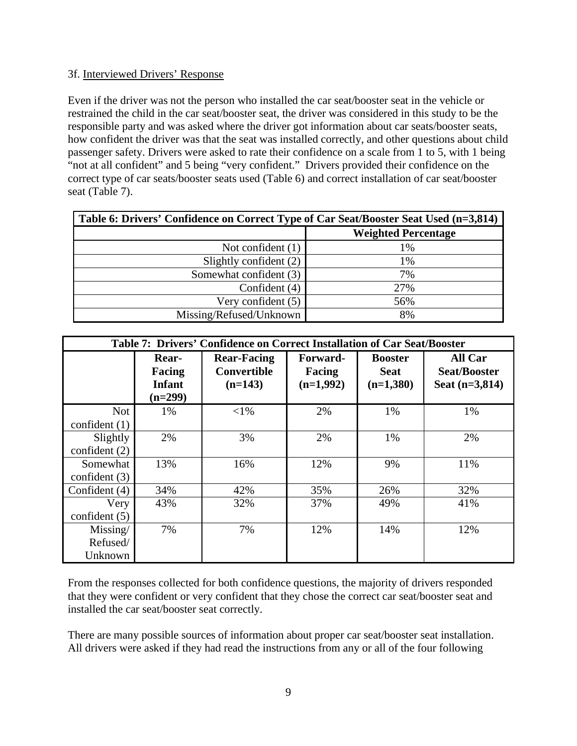## <span id="page-17-0"></span>3f. Interviewed Drivers' Response

Even if the driver was not the person who installed the car seat/booster seat in the vehicle or restrained the child in the car seat/booster seat, the driver was considered in this study to be the responsible party and was asked where the driver got information about car seats/booster seats, how confident the driver was that the seat was installed correctly, and other questions about child passenger safety. Drivers were asked to rate their confidence on a scale from 1 to 5, with 1 being "not at all confident" and 5 being "very confident." Drivers provided their confidence on the correct type of car seats/booster seats used (Table 6) and correct installation of car seat/booster seat (Table 7).

| Table 6: Drivers' Confidence on Correct Type of Car Seat/Booster Seat Used (n=3,814) |                            |  |
|--------------------------------------------------------------------------------------|----------------------------|--|
|                                                                                      | <b>Weighted Percentage</b> |  |
| Not confident $(1)$                                                                  | 1%                         |  |
| Slightly confident (2)                                                               | 1%                         |  |
| Somewhat confident (3)                                                               | 7%                         |  |
| Confident (4)                                                                        | 27%                        |  |
| Very confident $(5)$                                                                 | 56%                        |  |
| Missing/Refused/Unknown                                                              | 8%                         |  |

|                                 | Table 7: Drivers' Confidence on Correct Installation of Car Seat/Booster |                                                       |                                   |                                              |                                                           |
|---------------------------------|--------------------------------------------------------------------------|-------------------------------------------------------|-----------------------------------|----------------------------------------------|-----------------------------------------------------------|
|                                 | Rear-<br>Facing<br><b>Infant</b><br>$(n=299)$                            | <b>Rear-Facing</b><br><b>Convertible</b><br>$(n=143)$ | Forward-<br>Facing<br>$(n=1,992)$ | <b>Booster</b><br><b>Seat</b><br>$(n=1,380)$ | <b>All Car</b><br><b>Seat/Booster</b><br>Seat $(n=3,814)$ |
| <b>Not</b><br>confident $(1)$   | 1%                                                                       | ${<}1\%$                                              | 2%                                | 1%                                           | 1%                                                        |
| Slightly<br>confident $(2)$     | 2%                                                                       | 3%                                                    | 2%                                | 1%                                           | 2%                                                        |
| Somewhat<br>confident $(3)$     | 13%                                                                      | 16%                                                   | 12%                               | 9%                                           | 11%                                                       |
| Confident (4)                   | 34%                                                                      | 42%                                                   | 35%                               | 26%                                          | 32%                                                       |
| Very<br>confident $(5)$         | 43%                                                                      | 32%                                                   | 37%                               | 49%                                          | 41%                                                       |
| Missing/<br>Refused/<br>Unknown | 7%                                                                       | 7%                                                    | 12%                               | 14%                                          | 12%                                                       |

From the responses collected for both confidence questions, the majority of drivers responded that they were confident or very confident that they chose the correct car seat/booster seat and installed the car seat/booster seat correctly.

There are many possible sources of information about proper car seat/booster seat installation. All drivers were asked if they had read the instructions from any or all of the four following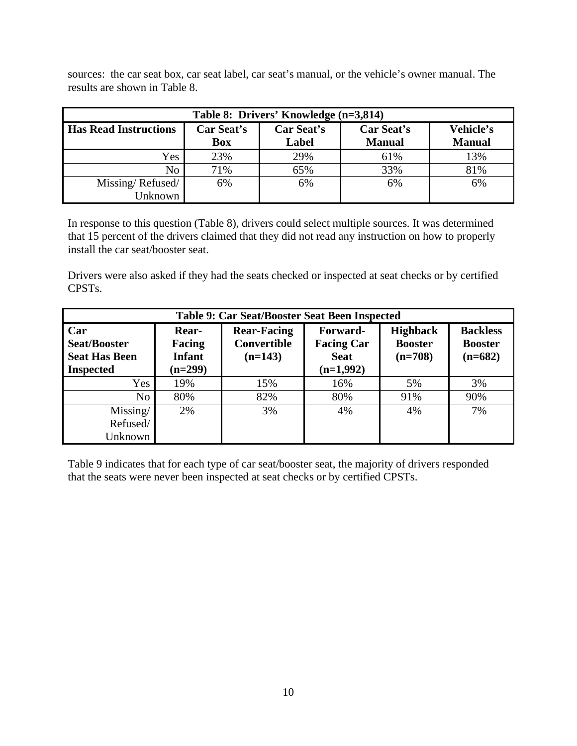sources: the car seat box, car seat label, car seat's manual, or the vehicle's owner manual. The results are shown in Table 8.

| Table 8: Drivers' Knowledge (n=3,814) |                          |                     |                             |                            |  |
|---------------------------------------|--------------------------|---------------------|-----------------------------|----------------------------|--|
| <b>Has Read Instructions</b>          | Car Seat's<br><b>Box</b> | Car Seat's<br>Label | Car Seat's<br><b>Manual</b> | Vehicle's<br><b>Manual</b> |  |
| Yes                                   | 23%                      | 29%                 | 61%                         | 13%                        |  |
| No                                    | 71%                      | 65%                 | 33%                         | 81%                        |  |
| Missing/Refused/                      | 6%                       | 6%                  | 6%                          | 6%                         |  |
| Unknown                               |                          |                     |                             |                            |  |

In response to this question (Table 8), drivers could select multiple sources. It was determined that 15 percent of the drivers claimed that they did not read any instruction on how to properly install the car seat/booster seat.

Drivers were also asked if they had the seats checked or inspected at seat checks or by certified CPSTs.

| Table 9: Car Seat/Booster Seat Been Inspected                          |                                               |                                                       |                                                             |                                                |                                                |
|------------------------------------------------------------------------|-----------------------------------------------|-------------------------------------------------------|-------------------------------------------------------------|------------------------------------------------|------------------------------------------------|
| Car<br><b>Seat/Booster</b><br><b>Seat Has Been</b><br><b>Inspected</b> | Rear-<br>Facing<br><b>Infant</b><br>$(n=299)$ | <b>Rear-Facing</b><br><b>Convertible</b><br>$(n=143)$ | Forward-<br><b>Facing Car</b><br><b>Seat</b><br>$(n=1,992)$ | <b>Highback</b><br><b>Booster</b><br>$(n=708)$ | <b>Backless</b><br><b>Booster</b><br>$(n=682)$ |
| Yes                                                                    | 19%                                           | 15%                                                   | 16%                                                         | 5%                                             | 3%                                             |
| No                                                                     | 80%                                           | 82%                                                   | 80%                                                         | 91%                                            | 90%                                            |
| Missing/                                                               | 2%                                            | 3%                                                    | 4%                                                          | 4%                                             | 7%                                             |
| Refused/                                                               |                                               |                                                       |                                                             |                                                |                                                |
| Unknown                                                                |                                               |                                                       |                                                             |                                                |                                                |

Table 9 indicates that for each type of car seat/booster seat, the majority of drivers responded that the seats were never been inspected at seat checks or by certified CPSTs.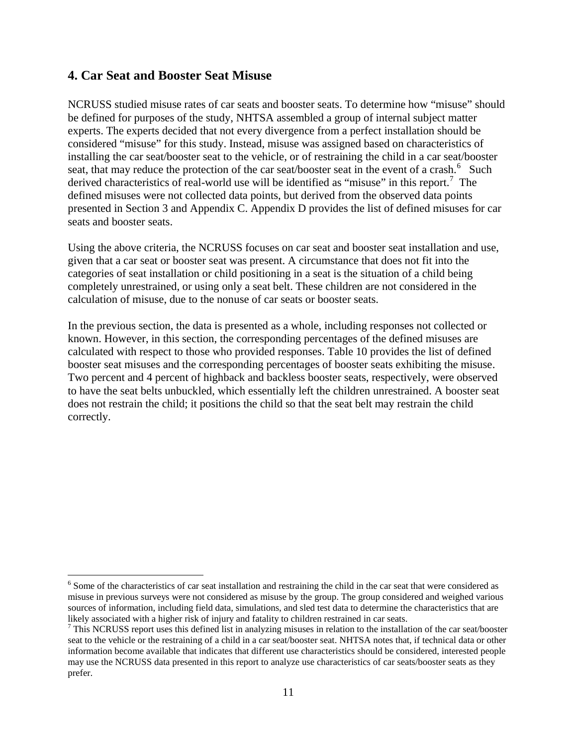# <span id="page-19-0"></span>**4. Car Seat and Booster Seat Misuse**

 $\overline{a}$ 

NCRUSS studied misuse rates of car seats and booster seats. To determine how "misuse" should be defined for purposes of the study, NHTSA assembled a group of internal subject matter experts. The experts decided that not every divergence from a perfect installation should be considered "misuse" for this study. Instead, misuse was assigned based on characteristics of installing the car seat/booster seat to the vehicle, or of restraining the child in a car seat/booster seat, that may reduce the protection of the car seat/booster seat in the event of a crash.<sup>[6](#page-19-1)</sup> Such derived characteristics of real-world use will be identified as "misuse" in this report.<sup>[7](#page-19-2)</sup> The defined misuses were not collected data points, but derived from the observed data points presented in Section 3 and Appendix C. Appendix D provides the list of defined misuses for car seats and booster seats.

Using the above criteria, the NCRUSS focuses on car seat and booster seat installation and use, given that a car seat or booster seat was present. A circumstance that does not fit into the categories of seat installation or child positioning in a seat is the situation of a child being completely unrestrained, or using only a seat belt. These children are not considered in the calculation of misuse, due to the nonuse of car seats or booster seats.

In the previous section, the data is presented as a whole, including responses not collected or known. However, in this section, the corresponding percentages of the defined misuses are calculated with respect to those who provided responses. Table 10 provides the list of defined booster seat misuses and the corresponding percentages of booster seats exhibiting the misuse. Two percent and 4 percent of highback and backless booster seats, respectively, were observed to have the seat belts unbuckled, which essentially left the children unrestrained. A booster seat does not restrain the child; it positions the child so that the seat belt may restrain the child correctly.

<span id="page-19-1"></span><sup>&</sup>lt;sup>6</sup> Some of the characteristics of car seat installation and restraining the child in the car seat that were considered as misuse in previous surveys were not considered as misuse by the group. The group considered and weighed various sources of information, including field data, simulations, and sled test data to determine the characteristics that are likely associated with a higher risk of injury and fatality to children restrained in car seats.

<span id="page-19-2"></span> $<sup>7</sup>$  This NCRUSS report uses this defined list in analyzing misuses in relation to the installation of the car seat/booster</sup> seat to the vehicle or the restraining of a child in a car seat/booster seat. NHTSA notes that, if technical data or other information become available that indicates that different use characteristics should be considered, interested people may use the NCRUSS data presented in this report to analyze use characteristics of car seats/booster seats as they prefer.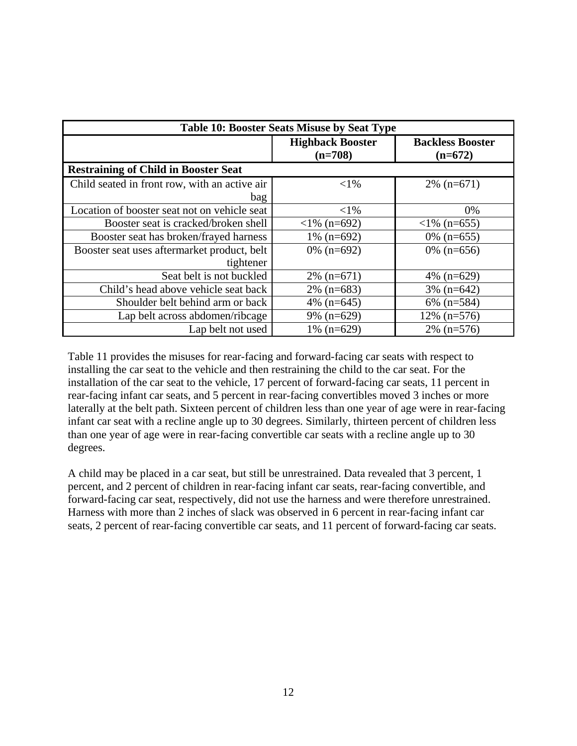| <b>Table 10: Booster Seats Misuse by Seat Type</b> |                                      |                                      |  |
|----------------------------------------------------|--------------------------------------|--------------------------------------|--|
|                                                    | <b>Highback Booster</b><br>$(n=708)$ | <b>Backless Booster</b><br>$(n=672)$ |  |
| <b>Restraining of Child in Booster Seat</b>        |                                      |                                      |  |
| Child seated in front row, with an active air      | ${<}1\%$                             | $2\%$ (n=671)                        |  |
| bag                                                |                                      |                                      |  |
| Location of booster seat not on vehicle seat       | ${<}1\%$                             | 0%                                   |  |
| Booster seat is cracked/broken shell               | $<$ 1% (n=692)                       | $\langle$ 1% (n=655)                 |  |
| Booster seat has broken/frayed harness             | 1% $(n=692)$                         | $0\%$ (n=655)                        |  |
| Booster seat uses aftermarket product, belt        | $0\%$ (n=692)                        | $0\%$ (n=656)                        |  |
| tightener                                          |                                      |                                      |  |
| Seat belt is not buckled                           | $2\%$ (n=671)                        | 4\% $(n=629)$                        |  |
| Child's head above vehicle seat back               | $2\%$ (n=683)                        | $3\%$ (n=642)                        |  |
| Shoulder belt behind arm or back                   | 4\% $(n=645)$                        | $6\%$ (n=584)                        |  |
| Lap belt across abdomen/ribcage                    | $9\%$ (n=629)                        | $12\%$ (n=576)                       |  |
| Lap belt not used                                  | 1% $(n=629)$                         | $2\%$ (n=576)                        |  |

Table 11 provides the misuses for rear-facing and forward-facing car seats with respect to installing the car seat to the vehicle and then restraining the child to the car seat. For the installation of the car seat to the vehicle, 17 percent of forward-facing car seats, 11 percent in rear-facing infant car seats, and 5 percent in rear-facing convertibles moved 3 inches or more laterally at the belt path. Sixteen percent of children less than one year of age were in rear-facing infant car seat with a recline angle up to 30 degrees. Similarly, thirteen percent of children less than one year of age were in rear-facing convertible car seats with a recline angle up to 30 degrees.

A child may be placed in a car seat, but still be unrestrained. Data revealed that 3 percent, 1 percent, and 2 percent of children in rear-facing infant car seats, rear-facing convertible, and forward-facing car seat, respectively, did not use the harness and were therefore unrestrained. Harness with more than 2 inches of slack was observed in 6 percent in rear-facing infant car seats, 2 percent of rear-facing convertible car seats, and 11 percent of forward-facing car seats.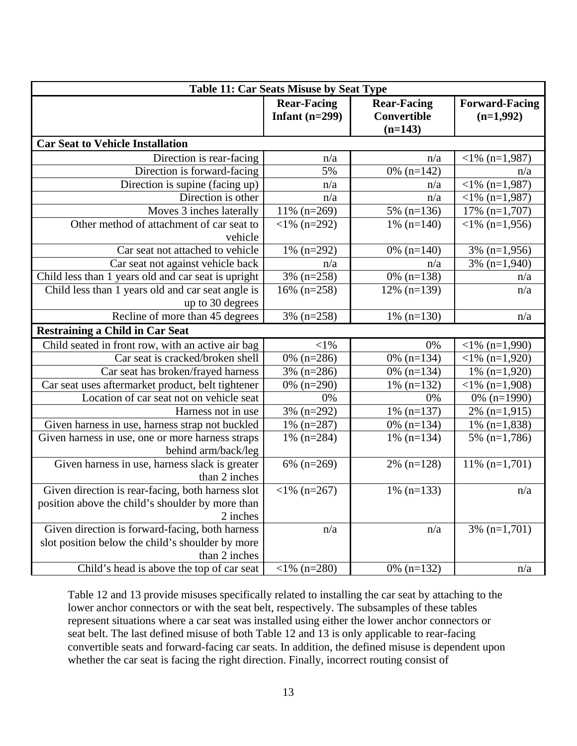| <b>Table 11: Car Seats Misuse by Seat Type</b>                          |                                        |                                                |                                      |  |
|-------------------------------------------------------------------------|----------------------------------------|------------------------------------------------|--------------------------------------|--|
|                                                                         | <b>Rear-Facing</b><br>Infant $(n=299)$ | <b>Rear-Facing</b><br>Convertible<br>$(n=143)$ | <b>Forward-Facing</b><br>$(n=1,992)$ |  |
| <b>Car Seat to Vehicle Installation</b>                                 |                                        |                                                |                                      |  |
| Direction is rear-facing                                                | n/a                                    | n/a                                            | $\langle 1\% \text{ (n=1,987)}$      |  |
| Direction is forward-facing                                             | 5%                                     | 0% $(n=142)$                                   | n/a                                  |  |
| Direction is supine (facing up)                                         | n/a                                    | n/a                                            | $<$ 1% (n=1,987)                     |  |
| Direction is other                                                      | n/a                                    | n/a                                            | $<$ 1% (n=1,987)                     |  |
| Moves 3 inches laterally                                                | $11\%$ (n=269)                         | 5% (n=136)                                     | $17\%$ (n=1,707)                     |  |
| Other method of attachment of car seat to<br>vehicle                    | $<$ 1% (n=292)                         | $1\%$ (n=140)                                  | $<$ 1% (n=1,956)                     |  |
| Car seat not attached to vehicle                                        | 1% $(n=292)$                           | 0% $(n=140)$                                   | $3\%$ (n=1,956)                      |  |
| Car seat not against vehicle back                                       | n/a                                    | n/a                                            | 3% $(n=1,940)$                       |  |
| Child less than 1 years old and car seat is upright                     | 3% (n=258)                             | $0\%$ (n=138)                                  | n/a                                  |  |
| Child less than 1 years old and car seat angle is<br>up to 30 degrees   | $16\%$ (n=258)                         | $12\%$ (n=139)                                 | n/a                                  |  |
| Recline of more than 45 degrees                                         | $3\%$ (n=258)                          | $1\%$ (n=130)                                  | n/a                                  |  |
| <b>Restraining a Child in Car Seat</b>                                  |                                        |                                                |                                      |  |
| Child seated in front row, with an active air bag                       | $<$ 1%                                 | 0%                                             | $<$ 1% (n=1,990)                     |  |
| Car seat is cracked/broken shell                                        | $0\%$ (n=286)                          | 0% $(n=134)$                                   | $<$ 1% (n=1,920)                     |  |
| Car seat has broken/frayed harness                                      | 3% (n=286)                             | 0% $(n=134)$                                   | 1% $(n=1,920)$                       |  |
| Car seat uses aftermarket product, belt tightener                       | 0% $(n=290)$                           | 1% $(n=132)$                                   | $<$ 1% (n=1,908)                     |  |
| Location of car seat not on vehicle seat                                | 0%                                     | 0%                                             | $0\%$ (n=1990)                       |  |
| Harness not in use                                                      | 3% (n=292)                             | 1% $(n=137)$                                   | $2\%$ (n=1,915)                      |  |
| Given harness in use, harness strap not buckled                         | 1% $(n=287)$                           | 0% $(n=134)$                                   | 1% $(n=1,838)$                       |  |
| Given harness in use, one or more harness straps<br>behind arm/back/leg | 1% $(n=284)$                           | $1\%$ (n=134)                                  | 5% $(n=1,786)$                       |  |
| Given harness in use, harness slack is greater<br>than 2 inches         | $6\%$ (n=269)                          | $2\%$ (n=128)                                  | $11\% (n=1,701)$                     |  |
| Given direction is rear-facing, both harness slot                       | $<$ 1% (n=267)                         | $1\%$ (n=133)                                  | n/a                                  |  |
| position above the child's shoulder by more than<br>2 inches            |                                        |                                                |                                      |  |
| Given direction is forward-facing, both harness                         | n/a                                    | n/a                                            | $3\%$ (n=1,701)                      |  |
| slot position below the child's shoulder by more                        |                                        |                                                |                                      |  |
| than 2 inches<br>Child's head is above the top of car seat              | $<$ 1% (n=280)                         | 0% $(n=132)$                                   | n/a                                  |  |

Table 12 and 13 provide misuses specifically related to installing the car seat by attaching to the lower anchor connectors or with the seat belt, respectively. The subsamples of these tables represent situations where a car seat was installed using either the lower anchor connectors or seat belt. The last defined misuse of both Table 12 and 13 is only applicable to rear-facing convertible seats and forward-facing car seats. In addition, the defined misuse is dependent upon whether the car seat is facing the right direction. Finally, incorrect routing consist of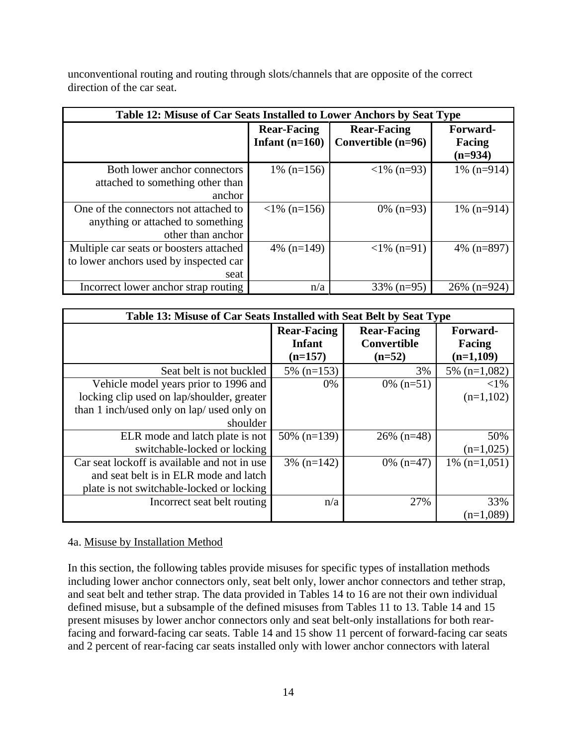unconventional routing and routing through slots/channels that are opposite of the correct direction of the car seat.

| Table 12: Misuse of Car Seats Installed to Lower Anchors by Seat Type                           |                                        |                                            |                                 |
|-------------------------------------------------------------------------------------------------|----------------------------------------|--------------------------------------------|---------------------------------|
|                                                                                                 | <b>Rear-Facing</b><br>Infant $(n=160)$ | <b>Rear-Facing</b><br>Convertible $(n=96)$ | Forward-<br>Facing<br>$(n=934)$ |
| Both lower anchor connectors<br>attached to something other than<br>anchor                      | 1% $(n=156)$                           | $\langle 1\% (n=93)$                       | $1\%$ (n=914)                   |
| One of the connectors not attached to<br>anything or attached to something<br>other than anchor | $\langle$ 1% (n=156)                   | $0\%$ (n=93)                               | $1\%$ (n=914)                   |
| Multiple car seats or boosters attached<br>to lower anchors used by inspected car<br>seat       | 4\% $(n=149)$                          | $\langle 1\% (n=91) \rangle$               | 4\% $(n=897)$                   |
| Incorrect lower anchor strap routing                                                            | n/a                                    | $33\%$ (n=95)                              | $26\%$ (n=924)                  |

| Table 13: Misuse of Car Seats Installed with Seat Belt by Seat Type |                                           |                                                      |                                   |
|---------------------------------------------------------------------|-------------------------------------------|------------------------------------------------------|-----------------------------------|
|                                                                     | <b>Rear-Facing</b><br>Infant<br>$(n=157)$ | <b>Rear-Facing</b><br><b>Convertible</b><br>$(n=52)$ | Forward-<br>Facing<br>$(n=1,109)$ |
| Seat belt is not buckled                                            | 5% $(n=153)$                              | 3%                                                   | $5\%$ (n=1,082)                   |
| Vehicle model years prior to 1996 and                               | $0\%$                                     | $0\%$ (n=51)                                         | ${<}1\%$                          |
| locking clip used on lap/shoulder, greater                          |                                           |                                                      | $(n=1,102)$                       |
| than 1 inch/used only on lap/ used only on                          |                                           |                                                      |                                   |
| shoulder                                                            |                                           |                                                      |                                   |
| ELR mode and latch plate is not                                     | $50\%$ (n=139)                            | $26\%$ (n=48)                                        | 50%                               |
| switchable-locked or locking                                        |                                           |                                                      | $(n=1,025)$                       |
| Car seat lockoff is available and not in use                        | $3\%$ (n=142)                             | $0\%$ (n=47)                                         | $1\%$ (n=1,051)                   |
| and seat belt is in ELR mode and latch                              |                                           |                                                      |                                   |
| plate is not switchable-locked or locking                           |                                           |                                                      |                                   |
| Incorrect seat belt routing                                         | n/a                                       | 27%                                                  | 33%                               |
|                                                                     |                                           |                                                      | $(n=1,089)$                       |

<span id="page-22-0"></span>4a. Misuse by Installation Method

In this section, the following tables provide misuses for specific types of installation methods including lower anchor connectors only, seat belt only, lower anchor connectors and tether strap, and seat belt and tether strap. The data provided in Tables 14 to 16 are not their own individual defined misuse, but a subsample of the defined misuses from Tables 11 to 13. Table 14 and 15 present misuses by lower anchor connectors only and seat belt-only installations for both rearfacing and forward-facing car seats. Table 14 and 15 show 11 percent of forward-facing car seats and 2 percent of rear-facing car seats installed only with lower anchor connectors with lateral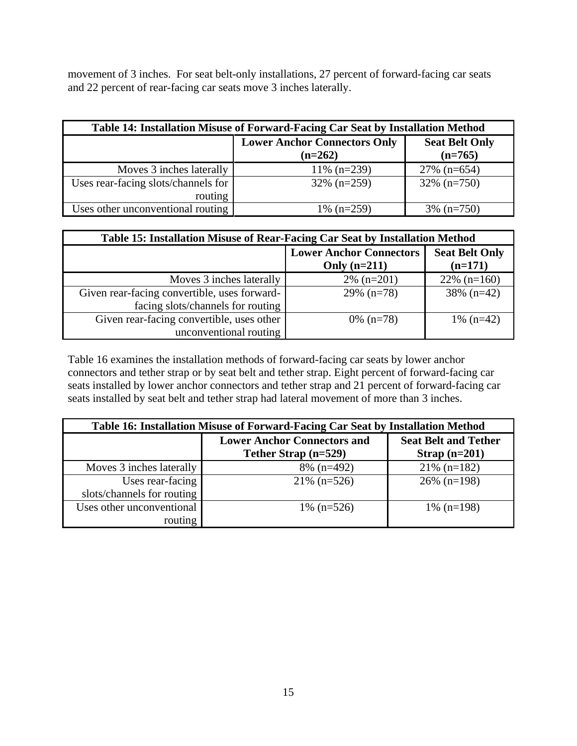movement of 3 inches. For seat belt-only installations, 27 percent of forward-facing car seats and 22 percent of rear-facing car seats move 3 inches laterally.

| Table 14: Installation Misuse of Forward-Facing Car Seat by Installation Method |                                                  |                                    |  |
|---------------------------------------------------------------------------------|--------------------------------------------------|------------------------------------|--|
|                                                                                 | <b>Lower Anchor Connectors Only</b><br>$(n=262)$ | <b>Seat Belt Only</b><br>$(n=765)$ |  |
| Moves 3 inches laterally                                                        | $11\%$ (n=239)                                   | $27\%$ (n=654)                     |  |
| Uses rear-facing slots/channels for                                             | $32\%$ (n=259)                                   | $32\%$ (n=750)                     |  |
| routing                                                                         |                                                  |                                    |  |
| Uses other unconventional routing                                               | 1% $(n=259)$                                     | $3\%$ (n=750)                      |  |

| Table 15: Installation Misuse of Rear-Facing Car Seat by Installation Method |                                                  |                                    |  |
|------------------------------------------------------------------------------|--------------------------------------------------|------------------------------------|--|
|                                                                              | <b>Lower Anchor Connectors</b><br>Only $(n=211)$ | <b>Seat Belt Only</b><br>$(n=171)$ |  |
| Moves 3 inches laterally                                                     | $2\%$ (n=201)                                    | $22\%$ (n=160)                     |  |
| Given rear-facing convertible, uses forward-                                 | $29\%$ (n=78)                                    | $38\%$ (n=42)                      |  |
| facing slots/channels for routing                                            |                                                  |                                    |  |
| Given rear-facing convertible, uses other                                    | $0\%$ (n=78)                                     | 1% $(n=42)$                        |  |
| unconventional routing                                                       |                                                  |                                    |  |

Table 16 examines the installation methods of forward-facing car seats by lower anchor connectors and tether strap or by seat belt and tether strap. Eight percent of forward-facing car seats installed by lower anchor connectors and tether strap and 21 percent of forward-facing car seats installed by seat belt and tether strap had lateral movement of more than 3 inches.

| Table 16: Installation Misuse of Forward-Facing Car Seat by Installation Method |                                                            |                                                |  |
|---------------------------------------------------------------------------------|------------------------------------------------------------|------------------------------------------------|--|
|                                                                                 | <b>Lower Anchor Connectors and</b><br>Tether Strap (n=529) | <b>Seat Belt and Tether</b><br>Strap $(n=201)$ |  |
| Moves 3 inches laterally                                                        | $8\%$ (n=492)                                              | $21\%$ (n=182)                                 |  |
| Uses rear-facing                                                                | $21\%$ (n=526)                                             | $26\%$ (n=198)                                 |  |
| slots/channels for routing                                                      |                                                            |                                                |  |
| Uses other unconventional                                                       | 1% $(n=526)$                                               | $1\%$ (n=198)                                  |  |
| routing                                                                         |                                                            |                                                |  |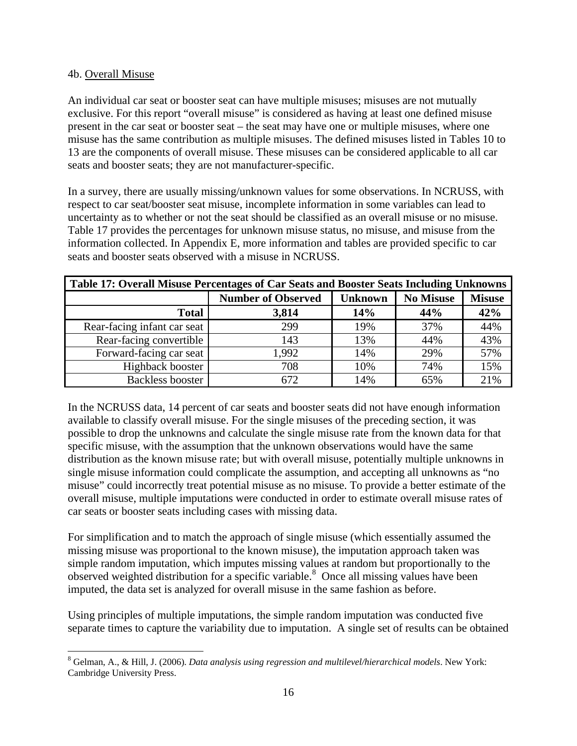## <span id="page-24-0"></span>4b. Overall Misuse

An individual car seat or booster seat can have multiple misuses; misuses are not mutually exclusive. For this report "overall misuse" is considered as having at least one defined misuse present in the car seat or booster seat – the seat may have one or multiple misuses, where one misuse has the same contribution as multiple misuses. The defined misuses listed in Tables 10 to 13 are the components of overall misuse. These misuses can be considered applicable to all car seats and booster seats; they are not manufacturer-specific.

In a survey, there are usually missing/unknown values for some observations. In NCRUSS, with respect to car seat/booster seat misuse, incomplete information in some variables can lead to uncertainty as to whether or not the seat should be classified as an overall misuse or no misuse. Table 17 provides the percentages for unknown misuse status, no misuse, and misuse from the information collected. In Appendix E, more information and tables are provided specific to car seats and booster seats observed with a misuse in NCRUSS.

| Table 17: Overall Misuse Percentages of Car Seats and Booster Seats Including Unknowns |                           |                                                     |     |     |
|----------------------------------------------------------------------------------------|---------------------------|-----------------------------------------------------|-----|-----|
|                                                                                        | <b>Number of Observed</b> | <b>No Misuse</b><br><b>Misuse</b><br><b>Unknown</b> |     |     |
| <b>Total</b>                                                                           | 3,814                     | 14%                                                 | 44% | 42% |
| Rear-facing infant car seat                                                            | 299                       | 19%                                                 | 37% | 44% |
| Rear-facing convertible                                                                | 143                       | 13%                                                 | 44% | 43% |
| Forward-facing car seat                                                                | 1,992                     | 14%                                                 | 29% | 57% |
| Highback booster                                                                       | 708                       | 10%                                                 | 74% | 15% |
| Backless booster                                                                       | 672                       | 14%                                                 | 65% | 21% |

In the NCRUSS data, 14 percent of car seats and booster seats did not have enough information available to classify overall misuse. For the single misuses of the preceding section, it was possible to drop the unknowns and calculate the single misuse rate from the known data for that specific misuse, with the assumption that the unknown observations would have the same distribution as the known misuse rate; but with overall misuse, potentially multiple unknowns in single misuse information could complicate the assumption, and accepting all unknowns as "no misuse" could incorrectly treat potential misuse as no misuse. To provide a better estimate of the overall misuse, multiple imputations were conducted in order to estimate overall misuse rates of car seats or booster seats including cases with missing data.

For simplification and to match the approach of single misuse (which essentially assumed the missing misuse was proportional to the known misuse), the imputation approach taken was simple random imputation, which imputes missing values at random but proportionally to the observed weighted distribution for a specific variable.<sup>[8](#page-24-1)</sup> Once all missing values have been imputed, the data set is analyzed for overall misuse in the same fashion as before.

Using principles of multiple imputations, the simple random imputation was conducted five separate times to capture the variability due to imputation. A single set of results can be obtained

<span id="page-24-1"></span> $\overline{a}$ 8 Gelman, A., & Hill, J. (2006). *Data analysis using regression and multilevel/hierarchical models*. New York: Cambridge University Press.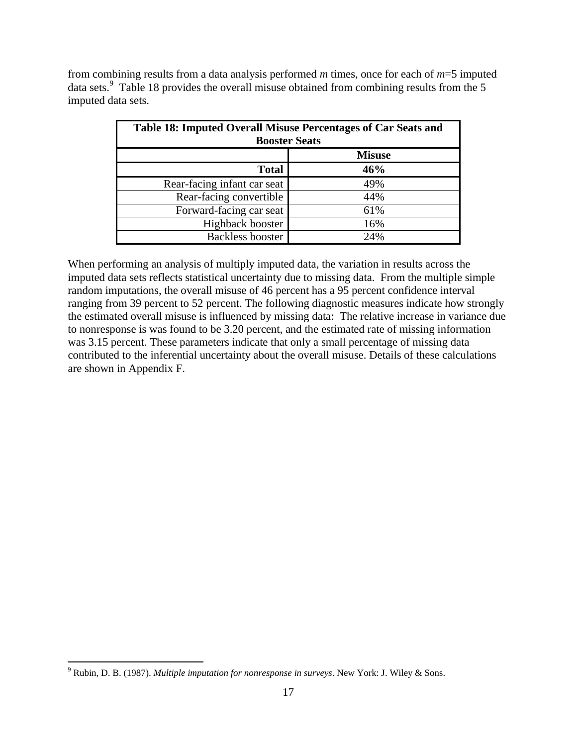from combining results from a data analysis performed *m* times, once for each of *m*=5 imputed data sets.<sup>[9](#page-25-0)</sup> Table 18 provides the overall misuse obtained from combining results from the 5 imputed data sets.

| Table 18: Imputed Overall Misuse Percentages of Car Seats and<br><b>Booster Seats</b> |     |  |  |
|---------------------------------------------------------------------------------------|-----|--|--|
| <b>Misuse</b>                                                                         |     |  |  |
| <b>Total</b>                                                                          | 46% |  |  |
| Rear-facing infant car seat                                                           | 49% |  |  |
| Rear-facing convertible                                                               | 44% |  |  |
| Forward-facing car seat                                                               | 61% |  |  |
| Highback booster                                                                      | 16% |  |  |
| <b>Backless booster</b>                                                               | 24% |  |  |

When performing an analysis of multiply imputed data, the variation in results across the imputed data sets reflects statistical uncertainty due to missing data. From the multiple simple random imputations, the overall misuse of 46 percent has a 95 percent confidence interval ranging from 39 percent to 52 percent. The following diagnostic measures indicate how strongly the estimated overall misuse is influenced by missing data: The relative increase in variance due to nonresponse is was found to be 3.20 percent, and the estimated rate of missing information was 3.15 percent. These parameters indicate that only a small percentage of missing data contributed to the inferential uncertainty about the overall misuse. Details of these calculations are shown in Appendix F.

<span id="page-25-0"></span> $\overline{a}$ 9 Rubin, D. B. (1987). *Multiple imputation for nonresponse in surveys*. New York: J. Wiley & Sons.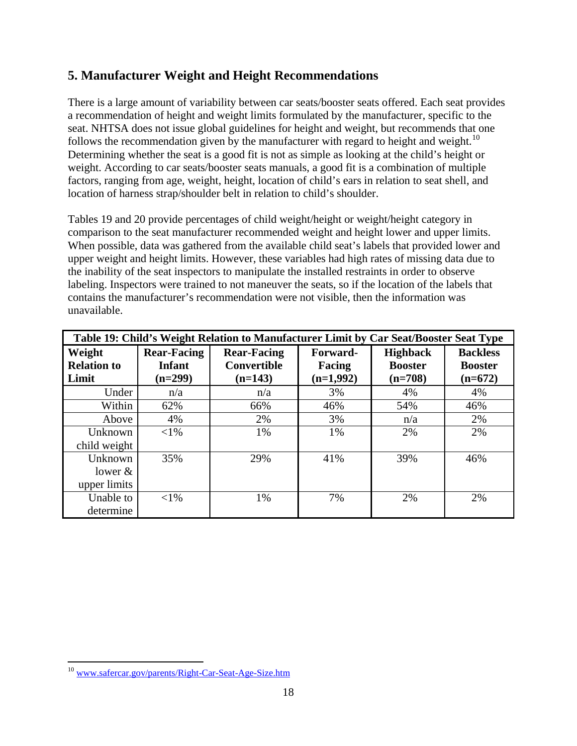# <span id="page-26-0"></span>**5. Manufacturer Weight and Height Recommendations**

There is a large amount of variability between car seats/booster seats offered. Each seat provides a recommendation of height and weight limits formulated by the manufacturer, specific to the seat. NHTSA does not issue global guidelines for height and weight, but recommends that one follows the recommendation given by the manufacturer with regard to height and weight.<sup>[10](#page-26-1)</sup> Determining whether the seat is a good fit is not as simple as looking at the child's height or weight. According to car seats/booster seats manuals, a good fit is a combination of multiple factors, ranging from age, weight, height, location of child's ears in relation to seat shell, and location of harness strap/shoulder belt in relation to child's shoulder.

Tables 19 and 20 provide percentages of child weight/height or weight/height category in comparison to the seat manufacturer recommended weight and height lower and upper limits. When possible, data was gathered from the available child seat's labels that provided lower and upper weight and height limits. However, these variables had high rates of missing data due to the inability of the seat inspectors to manipulate the installed restraints in order to observe labeling. Inspectors were trained to not maneuver the seats, so if the location of the labels that contains the manufacturer's recommendation were not visible, then the information was unavailable.

| Table 19: Child's Weight Relation to Manufacturer Limit by Car Seat/Booster Seat Type |                    |                    |             |                 |                 |  |  |
|---------------------------------------------------------------------------------------|--------------------|--------------------|-------------|-----------------|-----------------|--|--|
| Weight                                                                                | <b>Rear-Facing</b> | <b>Rear-Facing</b> | Forward-    | <b>Highback</b> | <b>Backless</b> |  |  |
| <b>Relation to</b>                                                                    | <b>Infant</b>      | <b>Convertible</b> | Facing      | <b>Booster</b>  | <b>Booster</b>  |  |  |
| Limit                                                                                 | $(n=299)$          | $(n=143)$          | $(n=1,992)$ | $(n=708)$       | $(n=672)$       |  |  |
| Under                                                                                 | n/a                | n/a                | 3%          | 4%              | 4%              |  |  |
| Within                                                                                | 62%                | 66%                | 46%         | 54%             | 46%             |  |  |
| Above                                                                                 | 4%                 | 2%                 | 3%          | n/a             | 2%              |  |  |
| Unknown                                                                               | $< 1\%$            | 1%                 | 1%          | 2%              | 2%              |  |  |
| child weight                                                                          |                    |                    |             |                 |                 |  |  |
| Unknown                                                                               | 35%                | 29%                | 41%         | 39%             | 46%             |  |  |
| lower $&$                                                                             |                    |                    |             |                 |                 |  |  |
| upper limits                                                                          |                    |                    |             |                 |                 |  |  |
| Unable to                                                                             | $<$ 1%             | 1%                 | 7%          | 2%              | 2%              |  |  |
| determine                                                                             |                    |                    |             |                 |                 |  |  |

<span id="page-26-1"></span> $\overline{a}$ <sup>10</sup> www.safercar.gov/parents/Right-Car-Seat-Age-Size.htm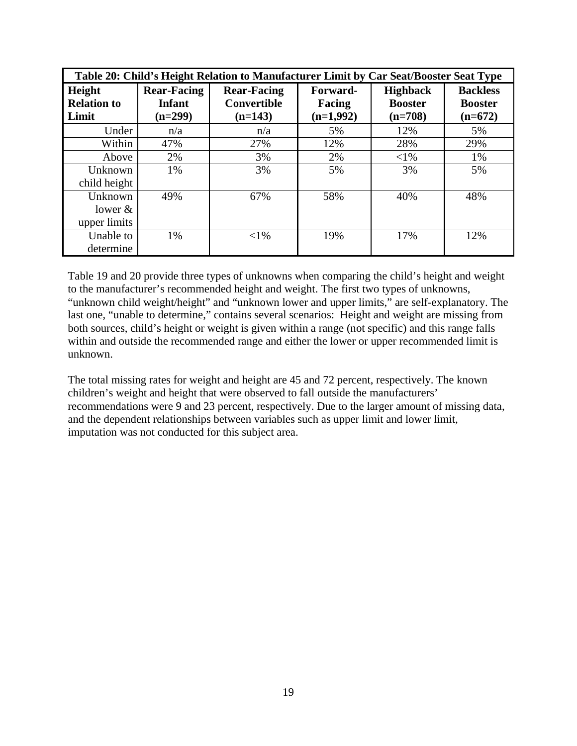| Table 20: Child's Height Relation to Manufacturer Limit by Car Seat/Booster Seat Type |                    |                    |             |                 |                 |  |  |
|---------------------------------------------------------------------------------------|--------------------|--------------------|-------------|-----------------|-----------------|--|--|
| Height                                                                                | <b>Rear-Facing</b> | <b>Rear-Facing</b> | Forward-    | <b>Highback</b> | <b>Backless</b> |  |  |
| <b>Relation to</b>                                                                    | Infant             | <b>Convertible</b> | Facing      | <b>Booster</b>  | <b>Booster</b>  |  |  |
| Limit                                                                                 | $(n=299)$          | $(n=143)$          | $(n=1,992)$ | $(n=708)$       | $(n=672)$       |  |  |
| Under                                                                                 | n/a                | n/a                | 5%          | 12%             | 5%              |  |  |
| Within                                                                                | 47%                | 27%                | 12%         | 28%             | 29%             |  |  |
| Above                                                                                 | 2%                 | 3%                 | 2%          | $<$ 1%          | 1%              |  |  |
| Unknown                                                                               | 1%                 | 3%                 | 5%          | 3%              | 5%              |  |  |
| child height                                                                          |                    |                    |             |                 |                 |  |  |
| Unknown                                                                               | 49%                | 67%                | 58%         | 40%             | 48%             |  |  |
| lower $&$                                                                             |                    |                    |             |                 |                 |  |  |
| upper limits                                                                          |                    |                    |             |                 |                 |  |  |
| Unable to                                                                             | 1%                 | $< 1\%$            | 19%         | 17%             | 12%             |  |  |
| determine                                                                             |                    |                    |             |                 |                 |  |  |

Table 19 and 20 provide three types of unknowns when comparing the child's height and weight to the manufacturer's recommended height and weight. The first two types of unknowns, "unknown child weight/height" and "unknown lower and upper limits," are self-explanatory. The last one, "unable to determine," contains several scenarios: Height and weight are missing from both sources, child's height or weight is given within a range (not specific) and this range falls within and outside the recommended range and either the lower or upper recommended limit is unknown.

The total missing rates for weight and height are 45 and 72 percent, respectively. The known children's weight and height that were observed to fall outside the manufacturers' recommendations were 9 and 23 percent, respectively. Due to the larger amount of missing data, and the dependent relationships between variables such as upper limit and lower limit, imputation was not conducted for this subject area.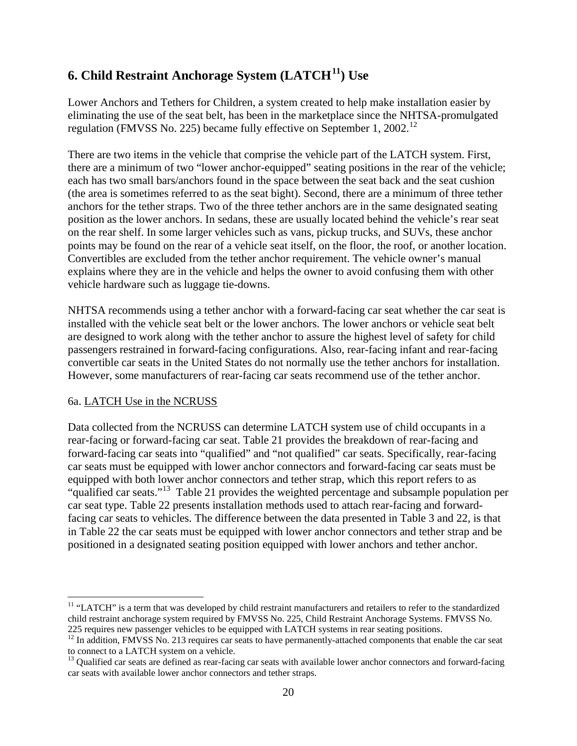# <span id="page-28-0"></span>**6. Child Restraint Anchorage System (LATCH[11\)](#page-28-2) Use**

Lower Anchors and Tethers for Children, a system created to help make installation easier by eliminating the use of the seat belt, has been in the marketplace since the NHTSA-promulgated regulation (FMVSS No. 225) became fully effective on September 1, 2002.<sup>12</sup>

There are two items in the vehicle that comprise the vehicle part of the LATCH system. First, there are a minimum of two "lower anchor-equipped" seating positions in the rear of the vehicle; each has two small bars/anchors found in the space between the seat back and the seat cushion (the area is sometimes referred to as the seat bight). Second, there are a minimum of three tether anchors for the tether straps. Two of the three tether anchors are in the same designated seating position as the lower anchors. In sedans, these are usually located behind the vehicle's rear seat on the rear shelf. In some larger vehicles such as vans, pickup trucks, and SUVs, these anchor points may be found on the rear of a vehicle seat itself, on the floor, the roof, or another location. Convertibles are excluded from the tether anchor requirement. The vehicle owner's manual explains where they are in the vehicle and helps the owner to avoid confusing them with other vehicle hardware such as luggage tie-downs.

NHTSA recommends using a tether anchor with a forward-facing car seat whether the car seat is installed with the vehicle seat belt or the lower anchors. The lower anchors or vehicle seat belt are designed to work along with the tether anchor to assure the highest level of safety for child passengers restrained in forward-facing configurations. Also, rear-facing infant and rear-facing convertible car seats in the United States do not normally use the tether anchors for installation. However, some manufacturers of rear-facing car seats recommend use of the tether anchor.

# <span id="page-28-1"></span>6a. LATCH Use in the NCRUSS

 $\overline{a}$ 

Data collected from the NCRUSS can determine LATCH system use of child occupants in a rear-facing or forward-facing car seat. Table 21 provides the breakdown of rear-facing and forward-facing car seats into "qualified" and "not qualified" car seats. Specifically, rear-facing car seats must be equipped with lower anchor connectors and forward-facing car seats must be equipped with both lower anchor connectors and tether strap, which this report refers to as "qualified car seats."[13](#page-28-4) Table 21 provides the weighted percentage and subsample population per car seat type. Table 22 presents installation methods used to attach rear-facing and forwardfacing car seats to vehicles. The difference between the data presented in Table 3 and 22, is that in Table 22 the car seats must be equipped with lower anchor connectors and tether strap and be positioned in a designated seating position equipped with lower anchors and tether anchor.

<span id="page-28-2"></span><sup>&</sup>lt;sup>11</sup> "LATCH" is a term that was developed by child restraint manufacturers and retailers to refer to the standardized child restraint anchorage system required by FMVSS No. 225, Child Restraint Anchorage Systems. FMVSS No. 225 requires new passenger vehicles to be equipped with LATCH systems in rear seating positions.

<span id="page-28-3"></span> $12$  In addition, FMVSS No. 213 requires car seats to have permanently-attached components that enable the car seat to connect to a LATCH system on a vehicle.<br><sup>13</sup> Qualified car seats are defined as rear-facing car seats with available lower anchor connectors and forward-facing

<span id="page-28-4"></span>car seats with available lower anchor connectors and tether straps.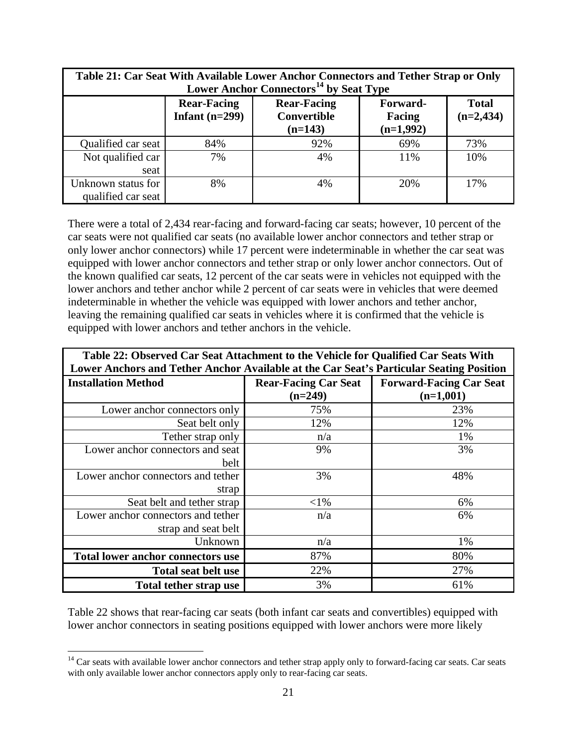| Table 21: Car Seat With Available Lower Anchor Connectors and Tether Strap or Only<br>Lower Anchor Connectors <sup>14</sup> by Seat Type                            |     |     |     |     |  |  |
|---------------------------------------------------------------------------------------------------------------------------------------------------------------------|-----|-----|-----|-----|--|--|
| <b>Rear-Facing</b><br><b>Rear-Facing</b><br><b>Total</b><br>Forward-<br>Infant $(n=299)$<br>$(n=2,434)$<br><b>Convertible</b><br>Facing<br>$(n=1,992)$<br>$(n=143)$ |     |     |     |     |  |  |
| Qualified car seat                                                                                                                                                  | 84% | 92% | 69% | 73% |  |  |
| Not qualified car<br>seat                                                                                                                                           | 7%  | 4%  | 11% | 10% |  |  |
| Unknown status for<br>qualified car seat                                                                                                                            | 8%  | 4%  | 20% | 17% |  |  |

There were a total of 2,434 rear-facing and forward-facing car seats; however, 10 percent of the car seats were not qualified car seats (no available lower anchor connectors and tether strap or only lower anchor connectors) while 17 percent were indeterminable in whether the car seat was equipped with lower anchor connectors and tether strap or only lower anchor connectors. Out of the known qualified car seats, 12 percent of the car seats were in vehicles not equipped with the lower anchors and tether anchor while 2 percent of car seats were in vehicles that were deemed indeterminable in whether the vehicle was equipped with lower anchors and tether anchor, leaving the remaining qualified car seats in vehicles where it is confirmed that the vehicle is equipped with lower anchors and tether anchors in the vehicle.

| Table 22: Observed Car Seat Attachment to the Vehicle for Qualified Car Seats With |                                                                                         |                                |  |  |  |
|------------------------------------------------------------------------------------|-----------------------------------------------------------------------------------------|--------------------------------|--|--|--|
|                                                                                    | Lower Anchors and Tether Anchor Available at the Car Seat's Particular Seating Position |                                |  |  |  |
| <b>Installation Method</b>                                                         | <b>Rear-Facing Car Seat</b>                                                             | <b>Forward-Facing Car Seat</b> |  |  |  |
|                                                                                    | $(n=249)$                                                                               | $(n=1,001)$                    |  |  |  |
| Lower anchor connectors only                                                       | 75%                                                                                     | 23%                            |  |  |  |
| Seat belt only                                                                     | 12%                                                                                     | 12%                            |  |  |  |
| Tether strap only                                                                  | n/a                                                                                     | 1%                             |  |  |  |
| Lower anchor connectors and seat                                                   | 9%                                                                                      | 3%                             |  |  |  |
| belt                                                                               |                                                                                         |                                |  |  |  |
| Lower anchor connectors and tether                                                 | 3%                                                                                      | 48%                            |  |  |  |
| strap                                                                              |                                                                                         |                                |  |  |  |
| Seat belt and tether strap                                                         | $<$ l%                                                                                  | 6%                             |  |  |  |
| Lower anchor connectors and tether                                                 | n/a                                                                                     | 6%                             |  |  |  |
| strap and seat belt                                                                |                                                                                         |                                |  |  |  |
| Unknown                                                                            | n/a                                                                                     | 1%                             |  |  |  |
| <b>Total lower anchor connectors use</b>                                           | 87%                                                                                     | 80%                            |  |  |  |
| <b>Total seat belt use</b>                                                         | 22%                                                                                     | 27%                            |  |  |  |
| <b>Total tether strap use</b>                                                      | 3%                                                                                      | 61%                            |  |  |  |

Table 22 shows that rear-facing car seats (both infant car seats and convertibles) equipped with lower anchor connectors in seating positions equipped with lower anchors were more likely

 $\overline{a}$ 

<span id="page-29-0"></span><sup>&</sup>lt;sup>14</sup> Car seats with available lower anchor connectors and tether strap apply only to forward-facing car seats. Car seats with only available lower anchor connectors apply only to rear-facing car seats.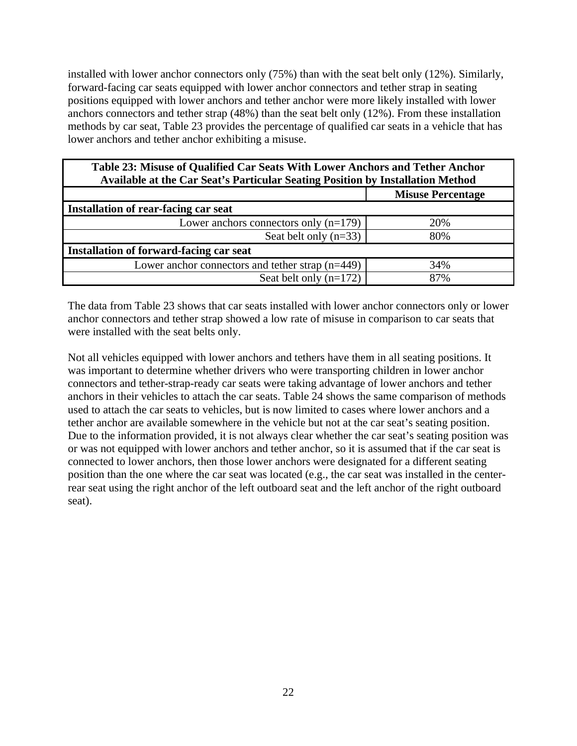installed with lower anchor connectors only (75%) than with the seat belt only (12%). Similarly, forward-facing car seats equipped with lower anchor connectors and tether strap in seating positions equipped with lower anchors and tether anchor were more likely installed with lower anchors connectors and tether strap (48%) than the seat belt only (12%). From these installation methods by car seat, Table 23 provides the percentage of qualified car seats in a vehicle that has lower anchors and tether anchor exhibiting a misuse.

| Table 23: Misuse of Qualified Car Seats With Lower Anchors and Tether Anchor<br>Available at the Car Seat's Particular Seating Position by Installation Method |                          |  |  |  |
|----------------------------------------------------------------------------------------------------------------------------------------------------------------|--------------------------|--|--|--|
|                                                                                                                                                                | <b>Misuse Percentage</b> |  |  |  |
| Installation of rear-facing car seat                                                                                                                           |                          |  |  |  |
| Lower anchors connectors only $(n=179)$                                                                                                                        | 20%                      |  |  |  |
| Seat belt only $(n=33)$                                                                                                                                        | 80%                      |  |  |  |
| Installation of forward-facing car seat                                                                                                                        |                          |  |  |  |
| Lower anchor connectors and tether strap $(n=449)$                                                                                                             | 34%                      |  |  |  |
| Seat belt only $(n=172)$                                                                                                                                       | 87%                      |  |  |  |

The data from Table 23 shows that car seats installed with lower anchor connectors only or lower anchor connectors and tether strap showed a low rate of misuse in comparison to car seats that were installed with the seat belts only.

Not all vehicles equipped with lower anchors and tethers have them in all seating positions. It was important to determine whether drivers who were transporting children in lower anchor connectors and tether-strap-ready car seats were taking advantage of lower anchors and tether anchors in their vehicles to attach the car seats. Table 24 shows the same comparison of methods used to attach the car seats to vehicles, but is now limited to cases where lower anchors and a tether anchor are available somewhere in the vehicle but not at the car seat's seating position. Due to the information provided, it is not always clear whether the car seat's seating position was or was not equipped with lower anchors and tether anchor, so it is assumed that if the car seat is connected to lower anchors, then those lower anchors were designated for a different seating position than the one where the car seat was located (e.g., the car seat was installed in the centerrear seat using the right anchor of the left outboard seat and the left anchor of the right outboard seat).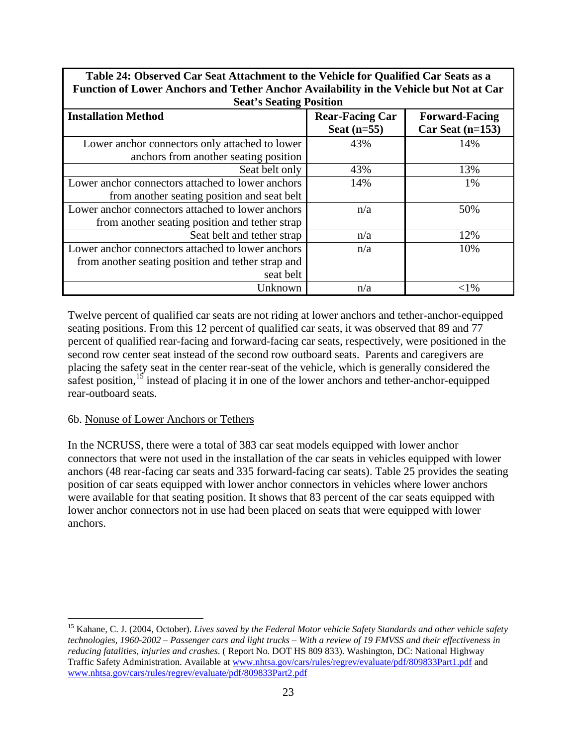**Table 24: Observed Car Seat Attachment to the Vehicle for Qualified Car Seats as a Function of Lower Anchors and Tether Anchor Availability in the Vehicle but Not at Car** 

|                                                    | <b>Seat's Seating Position</b>          |                                             |  |  |  |  |
|----------------------------------------------------|-----------------------------------------|---------------------------------------------|--|--|--|--|
| <b>Installation Method</b>                         | <b>Rear-Facing Car</b><br>Seat $(n=55)$ | <b>Forward-Facing</b><br>$Car$ Seat (n=153) |  |  |  |  |
| Lower anchor connectors only attached to lower     | 43%                                     | 14%                                         |  |  |  |  |
| anchors from another seating position              |                                         |                                             |  |  |  |  |
| Seat belt only                                     | 43%                                     | 13%                                         |  |  |  |  |
| Lower anchor connectors attached to lower anchors  | 14%                                     | 1%                                          |  |  |  |  |
| from another seating position and seat belt        |                                         |                                             |  |  |  |  |
| Lower anchor connectors attached to lower anchors  | n/a                                     | 50%                                         |  |  |  |  |
| from another seating position and tether strap     |                                         |                                             |  |  |  |  |
| Seat belt and tether strap                         | n/a                                     | 12%                                         |  |  |  |  |
| Lower anchor connectors attached to lower anchors  | n/a                                     | 10%                                         |  |  |  |  |
| from another seating position and tether strap and |                                         |                                             |  |  |  |  |
| seat belt                                          |                                         |                                             |  |  |  |  |
| Unknown                                            | n/a                                     | ${<}1\%$                                    |  |  |  |  |

Twelve percent of qualified car seats are not riding at lower anchors and tether-anchor-equipped seating positions. From this 12 percent of qualified car seats, it was observed that 89 and 77 percent of qualified rear-facing and forward-facing car seats, respectively, were positioned in the second row center seat instead of the second row outboard seats. Parents and caregivers are placing the safety seat in the center rear-seat of the vehicle, which is generally considered the safest position,<sup>[15](#page-31-1)</sup> instead of placing it in one of the lower anchors and tether-anchor-equipped rear-outboard seats.

# <span id="page-31-0"></span>6b. Nonuse of Lower Anchors or Tethers

In the NCRUSS, there were a total of 383 car seat models equipped with lower anchor connectors that were not used in the installation of the car seats in vehicles equipped with lower anchors (48 rear-facing car seats and 335 forward-facing car seats). Table 25 provides the seating position of car seats equipped with lower anchor connectors in vehicles where lower anchors were available for that seating position. It shows that 83 percent of the car seats equipped with lower anchor connectors not in use had been placed on seats that were equipped with lower anchors.

<span id="page-31-1"></span> $\overline{a}$ 15 Kahane, C. J. (2004, October). *Lives saved by the Federal Motor vehicle Safety Standards and other vehicle safety technologies, 1960-2002 – Passenger cars and light trucks – With a review of 19 FMVSS and their effectiveness in reducing fatalities, injuries and crashes*. ( Report No. DOT HS 809 833). Washington, DC: National Highway Traffic Safety Administration. Available at [www.nhtsa.gov/cars/rules/regrev/evaluate/pdf/809833Part1.pdf](http://www.nhtsa.gov/cars/rules/regrev/evaluate/pdf/809833Part1.pdf) and [www.nhtsa.gov/cars/rules/regrev/evaluate/pdf/809833Part2.pdf](http://www.nhtsa.gov/cars/rules/regrev/evaluate/pdf/809833Part2.pdf)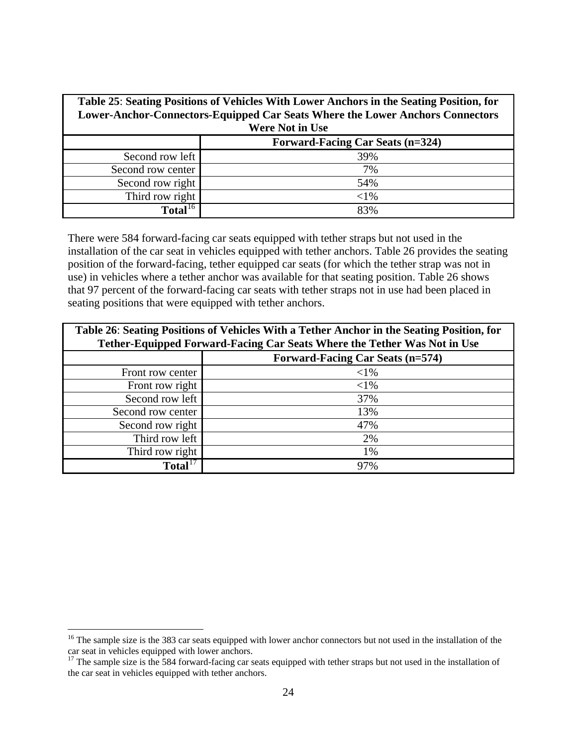| Table 25: Seating Positions of Vehicles With Lower Anchors in the Seating Position, for<br>Lower-Anchor-Connectors-Equipped Car Seats Where the Lower Anchors Connectors<br><b>Were Not in Use</b> |                                         |  |  |
|----------------------------------------------------------------------------------------------------------------------------------------------------------------------------------------------------|-----------------------------------------|--|--|
|                                                                                                                                                                                                    | <b>Forward-Facing Car Seats (n=324)</b> |  |  |
| Second row left                                                                                                                                                                                    | 39%                                     |  |  |
| Second row center                                                                                                                                                                                  | 7%                                      |  |  |
| Second row right                                                                                                                                                                                   | 54%                                     |  |  |
| Third row right                                                                                                                                                                                    | $<$ 1%                                  |  |  |
| Total <sup>16</sup>                                                                                                                                                                                | 83%                                     |  |  |

There were 584 forward-facing car seats equipped with tether straps but not used in the installation of the car seat in vehicles equipped with tether anchors. Table 26 provides the seating position of the forward-facing, tether equipped car seats (for which the tether strap was not in use) in vehicles where a tether anchor was available for that seating position. Table 26 shows that 97 percent of the forward-facing car seats with tether straps not in use had been placed in seating positions that were equipped with tether anchors.

| Table 26: Seating Positions of Vehicles With a Tether Anchor in the Seating Position, for<br>Tether-Equipped Forward-Facing Car Seats Where the Tether Was Not in Use |          |  |  |
|-----------------------------------------------------------------------------------------------------------------------------------------------------------------------|----------|--|--|
| <b>Forward-Facing Car Seats (n=574)</b>                                                                                                                               |          |  |  |
| Front row center                                                                                                                                                      | ${<}1\%$ |  |  |
| Front row right                                                                                                                                                       | $<$ 1%   |  |  |
| Second row left                                                                                                                                                       | 37%      |  |  |
| Second row center                                                                                                                                                     | 13%      |  |  |
| Second row right                                                                                                                                                      | 47%      |  |  |
| Third row left                                                                                                                                                        | 2%       |  |  |
| Third row right                                                                                                                                                       | 1%       |  |  |
| Total <sup>17</sup>                                                                                                                                                   | 97%      |  |  |

 $\overline{a}$ 

<span id="page-32-0"></span><sup>&</sup>lt;sup>16</sup> The sample size is the 383 car seats equipped with lower anchor connectors but not used in the installation of the car seat in vehicles equipped with lower anchors.

<span id="page-32-1"></span><sup>&</sup>lt;sup>17</sup> The sample size is the 584 forward-facing car seats equipped with tether straps but not used in the installation of the car seat in vehicles equipped with tether anchors.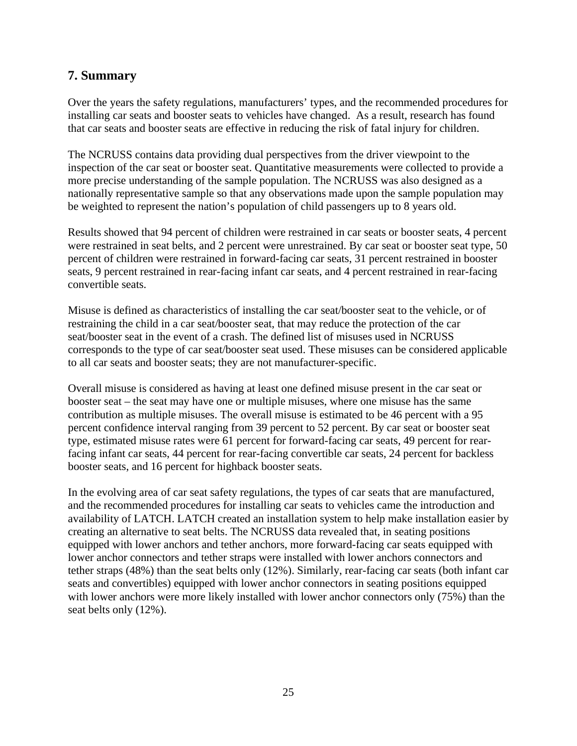# <span id="page-33-0"></span>**7. Summary**

Over the years the safety regulations, manufacturers' types, and the recommended procedures for installing car seats and booster seats to vehicles have changed. As a result, research has found that car seats and booster seats are effective in reducing the risk of fatal injury for children.

The NCRUSS contains data providing dual perspectives from the driver viewpoint to the inspection of the car seat or booster seat. Quantitative measurements were collected to provide a more precise understanding of the sample population. The NCRUSS was also designed as a nationally representative sample so that any observations made upon the sample population may be weighted to represent the nation's population of child passengers up to 8 years old.

Results showed that 94 percent of children were restrained in car seats or booster seats, 4 percent were restrained in seat belts, and 2 percent were unrestrained. By car seat or booster seat type, 50 percent of children were restrained in forward-facing car seats, 31 percent restrained in booster seats, 9 percent restrained in rear-facing infant car seats, and 4 percent restrained in rear-facing convertible seats.

Misuse is defined as characteristics of installing the car seat/booster seat to the vehicle, or of restraining the child in a car seat/booster seat, that may reduce the protection of the car seat/booster seat in the event of a crash. The defined list of misuses used in NCRUSS corresponds to the type of car seat/booster seat used. These misuses can be considered applicable to all car seats and booster seats; they are not manufacturer-specific.

Overall misuse is considered as having at least one defined misuse present in the car seat or booster seat – the seat may have one or multiple misuses, where one misuse has the same contribution as multiple misuses. The overall misuse is estimated to be 46 percent with a 95 percent confidence interval ranging from 39 percent to 52 percent. By car seat or booster seat type, estimated misuse rates were 61 percent for forward-facing car seats, 49 percent for rearfacing infant car seats, 44 percent for rear-facing convertible car seats, 24 percent for backless booster seats, and 16 percent for highback booster seats.

In the evolving area of car seat safety regulations, the types of car seats that are manufactured, and the recommended procedures for installing car seats to vehicles came the introduction and availability of LATCH. LATCH created an installation system to help make installation easier by creating an alternative to seat belts. The NCRUSS data revealed that, in seating positions equipped with lower anchors and tether anchors, more forward-facing car seats equipped with lower anchor connectors and tether straps were installed with lower anchors connectors and tether straps (48%) than the seat belts only (12%). Similarly, rear-facing car seats (both infant car seats and convertibles) equipped with lower anchor connectors in seating positions equipped with lower anchors were more likely installed with lower anchor connectors only (75%) than the seat belts only (12%).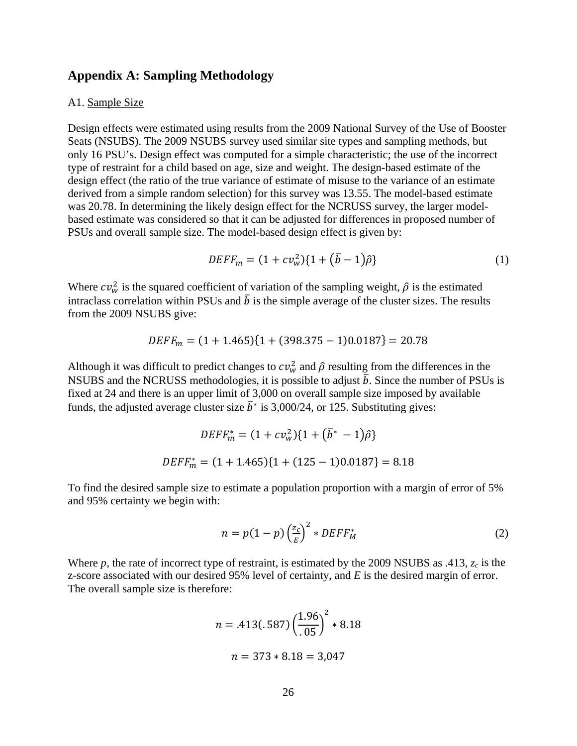#### <span id="page-34-0"></span>**Appendix A: Sampling Methodology**

#### <span id="page-34-1"></span>A1. Sample Size

Design effects were estimated using results from the 2009 National Survey of the Use of Booster Seats (NSUBS). The 2009 NSUBS survey used similar site types and sampling methods, but only 16 PSU's. Design effect was computed for a simple characteristic; the use of the incorrect type of restraint for a child based on age, size and weight. The design-based estimate of the design effect (the ratio of the true variance of estimate of misuse to the variance of an estimate derived from a simple random selection) for this survey was 13.55. The model-based estimate was 20.78. In determining the likely design effect for the NCRUSS survey, the larger modelbased estimate was considered so that it can be adjusted for differences in proposed number of PSUs and overall sample size. The model-based design effect is given by:

$$
DEFF_m = (1 + c v_w^2) \{ 1 + (\bar{b} - 1)\hat{\rho} \}
$$
 (1)

Where  $cv_w^2$  is the squared coefficient of variation of the sampling weight,  $\hat{\rho}$  is the estimated intraclass correlation within PSUs and  $\bar{b}$  is the simple average of the cluster sizes. The results from the 2009 NSUBS give:

$$
DEFF_m = (1 + 1.465)\{1 + (398.375 - 1)0.0187\} = 20.78
$$

Although it was difficult to predict changes to  $cv_w^2$  and  $\hat{\rho}$  resulting from the differences in the NSUBS and the NCRUSS methodologies, it is possible to adjust  $\bar{b}$ . Since the number of PSUs is fixed at 24 and there is an upper limit of 3,000 on overall sample size imposed by available funds, the adjusted average cluster size  $\bar{b}^*$  is 3,000/24, or 125. Substituting gives:

$$
DEF_{m}^{*} = (1 + cv_{w}^{2})\{1 + (\bar{b}^{*} - 1)\hat{\rho}\}
$$
  
DEF $F_{m}^{*} = (1 + 1.465)\{1 + (125 - 1)0.0187\} = 8.18$ 

To find the desired sample size to estimate a population proportion with a margin of error of 5% and 95% certainty we begin with:

$$
n = p(1-p)\left(\frac{z_c}{E}\right)^2 * DEFF_M^*
$$
 (2)

Where *p*, the rate of incorrect type of restraint, is estimated by the 2009 NSUBS as .413, *zc* is the z-score associated with our desired 95% level of certainty, and *E* is the desired margin of error. The overall sample size is therefore:

$$
n = .413(.587) \left(\frac{1.96}{.05}\right)^2 * 8.18
$$

$$
n = 373 * 8.18 = 3,047
$$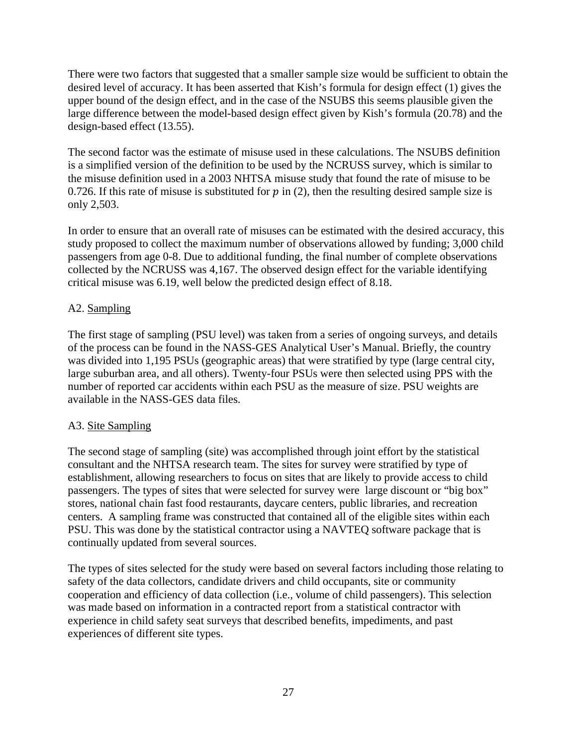There were two factors that suggested that a smaller sample size would be sufficient to obtain the desired level of accuracy. It has been asserted that Kish's formula for design effect (1) gives the upper bound of the design effect, and in the case of the NSUBS this seems plausible given the large difference between the model-based design effect given by Kish's formula (20.78) and the design-based effect (13.55).

The second factor was the estimate of misuse used in these calculations. The NSUBS definition is a simplified version of the definition to be used by the NCRUSS survey, which is similar to the misuse definition used in a 2003 NHTSA misuse study that found the rate of misuse to be 0.726. If this rate of misuse is substituted for  $p$  in (2), then the resulting desired sample size is only 2,503.

In order to ensure that an overall rate of misuses can be estimated with the desired accuracy, this study proposed to collect the maximum number of observations allowed by funding; 3,000 child passengers from age 0-8. Due to additional funding, the final number of complete observations collected by the NCRUSS was 4,167. The observed design effect for the variable identifying critical misuse was 6.19, well below the predicted design effect of 8.18.

# <span id="page-35-0"></span>A2. Sampling

The first stage of sampling (PSU level) was taken from a series of ongoing surveys, and details of the process can be found in the NASS-GES Analytical User's Manual. Briefly, the country was divided into 1,195 PSUs (geographic areas) that were stratified by type (large central city, large suburban area, and all others). Twenty-four PSUs were then selected using PPS with the number of reported car accidents within each PSU as the measure of size. PSU weights are available in the NASS-GES data files.

# <span id="page-35-1"></span>A3. Site Sampling

The second stage of sampling (site) was accomplished through joint effort by the statistical consultant and the NHTSA research team. The sites for survey were stratified by type of establishment, allowing researchers to focus on sites that are likely to provide access to child passengers. The types of sites that were selected for survey were large discount or "big box" stores, national chain fast food restaurants, daycare centers, public libraries, and recreation centers. A sampling frame was constructed that contained all of the eligible sites within each PSU. This was done by the statistical contractor using a NAVTEQ software package that is continually updated from several sources.

The types of sites selected for the study were based on several factors including those relating to safety of the data collectors, candidate drivers and child occupants, site or community cooperation and efficiency of data collection (i.e., volume of child passengers). This selection was made based on information in a contracted report from a statistical contractor with experience in child safety seat surveys that described benefits, impediments, and past experiences of different site types.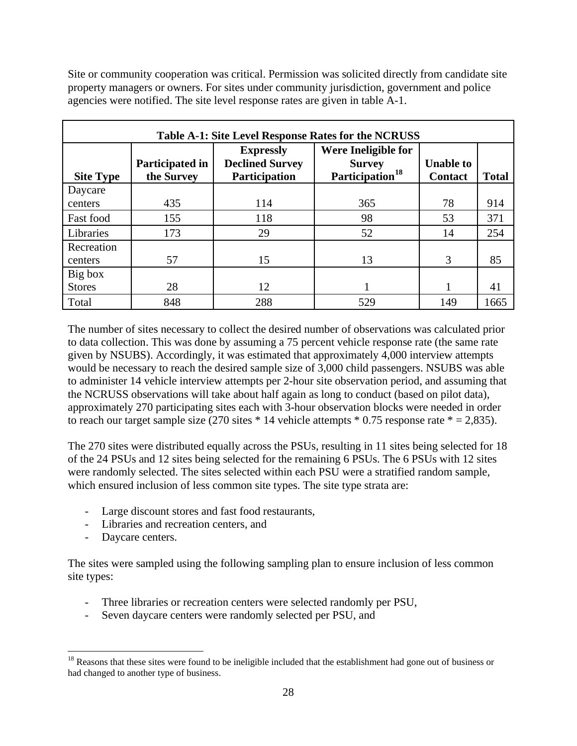Site or community cooperation was critical. Permission was solicited directly from candidate site property managers or owners. For sites under community jurisdiction, government and police agencies were notified. The site level response rates are given in table A-1.

| <b>Table A-1: Site Level Response Rates for the NCRUSS</b> |                               |                                                                    |                                                                     |                                    |              |  |  |
|------------------------------------------------------------|-------------------------------|--------------------------------------------------------------------|---------------------------------------------------------------------|------------------------------------|--------------|--|--|
| <b>Site Type</b>                                           | Participated in<br>the Survey | <b>Expressly</b><br><b>Declined Survey</b><br><b>Participation</b> | Were Ineligible for<br><b>Survey</b><br>Participation <sup>18</sup> | <b>Unable to</b><br><b>Contact</b> | <b>Total</b> |  |  |
| Daycare                                                    |                               |                                                                    |                                                                     |                                    |              |  |  |
| centers                                                    | 435                           | 114                                                                | 365                                                                 | 78                                 | 914          |  |  |
| Fast food                                                  | 155                           | 118                                                                | 98                                                                  | 53                                 | 371          |  |  |
| Libraries                                                  | 173                           | 29                                                                 | 52                                                                  | 14                                 | 254          |  |  |
| Recreation                                                 |                               |                                                                    |                                                                     |                                    |              |  |  |
| centers                                                    | 57                            | 15                                                                 | 13                                                                  | 3                                  | 85           |  |  |
| Big box                                                    |                               |                                                                    |                                                                     |                                    |              |  |  |
| <b>Stores</b>                                              | 28                            | 12                                                                 |                                                                     |                                    | 41           |  |  |
| Total                                                      | 848                           | 288                                                                | 529                                                                 | 149                                | 1665         |  |  |

The number of sites necessary to collect the desired number of observations was calculated prior to data collection. This was done by assuming a 75 percent vehicle response rate (the same rate given by NSUBS). Accordingly, it was estimated that approximately 4,000 interview attempts would be necessary to reach the desired sample size of 3,000 child passengers. NSUBS was able to administer 14 vehicle interview attempts per 2-hour site observation period, and assuming that the NCRUSS observations will take about half again as long to conduct (based on pilot data), approximately 270 participating sites each with 3-hour observation blocks were needed in order to reach our target sample size (270 sites  $*$  14 vehicle attempts  $*$  0.75 response rate  $*$  = 2,835).

The 270 sites were distributed equally across the PSUs, resulting in 11 sites being selected for 18 of the 24 PSUs and 12 sites being selected for the remaining 6 PSUs. The 6 PSUs with 12 sites were randomly selected. The sites selected within each PSU were a stratified random sample, which ensured inclusion of less common site types. The site type strata are:

- Large discount stores and fast food restaurants,
- Libraries and recreation centers, and
- Daycare centers.

The sites were sampled using the following sampling plan to ensure inclusion of less common site types:

- Three libraries or recreation centers were selected randomly per PSU,
- Seven daycare centers were randomly selected per PSU, and

<span id="page-36-0"></span> $\overline{a}$ <sup>18</sup> Reasons that these sites were found to be ineligible included that the establishment had gone out of business or had changed to another type of business.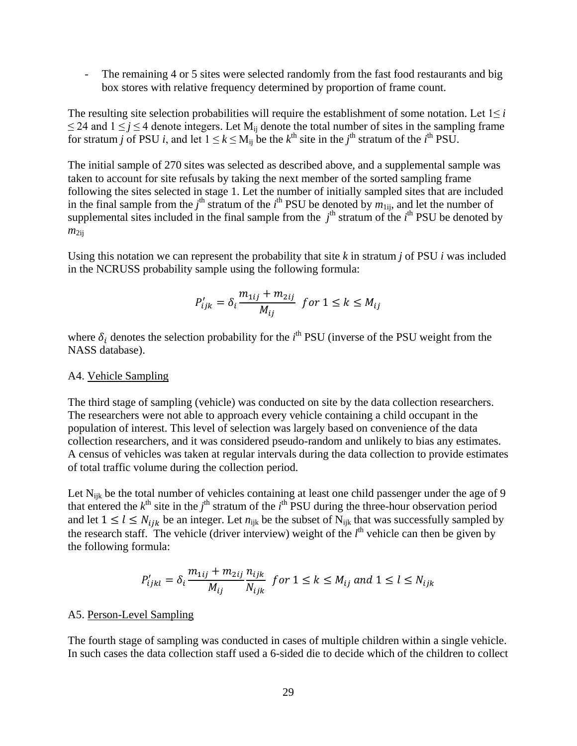The remaining 4 or 5 sites were selected randomly from the fast food restaurants and big box stores with relative frequency determined by proportion of frame count.

The resulting site selection probabilities will require the establishment of some notation. Let  $1 \leq i$  $\leq$  24 and 1  $\leq$  *j*  $\leq$  4 denote integers. Let M<sub>ij</sub> denote the total number of sites in the sampling frame for stratum *j* of PSU *i*, and let  $1 \le k \le M_{ij}$  be the  $k^{\text{th}}$  site in the *j*<sup>th</sup> stratum of the *i*<sup>th</sup> PSU.

The initial sample of 270 sites was selected as described above, and a supplemental sample was taken to account for site refusals by taking the next member of the sorted sampling frame following the sites selected in stage 1. Let the number of initially sampled sites that are included in the final sample from the  $j^{\text{th}}$  stratum of the  $i^{\text{th}}$  PSU be denoted by  $m_{1ij}$ , and let the number of supplemental sites included in the final sample from the  $j<sup>th</sup>$  stratum of the  $i<sup>th</sup>$  PSU be denoted by  $m_{2ii}$ 

Using this notation we can represent the probability that site  $k$  in stratum  $j$  of PSU  $i$  was included in the NCRUSS probability sample using the following formula:

$$
P'_{ijk} = \delta_i \frac{m_{1ij} + m_{2ij}}{M_{ij}} \text{ for } 1 \le k \le M_{ij}
$$

where  $\delta_i$  denotes the selection probability for the  $i^{\text{th}}$  PSU (inverse of the PSU weight from the NASS database).

#### <span id="page-37-0"></span>A4. Vehicle Sampling

The third stage of sampling (vehicle) was conducted on site by the data collection researchers. The researchers were not able to approach every vehicle containing a child occupant in the population of interest. This level of selection was largely based on convenience of the data collection researchers, and it was considered pseudo-random and unlikely to bias any estimates. A census of vehicles was taken at regular intervals during the data collection to provide estimates of total traffic volume during the collection period.

Let  $N_{ijk}$  be the total number of vehicles containing at least one child passenger under the age of 9 that entered the  $k^{\text{th}}$  site in the  $j^{\text{th}}$  stratum of the  $i^{\text{th}}$  PSU during the three-hour observation period and let  $1 \leq l \leq N_{ijk}$  be an integer. Let  $n_{ijk}$  be the subset of  $N_{ijk}$  that was successfully sampled by the research staff. The vehicle (driver interview) weight of the  $l<sup>th</sup>$  vehicle can then be given by the following formula:

$$
P'_{ijkl} = \delta_i \frac{m_{1ij} + m_{2ij}}{M_{ij}} \frac{n_{ijk}}{N_{ijk}} \text{ for } 1 \le k \le M_{ij} \text{ and } 1 \le l \le N_{ijk}
$$

#### <span id="page-37-1"></span>A5. Person-Level Sampling

The fourth stage of sampling was conducted in cases of multiple children within a single vehicle. In such cases the data collection staff used a 6-sided die to decide which of the children to collect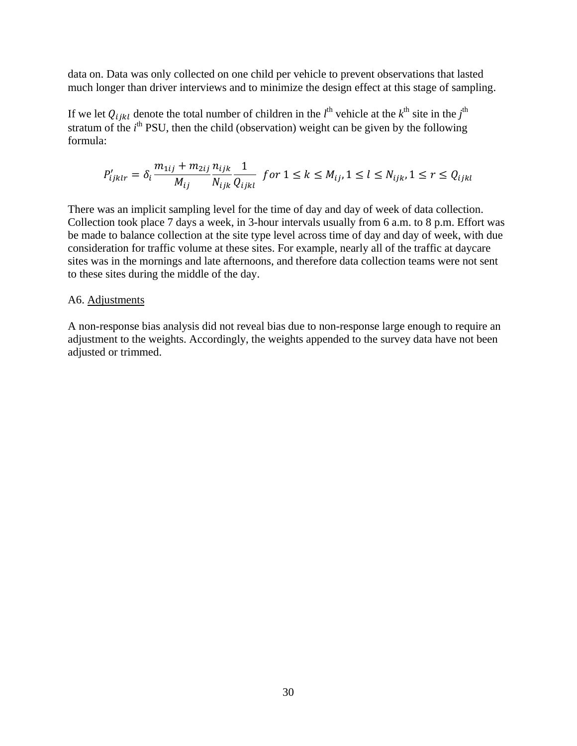data on. Data was only collected on one child per vehicle to prevent observations that lasted much longer than driver interviews and to minimize the design effect at this stage of sampling.

If we let  $Q_{ijkl}$  denote the total number of children in the  $l^{\text{th}}$  vehicle at the  $k^{\text{th}}$  site in the  $j^{\text{th}}$ stratum of the  $i<sup>th</sup>$  PSU, then the child (observation) weight can be given by the following formula:

$$
P'_{ijklr} = \delta_i \frac{m_{1ij} + m_{2ij}}{M_{ij}} \frac{n_{ijk}}{N_{ijk}} \frac{1}{Q_{ijkl}} \text{ for } 1 \leq k \leq M_{ij}, 1 \leq l \leq N_{ijk}, 1 \leq r \leq Q_{ijkl}
$$

There was an implicit sampling level for the time of day and day of week of data collection. Collection took place 7 days a week, in 3-hour intervals usually from 6 a.m. to 8 p.m. Effort was be made to balance collection at the site type level across time of day and day of week, with due consideration for traffic volume at these sites. For example, nearly all of the traffic at daycare sites was in the mornings and late afternoons, and therefore data collection teams were not sent to these sites during the middle of the day.

#### <span id="page-38-0"></span>A6. Adjustments

A non-response bias analysis did not reveal bias due to non-response large enough to require an adjustment to the weights. Accordingly, the weights appended to the survey data have not been adjusted or trimmed.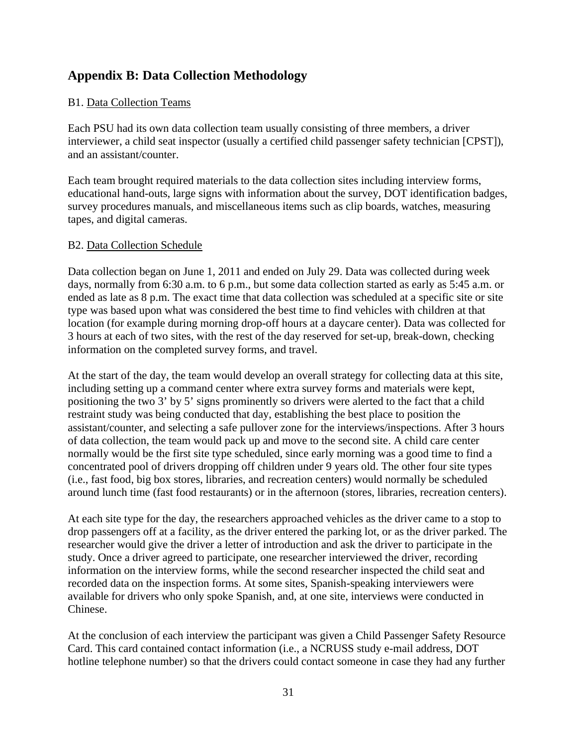# <span id="page-39-0"></span>**Appendix B: Data Collection Methodology**

# <span id="page-39-1"></span>B1. Data Collection Teams

Each PSU had its own data collection team usually consisting of three members, a driver interviewer, a child seat inspector (usually a certified child passenger safety technician [CPST]), and an assistant/counter.

Each team brought required materials to the data collection sites including interview forms, educational hand-outs, large signs with information about the survey, DOT identification badges, survey procedures manuals, and miscellaneous items such as clip boards, watches, measuring tapes, and digital cameras.

# <span id="page-39-2"></span>B2. Data Collection Schedule

Data collection began on June 1, 2011 and ended on July 29. Data was collected during week days, normally from 6:30 a.m. to 6 p.m., but some data collection started as early as 5:45 a.m. or ended as late as 8 p.m. The exact time that data collection was scheduled at a specific site or site type was based upon what was considered the best time to find vehicles with children at that location (for example during morning drop-off hours at a daycare center). Data was collected for 3 hours at each of two sites, with the rest of the day reserved for set-up, break-down, checking information on the completed survey forms, and travel.

At the start of the day, the team would develop an overall strategy for collecting data at this site, including setting up a command center where extra survey forms and materials were kept, positioning the two 3' by 5' signs prominently so drivers were alerted to the fact that a child restraint study was being conducted that day, establishing the best place to position the assistant/counter, and selecting a safe pullover zone for the interviews/inspections. After 3 hours of data collection, the team would pack up and move to the second site. A child care center normally would be the first site type scheduled, since early morning was a good time to find a concentrated pool of drivers dropping off children under 9 years old. The other four site types (i.e., fast food, big box stores, libraries, and recreation centers) would normally be scheduled around lunch time (fast food restaurants) or in the afternoon (stores, libraries, recreation centers).

At each site type for the day, the researchers approached vehicles as the driver came to a stop to drop passengers off at a facility, as the driver entered the parking lot, or as the driver parked. The researcher would give the driver a letter of introduction and ask the driver to participate in the study. Once a driver agreed to participate, one researcher interviewed the driver, recording information on the interview forms, while the second researcher inspected the child seat and recorded data on the inspection forms. At some sites, Spanish-speaking interviewers were available for drivers who only spoke Spanish, and, at one site, interviews were conducted in Chinese.

At the conclusion of each interview the participant was given a Child Passenger Safety Resource Card. This card contained contact information (i.e., a NCRUSS study e-mail address, DOT hotline telephone number) so that the drivers could contact someone in case they had any further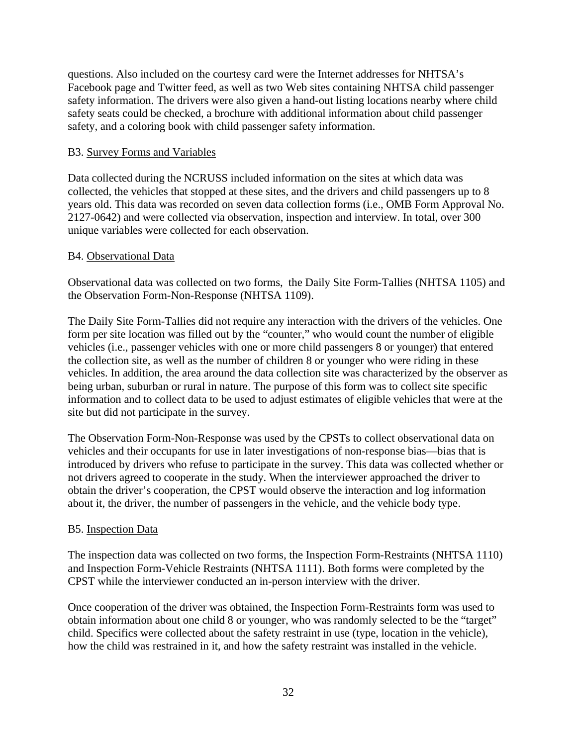questions. Also included on the courtesy card were the Internet addresses for NHTSA's Facebook page and Twitter feed, as well as two Web sites containing NHTSA child passenger safety information. The drivers were also given a hand-out listing locations nearby where child safety seats could be checked, a brochure with additional information about child passenger safety, and a coloring book with child passenger safety information.

## <span id="page-40-0"></span>B3. Survey Forms and Variables

Data collected during the NCRUSS included information on the sites at which data was collected, the vehicles that stopped at these sites, and the drivers and child passengers up to 8 years old. This data was recorded on seven data collection forms (i.e., OMB Form Approval No. 2127-0642) and were collected via observation, inspection and interview. In total, over 300 unique variables were collected for each observation.

## <span id="page-40-1"></span>B4. Observational Data

Observational data was collected on two forms, the Daily Site Form-Tallies (NHTSA 1105) and the Observation Form-Non-Response (NHTSA 1109).

The Daily Site Form-Tallies did not require any interaction with the drivers of the vehicles. One form per site location was filled out by the "counter," who would count the number of eligible vehicles (i.e., passenger vehicles with one or more child passengers 8 or younger) that entered the collection site, as well as the number of children 8 or younger who were riding in these vehicles. In addition, the area around the data collection site was characterized by the observer as being urban, suburban or rural in nature. The purpose of this form was to collect site specific information and to collect data to be used to adjust estimates of eligible vehicles that were at the site but did not participate in the survey.

The Observation Form-Non-Response was used by the CPSTs to collect observational data on vehicles and their occupants for use in later investigations of non-response bias—bias that is introduced by drivers who refuse to participate in the survey. This data was collected whether or not drivers agreed to cooperate in the study. When the interviewer approached the driver to obtain the driver's cooperation, the CPST would observe the interaction and log information about it, the driver, the number of passengers in the vehicle, and the vehicle body type.

## <span id="page-40-2"></span>B5. Inspection Data

The inspection data was collected on two forms, the Inspection Form-Restraints (NHTSA 1110) and Inspection Form-Vehicle Restraints (NHTSA 1111). Both forms were completed by the CPST while the interviewer conducted an in-person interview with the driver.

Once cooperation of the driver was obtained, the Inspection Form-Restraints form was used to obtain information about one child 8 or younger, who was randomly selected to be the "target" child. Specifics were collected about the safety restraint in use (type, location in the vehicle), how the child was restrained in it, and how the safety restraint was installed in the vehicle.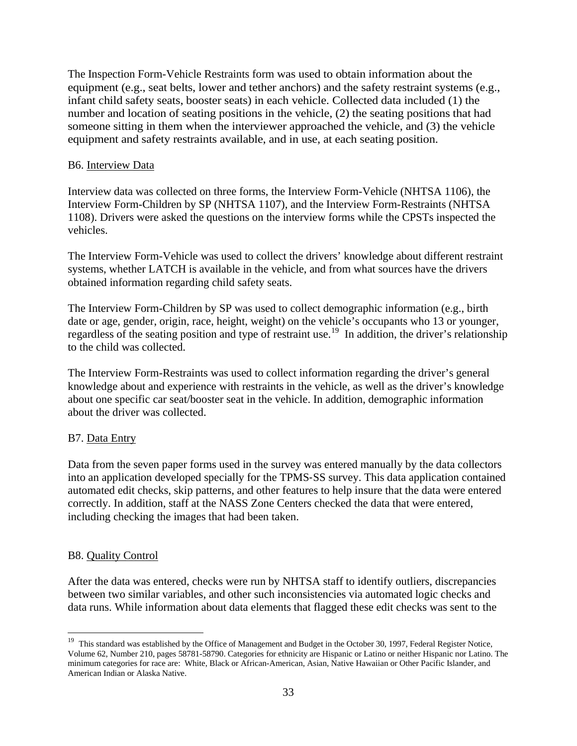The Inspection Form-Vehicle Restraints form was used to obtain information about the equipment (e.g., seat belts, lower and tether anchors) and the safety restraint systems (e.g., infant child safety seats, booster seats) in each vehicle. Collected data included (1) the number and location of seating positions in the vehicle, (2) the seating positions that had someone sitting in them when the interviewer approached the vehicle, and (3) the vehicle equipment and safety restraints available, and in use, at each seating position.

## <span id="page-41-0"></span>B6. Interview Data

Interview data was collected on three forms, the Interview Form-Vehicle (NHTSA 1106), the Interview Form-Children by SP (NHTSA 1107), and the Interview Form-Restraints (NHTSA 1108). Drivers were asked the questions on the interview forms while the CPSTs inspected the vehicles.

The Interview Form-Vehicle was used to collect the drivers' knowledge about different restraint systems, whether LATCH is available in the vehicle, and from what sources have the drivers obtained information regarding child safety seats.

The Interview Form-Children by SP was used to collect demographic information (e.g., birth date or age, gender, origin, race, height, weight) on the vehicle's occupants who 13 or younger, regardless of the seating position and type of restraint use.<sup>19</sup> In addition, the driver's relationship to the child was collected.

The Interview Form-Restraints was used to collect information regarding the driver's general knowledge about and experience with restraints in the vehicle, as well as the driver's knowledge about one specific car seat/booster seat in the vehicle. In addition, demographic information about the driver was collected.

# <span id="page-41-1"></span>B7. Data Entry

Data from the seven paper forms used in the survey was entered manually by the data collectors into an application developed specially for the TPMS‐SS survey. This data application contained automated edit checks, skip patterns, and other features to help insure that the data were entered correctly. In addition, staff at the NASS Zone Centers checked the data that were entered, including checking the images that had been taken.

## <span id="page-41-2"></span>B8. Quality Control

After the data was entered, checks were run by NHTSA staff to identify outliers, discrepancies between two similar variables, and other such inconsistencies via automated logic checks and data runs. While information about data elements that flagged these edit checks was sent to the

<span id="page-41-3"></span> $\overline{a}$ <sup>19</sup> This standard was established by the Office of Management and Budget in the October 30, 1997, Federal Register Notice, Volume 62, Number 210, pages 58781-58790. Categories for ethnicity are Hispanic or Latino or neither Hispanic nor Latino. The minimum categories for race are: White, Black or African-American, Asian, Native Hawaiian or Other Pacific Islander, and American Indian or Alaska Native.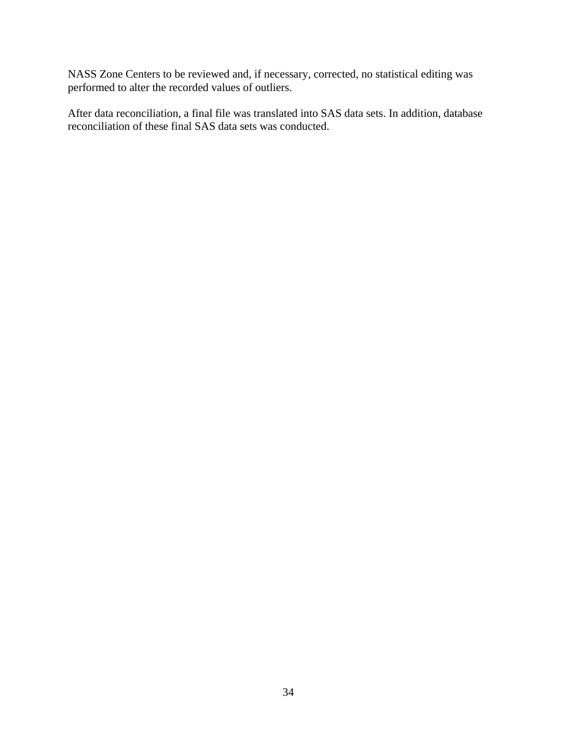NASS Zone Centers to be reviewed and, if necessary, corrected, no statistical editing was performed to alter the recorded values of outliers.

After data reconciliation, a final file was translated into SAS data sets. In addition, database reconciliation of these final SAS data sets was conducted.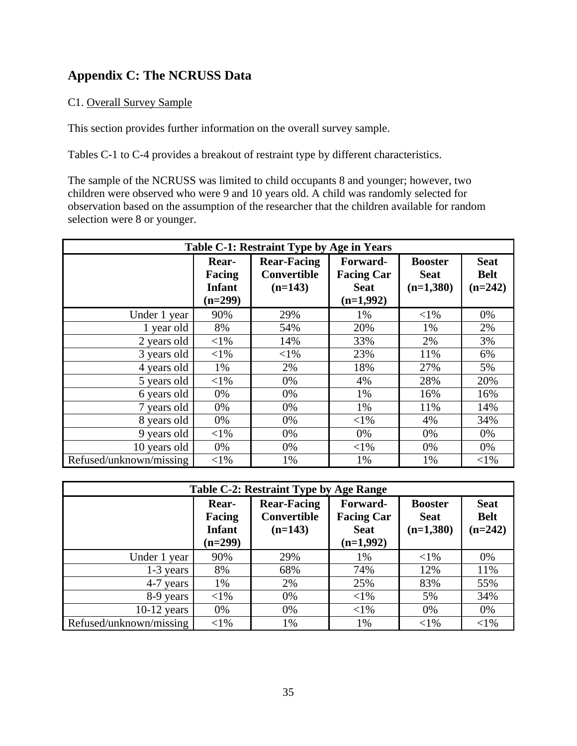# <span id="page-43-0"></span>**Appendix C: The NCRUSS Data**

# <span id="page-43-1"></span>C1. Overall Survey Sample

This section provides further information on the overall survey sample.

Tables C-1 to C-4 provides a breakout of restraint type by different characteristics.

The sample of the NCRUSS was limited to child occupants 8 and younger; however, two children were observed who were 9 and 10 years old. A child was randomly selected for observation based on the assumption of the researcher that the children available for random selection were 8 or younger.

| Table C-1: Restraint Type by Age in Years |                                               |                                                |                                                             |                                              |                                         |
|-------------------------------------------|-----------------------------------------------|------------------------------------------------|-------------------------------------------------------------|----------------------------------------------|-----------------------------------------|
|                                           | Rear-<br>Facing<br><b>Infant</b><br>$(n=299)$ | <b>Rear-Facing</b><br>Convertible<br>$(n=143)$ | Forward-<br><b>Facing Car</b><br><b>Seat</b><br>$(n=1,992)$ | <b>Booster</b><br><b>Seat</b><br>$(n=1,380)$ | <b>Seat</b><br><b>Belt</b><br>$(n=242)$ |
| Under 1 year                              | 90%                                           | 29%                                            | 1%                                                          | $<$ 1%                                       | 0%                                      |
| 1 year old                                | 8%                                            | 54%                                            | 20%                                                         | 1%                                           | 2%                                      |
| 2 years old                               | $<$ 1%                                        | 14%                                            | 33%                                                         | 2%                                           | 3%                                      |
| 3 years old                               | $<$ 1%                                        | $<$ 1%                                         | 23%                                                         | 11%                                          | 6%                                      |
| 4 years old                               | 1%                                            | 2%                                             | 18%                                                         | 27%                                          | 5%                                      |
| 5 years old                               | $<$ 1%                                        | 0%                                             | 4%                                                          | 28%                                          | 20%                                     |
| 6 years old                               | 0%                                            | 0%                                             | 1%                                                          | 16%                                          | 16%                                     |
| 7 years old                               | 0%                                            | 0%                                             | 1%                                                          | 11%                                          | 14%                                     |
| 8 years old                               | 0%                                            | 0%                                             | $<$ 1%                                                      | 4%                                           | 34%                                     |
| 9 years old                               | ${<}1\%$                                      | 0%                                             | 0%                                                          | 0%                                           | 0%                                      |
| 10 years old                              | 0%                                            | 0%                                             | $<$ 1%                                                      | 0%                                           | 0%                                      |
| Refused/unknown/missing                   | $< 1\%$                                       | 1%                                             | 1%                                                          | 1%                                           | $< 1\%$                                 |

| Table C-2: Restraint Type by Age Range                                                                                                                                                                                                                    |          |     |        |          |        |  |
|-----------------------------------------------------------------------------------------------------------------------------------------------------------------------------------------------------------------------------------------------------------|----------|-----|--------|----------|--------|--|
| <b>Rear-Facing</b><br>Forward-<br><b>Seat</b><br>Rear-<br><b>Booster</b><br>Convertible<br><b>Facing Car</b><br><b>Belt</b><br>Facing<br><b>Seat</b><br>$(n=242)$<br><b>Infant</b><br>$(n=1,380)$<br>$(n=143)$<br><b>Seat</b><br>$(n=1,992)$<br>$(n=299)$ |          |     |        |          |        |  |
| Under 1 year                                                                                                                                                                                                                                              | 90%      | 29% | 1%     | $<$ 1%   | $0\%$  |  |
| $1-3$ years                                                                                                                                                                                                                                               | 8%       | 68% | 74%    | 12%      | 11%    |  |
| 4-7 years                                                                                                                                                                                                                                                 | 1%       | 2%  | 25%    | 83%      | 55%    |  |
| 8-9 years                                                                                                                                                                                                                                                 | $<$ 1%   | 0%  | $<$ 1% | 5%       | 34%    |  |
| $10-12$ years                                                                                                                                                                                                                                             | 0%       | 0%  | $<$ 1% | 0%       | 0%     |  |
| Refused/unknown/missing                                                                                                                                                                                                                                   | ${<}1\%$ | 1%  | 1%     | ${<}1\%$ | $<$ 1% |  |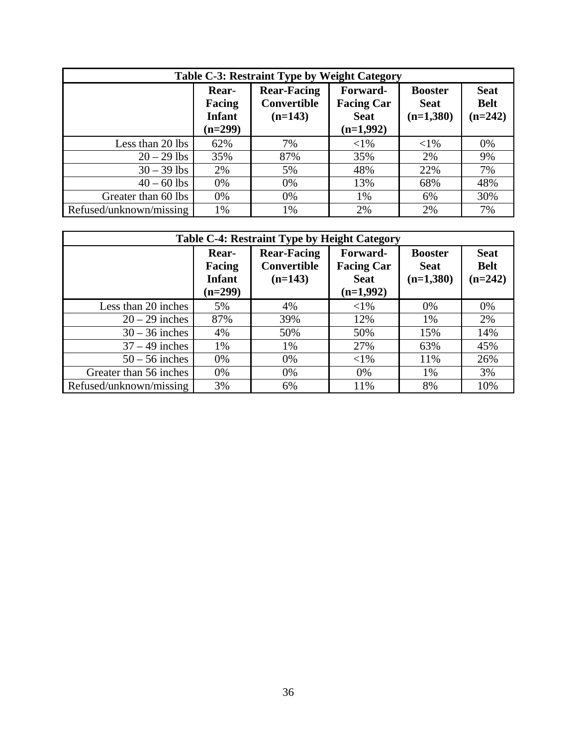| Table C-3: Restraint Type by Weight Category |                                               |                                                |                                                             |                                              |                                         |
|----------------------------------------------|-----------------------------------------------|------------------------------------------------|-------------------------------------------------------------|----------------------------------------------|-----------------------------------------|
|                                              | Rear-<br>Facing<br><b>Infant</b><br>$(n=299)$ | <b>Rear-Facing</b><br>Convertible<br>$(n=143)$ | Forward-<br><b>Facing Car</b><br><b>Seat</b><br>$(n=1,992)$ | <b>Booster</b><br><b>Seat</b><br>$(n=1,380)$ | <b>Seat</b><br><b>Belt</b><br>$(n=242)$ |
| Less than 20 lbs                             | 62%                                           | 7%                                             | $<$ 1%                                                      | ${<}1\%$                                     | 0%                                      |
| $20 - 29$ lbs                                | 35%                                           | 87%                                            | 35%                                                         | 2%                                           | 9%                                      |
| $30 - 39$ lbs                                | 2%                                            | 5%                                             | 48%                                                         | 22%                                          | 7%                                      |
| $40 - 60$ lbs                                | 0%                                            | 0%                                             | 13%                                                         | 68%                                          | 48%                                     |
| Greater than 60 lbs                          | 0%                                            | 0%                                             | 1%                                                          | 6%                                           | 30%                                     |
| Refused/unknown/missing                      | 1%                                            | 1%                                             | 2%                                                          | 2%                                           | 7%                                      |

| <b>Table C-4: Restraint Type by Height Category</b> |                                               |                                                       |                                                             |                                              |                                         |  |
|-----------------------------------------------------|-----------------------------------------------|-------------------------------------------------------|-------------------------------------------------------------|----------------------------------------------|-----------------------------------------|--|
|                                                     | Rear-<br>Facing<br><b>Infant</b><br>$(n=299)$ | <b>Rear-Facing</b><br><b>Convertible</b><br>$(n=143)$ | Forward-<br><b>Facing Car</b><br><b>Seat</b><br>$(n=1,992)$ | <b>Booster</b><br><b>Seat</b><br>$(n=1,380)$ | <b>Seat</b><br><b>Belt</b><br>$(n=242)$ |  |
| Less than 20 inches                                 | 5%                                            | 4%                                                    | $<$ 1%                                                      | 0%                                           | 0%                                      |  |
| $20 - 29$ inches                                    | 87%                                           | 39%                                                   | 12%                                                         | 1%                                           | 2%                                      |  |
| $30 - 36$ inches                                    | 4%                                            | 50%                                                   | 50%                                                         | 15%                                          | 14%                                     |  |
| $37 - 49$ inches                                    | 1%                                            | 1%                                                    | 27%                                                         | 63%                                          | 45%                                     |  |
| $50 - 56$ inches                                    | 0%                                            | 0%                                                    | $<$ 1%                                                      | 11%                                          | 26%                                     |  |
| Greater than 56 inches                              | 0%                                            | 0%                                                    | $0\%$                                                       | 1%                                           | 3%                                      |  |
| Refused/unknown/missing                             | 3%                                            | 6%                                                    | 11%                                                         | 8%                                           | 10%                                     |  |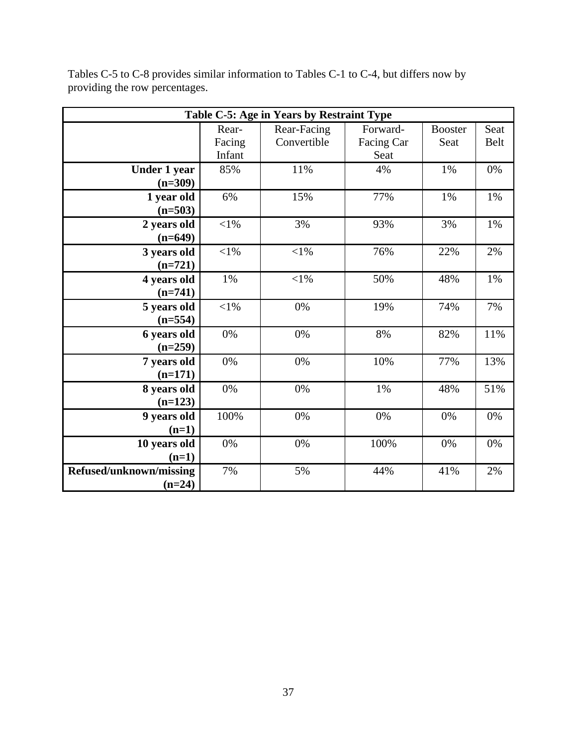| Table C-5: Age in Years by Restraint Type |            |             |            |                |             |
|-------------------------------------------|------------|-------------|------------|----------------|-------------|
|                                           | Rear-      | Rear-Facing | Forward-   | <b>Booster</b> | Seat        |
|                                           | Facing     | Convertible | Facing Car | Seat           | <b>Belt</b> |
|                                           | Infant     |             | Seat       |                |             |
| <b>Under 1 year</b>                       | 85%        | 11%         | 4%         | 1%             | 0%          |
| $(n=309)$                                 |            |             |            |                |             |
| 1 year old                                | 6%         | 15%         | 77%        | 1%             | $1\%$       |
| $(n=503)$                                 |            |             |            |                |             |
| 2 years old                               | $<\!\!1\%$ | 3%          | 93%        | 3%             | 1%          |
| $(n=649)$                                 |            |             |            |                |             |
| 3 years old                               | $<$ 1%     | $<$ 1%      | 76%        | 22%            | 2%          |
| $(n=721)$                                 |            |             |            |                |             |
| 4 years old                               | 1%         | $<$ l $%$   | 50%        | 48%            | 1%          |
| $(n=741)$                                 |            |             |            |                |             |
| 5 years old                               | $<\!\!1\%$ | 0%          | 19%        | 74%            | 7%          |
| $(n=554)$                                 |            |             |            |                |             |
| 6 years old                               | $0\%$      | 0%          | 8%         | 82%            | 11%         |
| $(n=259)$                                 |            |             |            |                |             |
| 7 years old                               | $0\%$      | 0%          | 10%        | 77%            | 13%         |
| $(n=171)$                                 |            |             |            |                |             |
| 8 years old                               | 0%         | 0%          | 1%         | 48%            | 51%         |
| $(n=123)$                                 |            |             |            |                |             |
| 9 years old                               | 100%       | 0%          | 0%         | 0%             | 0%          |
| $(n=1)$                                   |            |             |            |                |             |
| 10 years old                              | 0%         | $0\%$       | 100%       | 0%             | 0%          |
| $(n=1)$                                   |            |             |            |                |             |
| Refused/unknown/missing                   | 7%         | 5%          | 44%        | 41%            | 2%          |
| $(n=24)$                                  |            |             |            |                |             |

Tables C-5 to C-8 provides similar information to Tables C-1 to C-4, but differs now by providing the row percentages.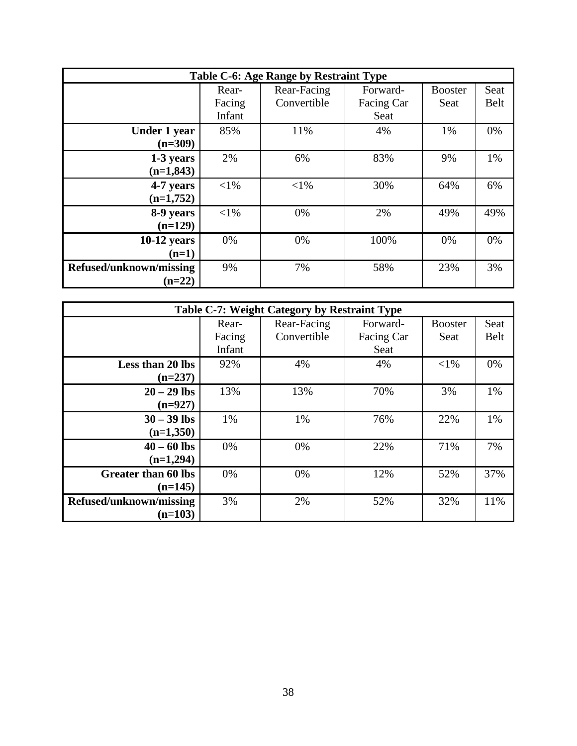| Table C-6: Age Range by Restraint Type |        |             |            |                |             |
|----------------------------------------|--------|-------------|------------|----------------|-------------|
|                                        | Rear-  | Rear-Facing | Forward-   | <b>Booster</b> | Seat        |
|                                        | Facing | Convertible | Facing Car | Seat           | <b>Belt</b> |
|                                        | Infant |             | Seat       |                |             |
| Under 1 year                           | 85%    | 11%         | 4%         | 1%             | 0%          |
| $(n=309)$                              |        |             |            |                |             |
| 1-3 years                              | 2%     | 6%          | 83%        | 9%             | 1%          |
| $(n=1,843)$                            |        |             |            |                |             |
| 4-7 years                              | $<$ 1% | $<$ 1%      | 30%        | 64%            | 6%          |
| $(n=1,752)$                            |        |             |            |                |             |
| 8-9 years                              | $<$ 1% | 0%          | 2%         | 49%            | 49%         |
| $(n=129)$                              |        |             |            |                |             |
| $10-12$ years                          | 0%     | 0%          | 100%       | 0%             | 0%          |
| $(n=1)$                                |        |             |            |                |             |
| Refused/unknown/missing                | 9%     | 7%          | 58%        | 23%            | 3%          |
| $(n=22)$                               |        |             |            |                |             |

|                            |        | Table C-7: Weight Category by Restraint Type |            |                |             |
|----------------------------|--------|----------------------------------------------|------------|----------------|-------------|
|                            | Rear-  | Rear-Facing                                  | Forward-   | <b>Booster</b> | Seat        |
|                            | Facing | Convertible                                  | Facing Car | Seat           | <b>Belt</b> |
|                            | Infant |                                              | Seat       |                |             |
| Less than 20 lbs           | 92%    | 4%                                           | 4%         | $<$ 1%         | 0%          |
| $(n=237)$                  |        |                                              |            |                |             |
| $20 - 29$ lbs              | 13%    | 13%                                          | 70%        | 3%             | 1%          |
| $(n=927)$                  |        |                                              |            |                |             |
| $30 - 39$ lbs              | 1%     | 1%                                           | 76%        | 22%            | 1%          |
| $(n=1,350)$                |        |                                              |            |                |             |
| $40 - 60$ lbs              | 0%     | 0%                                           | 22%        | 71%            | 7%          |
| $(n=1,294)$                |        |                                              |            |                |             |
| <b>Greater than 60 lbs</b> | 0%     | 0%                                           | 12%        | 52%            | 37%         |
| $(n=145)$                  |        |                                              |            |                |             |
| Refused/unknown/missing    | 3%     | 2%                                           | 52%        | 32%            | 11%         |
| $(n=103)$                  |        |                                              |            |                |             |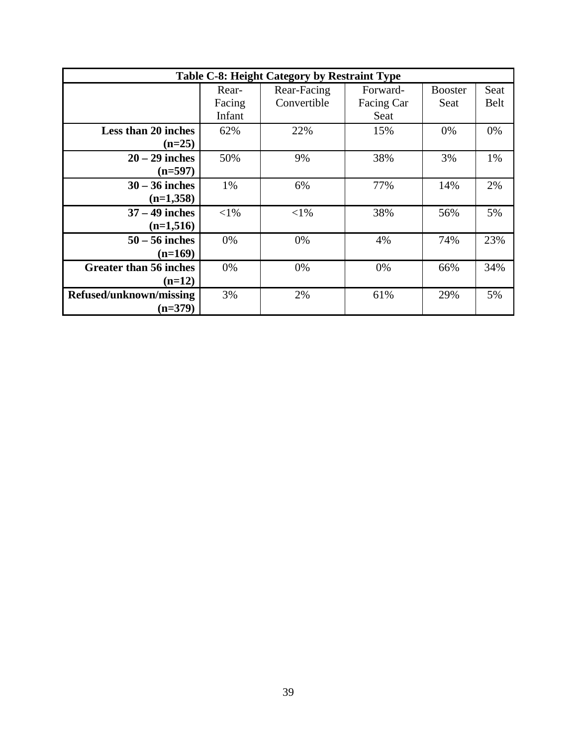|                                           | Table C-8: Height Category by Restraint Type |                            |                                |                        |                     |  |
|-------------------------------------------|----------------------------------------------|----------------------------|--------------------------------|------------------------|---------------------|--|
|                                           | Rear-<br>Facing<br>Infant                    | Rear-Facing<br>Convertible | Forward-<br>Facing Car<br>Seat | <b>Booster</b><br>Seat | Seat<br><b>Belt</b> |  |
| Less than 20 inches<br>$(n=25)$           | 62%                                          | 22%                        | 15%                            | 0%                     | 0%                  |  |
| $20 - 29$ inches<br>$(n=597)$             | 50%                                          | 9%                         | 38%                            | 3%                     | 1%                  |  |
| $30 - 36$ inches<br>$(n=1,358)$           | 1%                                           | 6%                         | 77%                            | 14%                    | 2%                  |  |
| $37 - 49$ inches<br>$(n=1,516)$           | $< 1\%$                                      | $< 1\%$                    | 38%                            | 56%                    | 5%                  |  |
| $50 - 56$ inches<br>$(n=169)$             | $0\%$                                        | 0%                         | 4%                             | 74%                    | 23%                 |  |
| <b>Greater than 56 inches</b><br>$(n=12)$ | $0\%$                                        | 0%                         | 0%                             | 66%                    | 34%                 |  |
| Refused/unknown/missing<br>$(n=379)$      | 3%                                           | 2%                         | 61%                            | 29%                    | 5%                  |  |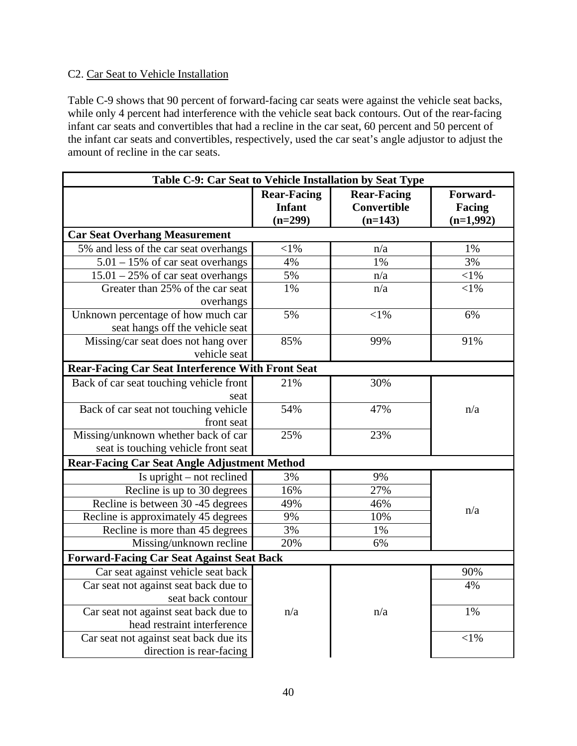# <span id="page-48-0"></span>C2. Car Seat to Vehicle Installation

Table C-9 shows that 90 percent of forward-facing car seats were against the vehicle seat backs, while only 4 percent had interference with the vehicle seat back contours. Out of the rear-facing infant car seats and convertibles that had a recline in the car seat, 60 percent and 50 percent of the infant car seats and convertibles, respectively, used the car seat's angle adjustor to adjust the amount of recline in the car seats.

| Table C-9: Car Seat to Vehicle Installation by Seat Type |                                           |                                                |                                   |
|----------------------------------------------------------|-------------------------------------------|------------------------------------------------|-----------------------------------|
|                                                          | <b>Rear-Facing</b><br>Infant<br>$(n=299)$ | <b>Rear-Facing</b><br>Convertible<br>$(n=143)$ | Forward-<br>Facing<br>$(n=1,992)$ |
| <b>Car Seat Overhang Measurement</b>                     |                                           |                                                |                                   |
| 5% and less of the car seat overhangs                    | $<$ l $%$                                 | n/a                                            | 1%                                |
| $5.01 - 15\%$ of car seat overhangs                      | 4%                                        | 1%                                             | 3%                                |
| $15.01 - 25\%$ of car seat overhangs                     | 5%                                        | n/a                                            | $<$ l $%$                         |
| Greater than 25% of the car seat                         | 1%                                        | n/a                                            | $<$ 1%                            |
| overhangs                                                |                                           |                                                |                                   |
| Unknown percentage of how much car                       | 5%                                        | $<$ 1%                                         | 6%                                |
| seat hangs off the vehicle seat                          |                                           |                                                |                                   |
| Missing/car seat does not hang over                      | 85%                                       | 99%                                            | 91%                               |
| vehicle seat                                             |                                           |                                                |                                   |
| <b>Rear-Facing Car Seat Interference With Front Seat</b> |                                           |                                                |                                   |
| Back of car seat touching vehicle front                  | 21%                                       | 30%                                            |                                   |
| seat                                                     |                                           |                                                |                                   |
| Back of car seat not touching vehicle                    | 54%                                       | 47%                                            | n/a                               |
| front seat                                               |                                           |                                                |                                   |
| Missing/unknown whether back of car                      | 25%                                       | 23%                                            |                                   |
| seat is touching vehicle front seat                      |                                           |                                                |                                   |
| <b>Rear-Facing Car Seat Angle Adjustment Method</b>      |                                           |                                                |                                   |
| Is upright $-$ not reclined                              | 3%                                        | 9%                                             |                                   |
| Recline is up to 30 degrees                              | 16%                                       | 27%                                            |                                   |
| Recline is between 30 -45 degrees                        | 49%                                       | 46%                                            | n/a                               |
| Recline is approximately 45 degrees                      | 9%                                        | 10%                                            |                                   |
| Recline is more than 45 degrees                          | 3%                                        | 1%                                             |                                   |
| Missing/unknown recline                                  | 20%                                       | 6%                                             |                                   |
| <b>Forward-Facing Car Seat Against Seat Back</b>         |                                           |                                                |                                   |
| Car seat against vehicle seat back                       |                                           |                                                | 90%                               |
| Car seat not against seat back due to                    |                                           |                                                | 4%                                |
| seat back contour                                        |                                           |                                                |                                   |
| Car seat not against seat back due to                    | n/a                                       | n/a                                            | 1%                                |
| head restraint interference                              |                                           |                                                |                                   |
| Car seat not against seat back due its                   |                                           |                                                | $<$ 1%                            |
| direction is rear-facing                                 |                                           |                                                |                                   |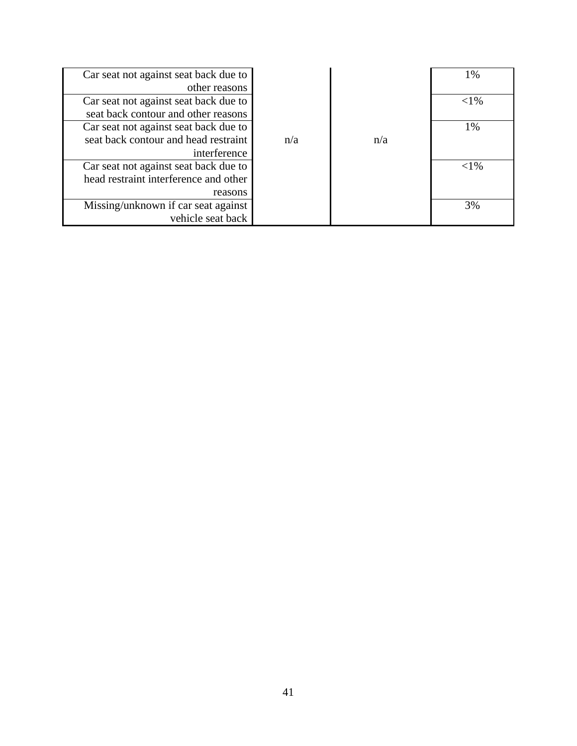| Car seat not against seat back due to |     |     | 1%       |
|---------------------------------------|-----|-----|----------|
| other reasons                         |     |     |          |
| Car seat not against seat back due to |     |     | $<$ 1%   |
| seat back contour and other reasons   |     |     |          |
| Car seat not against seat back due to |     |     | 1%       |
| seat back contour and head restraint  | n/a | n/a |          |
| interference                          |     |     |          |
| Car seat not against seat back due to |     |     | ${<}1\%$ |
| head restraint interference and other |     |     |          |
| reasons                               |     |     |          |
| Missing/unknown if car seat against   |     |     | 3%       |
| vehicle seat back                     |     |     |          |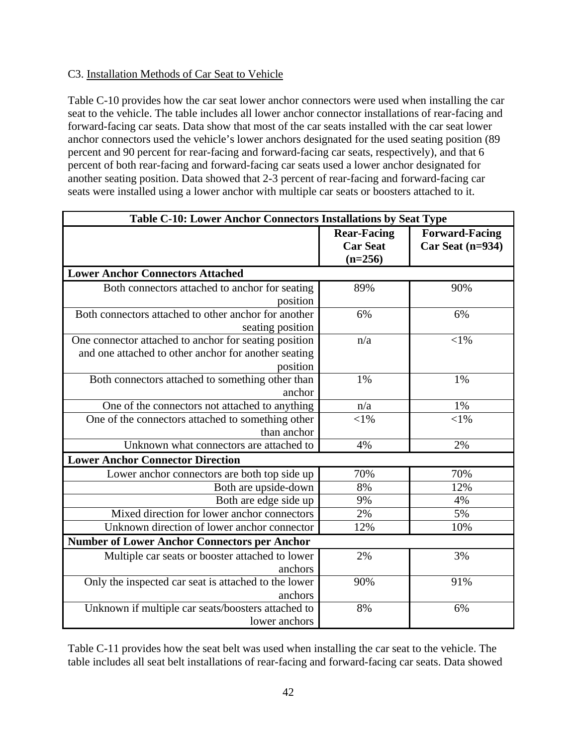## <span id="page-50-0"></span>C3. Installation Methods of Car Seat to Vehicle

Table C-10 provides how the car seat lower anchor connectors were used when installing the car seat to the vehicle. The table includes all lower anchor connector installations of rear-facing and forward-facing car seats. Data show that most of the car seats installed with the car seat lower anchor connectors used the vehicle's lower anchors designated for the used seating position (89 percent and 90 percent for rear-facing and forward-facing car seats, respectively), and that 6 percent of both rear-facing and forward-facing car seats used a lower anchor designated for another seating position. Data showed that 2-3 percent of rear-facing and forward-facing car seats were installed using a lower anchor with multiple car seats or boosters attached to it.

| Table C-10: Lower Anchor Connectors Installations by Seat Type |                    |                       |
|----------------------------------------------------------------|--------------------|-----------------------|
|                                                                | <b>Rear-Facing</b> | <b>Forward-Facing</b> |
|                                                                | <b>Car Seat</b>    | Car Seat $(n=934)$    |
|                                                                | $(n=256)$          |                       |
| <b>Lower Anchor Connectors Attached</b>                        |                    |                       |
| Both connectors attached to anchor for seating                 | 89%                | 90%                   |
| position                                                       |                    |                       |
| Both connectors attached to other anchor for another           | 6%                 | 6%                    |
| seating position                                               |                    |                       |
| One connector attached to anchor for seating position          | n/a                | $<$ 1%                |
| and one attached to other anchor for another seating           |                    |                       |
| position                                                       |                    |                       |
| Both connectors attached to something other than               | 1%                 | 1%                    |
| anchor                                                         |                    |                       |
| One of the connectors not attached to anything                 | n/a                | 1%                    |
| One of the connectors attached to something other              | $<$ 1%             | $<$ 1%                |
| than anchor                                                    |                    |                       |
| Unknown what connectors are attached to                        | 4%                 | 2%                    |
| <b>Lower Anchor Connector Direction</b>                        |                    |                       |
| Lower anchor connectors are both top side up                   | 70%                | 70%                   |
| Both are upside-down                                           | 8%                 | 12%                   |
| Both are edge side up                                          | 9%                 | 4%                    |
| Mixed direction for lower anchor connectors                    | 2%                 | 5%                    |
| Unknown direction of lower anchor connector                    | 12%                | 10%                   |
| <b>Number of Lower Anchor Connectors per Anchor</b>            |                    |                       |
| Multiple car seats or booster attached to lower                | 2%                 | 3%                    |
| anchors                                                        |                    |                       |
| Only the inspected car seat is attached to the lower           | 90%                | 91%                   |
| anchors                                                        |                    |                       |
| Unknown if multiple car seats/boosters attached to             | 8%                 | 6%                    |
| lower anchors                                                  |                    |                       |

Table C-11 provides how the seat belt was used when installing the car seat to the vehicle. The table includes all seat belt installations of rear-facing and forward-facing car seats. Data showed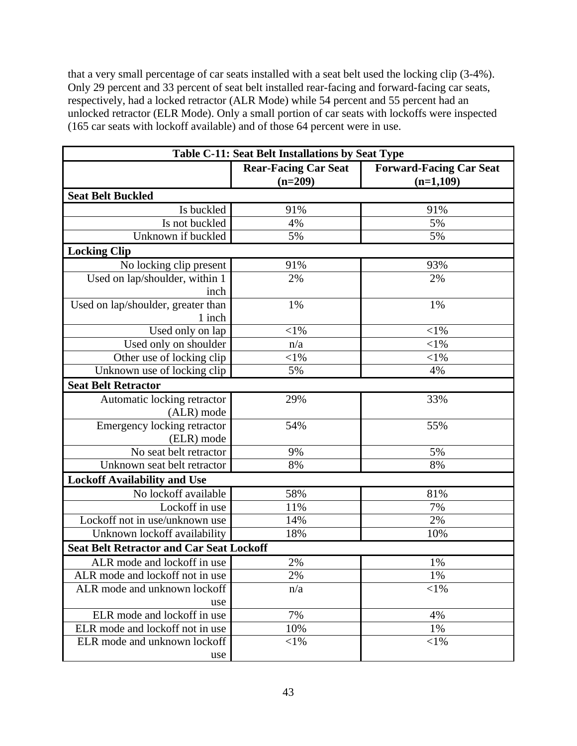that a very small percentage of car seats installed with a seat belt used the locking clip (3-4%). Only 29 percent and 33 percent of seat belt installed rear-facing and forward-facing car seats, respectively, had a locked retractor (ALR Mode) while 54 percent and 55 percent had an unlocked retractor (ELR Mode). Only a small portion of car seats with lockoffs were inspected (165 car seats with lockoff available) and of those 64 percent were in use.

| <b>Table C-11: Seat Belt Installations by Seat Type</b> |                                          |                                               |  |  |
|---------------------------------------------------------|------------------------------------------|-----------------------------------------------|--|--|
|                                                         | <b>Rear-Facing Car Seat</b><br>$(n=209)$ | <b>Forward-Facing Car Seat</b><br>$(n=1,109)$ |  |  |
| <b>Seat Belt Buckled</b>                                |                                          |                                               |  |  |
| Is buckled                                              | 91%                                      | 91%                                           |  |  |
| Is not buckled                                          | 4%                                       | 5%                                            |  |  |
| Unknown if buckled                                      | 5%                                       | 5%                                            |  |  |
| <b>Locking Clip</b>                                     |                                          |                                               |  |  |
| No locking clip present                                 | 91%                                      | 93%                                           |  |  |
| Used on lap/shoulder, within 1                          | 2%                                       | 2%                                            |  |  |
| inch                                                    |                                          |                                               |  |  |
| Used on lap/shoulder, greater than                      | 1%                                       | 1%                                            |  |  |
| 1 inch                                                  |                                          |                                               |  |  |
| Used only on lap                                        | $<$ 1%                                   | $< 1\%$                                       |  |  |
| Used only on shoulder                                   | n/a                                      | $< 1\%$                                       |  |  |
| Other use of locking clip                               | $<$ 1%                                   | $<$ 1%                                        |  |  |
| Unknown use of locking clip                             | 5%                                       | 4%                                            |  |  |
| <b>Seat Belt Retractor</b>                              |                                          |                                               |  |  |
| Automatic locking retractor                             | 29%                                      | 33%                                           |  |  |
| (ALR) mode                                              |                                          |                                               |  |  |
| Emergency locking retractor                             | 54%                                      | 55%                                           |  |  |
| (ELR) mode                                              |                                          |                                               |  |  |
| No seat belt retractor                                  | 9%                                       | 5%                                            |  |  |
| Unknown seat belt retractor                             | 8%                                       | 8%                                            |  |  |
| <b>Lockoff Availability and Use</b>                     |                                          |                                               |  |  |
| No lockoff available                                    | 58%                                      | 81%                                           |  |  |
| Lockoff in use                                          | 11%                                      | 7%                                            |  |  |
| Lockoff not in use/unknown use                          | 14%                                      | 2%                                            |  |  |
| Unknown lockoff availability                            | 18%                                      | 10%                                           |  |  |
| <b>Seat Belt Retractor and Car Seat Lockoff</b>         |                                          |                                               |  |  |
| ALR mode and lockoff in use                             | 2%                                       | 1%                                            |  |  |
| ALR mode and lockoff not in use                         | 2%                                       | 1%                                            |  |  |
| ALR mode and unknown lockoff                            | n/a                                      | $<$ 1%                                        |  |  |
| use                                                     |                                          |                                               |  |  |
| ELR mode and lockoff in use                             | 7%                                       | 4%                                            |  |  |
| ELR mode and lockoff not in use                         | 10%                                      | 1%                                            |  |  |
| ELR mode and unknown lockoff                            | $<$ l $%$                                | $<$ 1%                                        |  |  |
| use                                                     |                                          |                                               |  |  |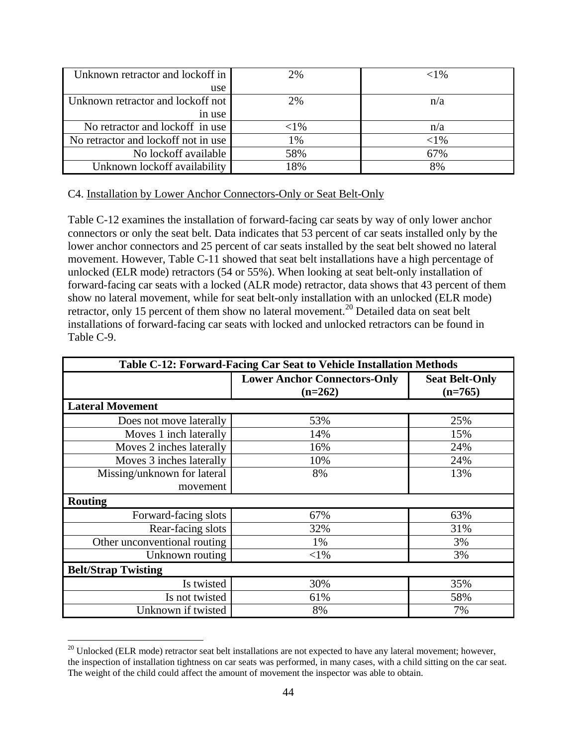| Unknown retractor and lockoff in    | 2%        | ${<}1\%$ |
|-------------------------------------|-----------|----------|
| use                                 |           |          |
| Unknown retractor and lockoff not   | 2%        | n/a      |
| in use                              |           |          |
| No retractor and lockoff in use     | $<$ l $%$ | n/a      |
| No retractor and lockoff not in use | 1%        | ${<}1\%$ |
| No lockoff available                | 58%       | 67%      |
| Unknown lockoff availability        | 18%       | 8%       |

#### <span id="page-52-0"></span>C4. Installation by Lower Anchor Connectors-Only or Seat Belt-Only

Table C-12 examines the installation of forward-facing car seats by way of only lower anchor connectors or only the seat belt. Data indicates that 53 percent of car seats installed only by the lower anchor connectors and 25 percent of car seats installed by the seat belt showed no lateral movement. However, Table C-11 showed that seat belt installations have a high percentage of unlocked (ELR mode) retractors (54 or 55%). When looking at seat belt-only installation of forward-facing car seats with a locked (ALR mode) retractor, data shows that 43 percent of them show no lateral movement, while for seat belt-only installation with an unlocked (ELR mode) retractor, only 15 percent of them show no lateral movement.<sup>[20](#page-52-1)</sup> Detailed data on seat belt installations of forward-facing car seats with locked and unlocked retractors can be found in Table C-9.

| Table C-12: Forward-Facing Car Seat to Vehicle Installation Methods |                                                  |                                    |  |  |
|---------------------------------------------------------------------|--------------------------------------------------|------------------------------------|--|--|
|                                                                     | <b>Lower Anchor Connectors-Only</b><br>$(n=262)$ | <b>Seat Belt-Only</b><br>$(n=765)$ |  |  |
| <b>Lateral Movement</b>                                             |                                                  |                                    |  |  |
| Does not move laterally                                             | 53%                                              | 25%                                |  |  |
| Moves 1 inch laterally                                              | 14%                                              | 15%                                |  |  |
| Moves 2 inches laterally                                            | 16%                                              | 24%                                |  |  |
| Moves 3 inches laterally                                            | 10%                                              | 24%                                |  |  |
| Missing/unknown for lateral                                         | 8%                                               | 13%                                |  |  |
| movement                                                            |                                                  |                                    |  |  |
| <b>Routing</b>                                                      |                                                  |                                    |  |  |
| Forward-facing slots                                                | 67%                                              | 63%                                |  |  |
| Rear-facing slots                                                   | 32%                                              | 31%                                |  |  |
| Other unconventional routing                                        | 1%                                               | 3%                                 |  |  |
| Unknown routing                                                     | $< 1\%$                                          | 3%                                 |  |  |
| <b>Belt/Strap Twisting</b>                                          |                                                  |                                    |  |  |
| Is twisted                                                          | 30%                                              | 35%                                |  |  |
| Is not twisted                                                      | 61%                                              | 58%                                |  |  |
| Unknown if twisted                                                  | 8%                                               | 7%                                 |  |  |

<span id="page-52-1"></span> $20$  Unlocked (ELR mode) retractor seat belt installations are not expected to have any lateral movement; however, the inspection of installation tightness on car seats was performed, in many cases, with a child sitting on the car seat. The weight of the child could affect the amount of movement the inspector was able to obtain.

 $\overline{a}$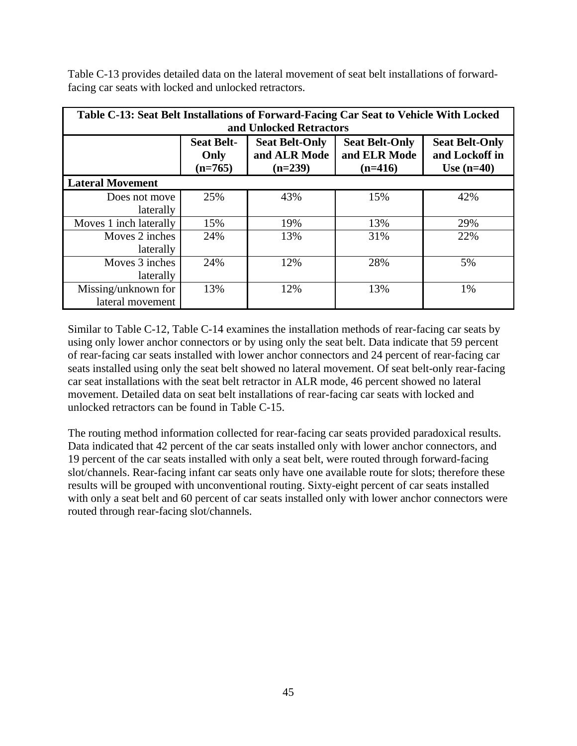| Table C-13: Seat Belt Installations of Forward-Facing Car Seat to Vehicle With Locked<br>and Unlocked Retractors |                                                                                                                                                                                                               |     |     |     |
|------------------------------------------------------------------------------------------------------------------|---------------------------------------------------------------------------------------------------------------------------------------------------------------------------------------------------------------|-----|-----|-----|
|                                                                                                                  | <b>Seat Belt-Only</b><br><b>Seat Belt-</b><br><b>Seat Belt-Only</b><br><b>Seat Belt-Only</b><br>and ELR Mode<br>and ALR Mode<br>and Lockoff in<br>Only<br>$(n=239)$<br>$(n=765)$<br>$(n=416)$<br>Use $(n=40)$ |     |     |     |
| <b>Lateral Movement</b>                                                                                          |                                                                                                                                                                                                               |     |     |     |
| Does not move<br>laterally                                                                                       | 25%                                                                                                                                                                                                           | 43% | 15% | 42% |
| Moves 1 inch laterally                                                                                           | 15%                                                                                                                                                                                                           | 19% | 13% | 29% |
| Moves 2 inches<br>laterally                                                                                      | 24%                                                                                                                                                                                                           | 13% | 31% | 22% |
| Moves 3 inches<br>laterally                                                                                      | 24%                                                                                                                                                                                                           | 12% | 28% | 5%  |
| Missing/unknown for<br>lateral movement                                                                          | 13%                                                                                                                                                                                                           | 12% | 13% | 1%  |

Table C-13 provides detailed data on the lateral movement of seat belt installations of forwardfacing car seats with locked and unlocked retractors.

Similar to Table C-12, Table C-14 examines the installation methods of rear-facing car seats by using only lower anchor connectors or by using only the seat belt. Data indicate that 59 percent of rear-facing car seats installed with lower anchor connectors and 24 percent of rear-facing car seats installed using only the seat belt showed no lateral movement. Of seat belt-only rear-facing car seat installations with the seat belt retractor in ALR mode, 46 percent showed no lateral movement. Detailed data on seat belt installations of rear-facing car seats with locked and unlocked retractors can be found in Table C-15.

The routing method information collected for rear-facing car seats provided paradoxical results. Data indicated that 42 percent of the car seats installed only with lower anchor connectors, and 19 percent of the car seats installed with only a seat belt, were routed through forward-facing slot/channels. Rear-facing infant car seats only have one available route for slots; therefore these results will be grouped with unconventional routing. Sixty-eight percent of car seats installed with only a seat belt and 60 percent of car seats installed only with lower anchor connectors were routed through rear-facing slot/channels.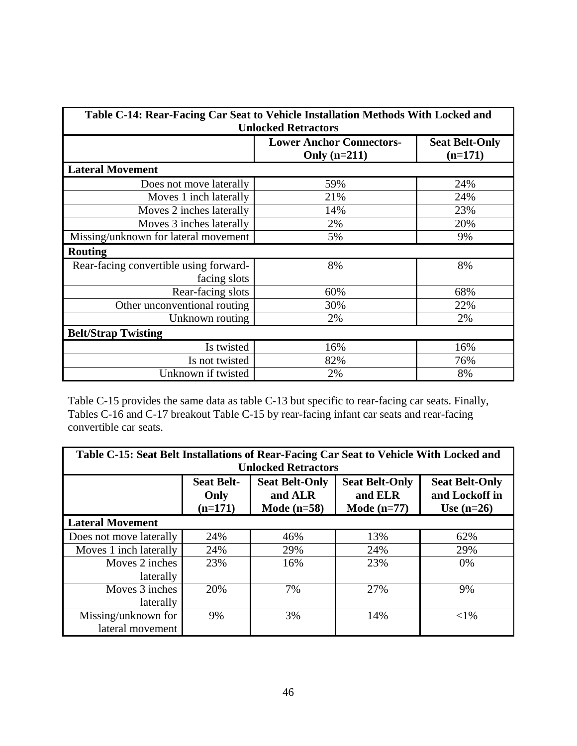| Table C-14: Rear-Facing Car Seat to Vehicle Installation Methods With Locked and<br><b>Unlocked Retractors</b> |                                                   |                                    |  |
|----------------------------------------------------------------------------------------------------------------|---------------------------------------------------|------------------------------------|--|
|                                                                                                                | <b>Lower Anchor Connectors-</b><br>Only $(n=211)$ | <b>Seat Belt-Only</b><br>$(n=171)$ |  |
| <b>Lateral Movement</b>                                                                                        |                                                   |                                    |  |
| Does not move laterally                                                                                        | 59%                                               | 24%                                |  |
| Moves 1 inch laterally                                                                                         | 21%                                               | 24%                                |  |
| Moves 2 inches laterally                                                                                       | 14%                                               | 23%                                |  |
| Moves 3 inches laterally                                                                                       | 2%                                                | 20%                                |  |
| Missing/unknown for lateral movement                                                                           | 5%                                                | 9%                                 |  |
| <b>Routing</b>                                                                                                 |                                                   |                                    |  |
| Rear-facing convertible using forward-<br>facing slots                                                         | 8%                                                | 8%                                 |  |
| Rear-facing slots                                                                                              | 60%                                               | 68%                                |  |
| Other unconventional routing                                                                                   | 30%                                               | 22%                                |  |
| Unknown routing                                                                                                | 2%                                                | 2%                                 |  |
| <b>Belt/Strap Twisting</b>                                                                                     |                                                   |                                    |  |
| Is twisted                                                                                                     | 16%                                               | 16%                                |  |
| Is not twisted                                                                                                 | 82%                                               | 76%                                |  |
| Unknown if twisted                                                                                             | 2%                                                | 8%                                 |  |

Table C-15 provides the same data as table C-13 but specific to rear-facing car seats. Finally, Tables C-16 and C-17 breakout Table C-15 by rear-facing infant car seats and rear-facing convertible car seats.

| Table C-15: Seat Belt Installations of Rear-Facing Car Seat to Vehicle With Locked and<br><b>Unlocked Retractors</b>                                                                                        |     |     |     |          |  |
|-------------------------------------------------------------------------------------------------------------------------------------------------------------------------------------------------------------|-----|-----|-----|----------|--|
| <b>Seat Belt-</b><br><b>Seat Belt-Only</b><br><b>Seat Belt-Only</b><br><b>Seat Belt-Only</b><br>and Lockoff in<br>and ALR<br>and ELR<br>Only<br>$(n=171)$<br>Mode $(n=58)$<br>Mode $(n=77)$<br>Use $(n=26)$ |     |     |     |          |  |
| <b>Lateral Movement</b>                                                                                                                                                                                     |     |     |     |          |  |
| Does not move laterally                                                                                                                                                                                     | 24% | 46% | 13% | 62%      |  |
| Moves 1 inch laterally                                                                                                                                                                                      | 24% | 29% | 24% | 29%      |  |
| Moves 2 inches                                                                                                                                                                                              | 23% | 16% | 23% | 0%       |  |
| laterally                                                                                                                                                                                                   |     |     |     |          |  |
| Moves 3 inches                                                                                                                                                                                              | 20% | 7%  | 27% | 9%       |  |
| laterally                                                                                                                                                                                                   |     |     |     |          |  |
| Missing/unknown for                                                                                                                                                                                         | 9%  | 3%  | 14% | ${<}1\%$ |  |
| lateral movement                                                                                                                                                                                            |     |     |     |          |  |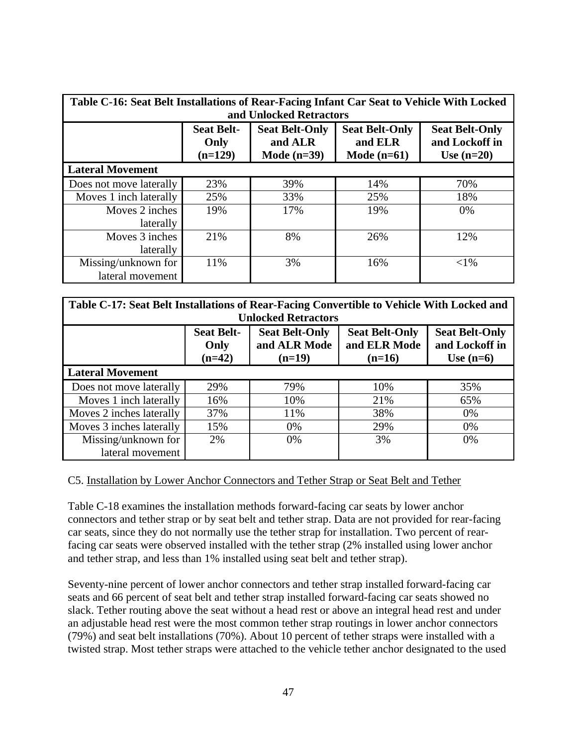| Table C-16: Seat Belt Installations of Rear-Facing Infant Car Seat to Vehicle With Locked<br>and Unlocked Retractors |                                        |                                                   |                                                   |                                                         |
|----------------------------------------------------------------------------------------------------------------------|----------------------------------------|---------------------------------------------------|---------------------------------------------------|---------------------------------------------------------|
|                                                                                                                      | <b>Seat Belt-</b><br>Only<br>$(n=129)$ | <b>Seat Belt-Only</b><br>and ALR<br>Mode $(n=39)$ | <b>Seat Belt-Only</b><br>and ELR<br>Mode $(n=61)$ | <b>Seat Belt-Only</b><br>and Lockoff in<br>Use $(n=20)$ |
| <b>Lateral Movement</b>                                                                                              |                                        |                                                   |                                                   |                                                         |
| Does not move laterally                                                                                              | 23%                                    | 39%                                               | 14%                                               | 70%                                                     |
| Moves 1 inch laterally                                                                                               | 25%                                    | 33%                                               | 25%                                               | 18%                                                     |
| Moves 2 inches                                                                                                       | 19%                                    | 17%                                               | 19%                                               | 0%                                                      |
| laterally                                                                                                            |                                        |                                                   |                                                   |                                                         |
| Moves 3 inches                                                                                                       | 21%                                    | 8%                                                | 26%                                               | 12%                                                     |
| laterally                                                                                                            |                                        |                                                   |                                                   |                                                         |
| Missing/unknown for                                                                                                  | 11%                                    | 3%                                                | 16%                                               | ${<}1\%$                                                |
| lateral movement                                                                                                     |                                        |                                                   |                                                   |                                                         |

| Table C-17: Seat Belt Installations of Rear-Facing Convertible to Vehicle With Locked and |                                                                                              |                            |              |                |  |  |
|-------------------------------------------------------------------------------------------|----------------------------------------------------------------------------------------------|----------------------------|--------------|----------------|--|--|
|                                                                                           |                                                                                              | <b>Unlocked Retractors</b> |              |                |  |  |
|                                                                                           | <b>Seat Belt-</b><br><b>Seat Belt-Only</b><br><b>Seat Belt-Only</b><br><b>Seat Belt-Only</b> |                            |              |                |  |  |
|                                                                                           | Only                                                                                         | and ALR Mode               | and ELR Mode | and Lockoff in |  |  |
|                                                                                           | $(n=42)$                                                                                     | $(n=19)$                   | $(n=16)$     | Use $(n=6)$    |  |  |
| <b>Lateral Movement</b>                                                                   |                                                                                              |                            |              |                |  |  |
| Does not move laterally                                                                   | 29%                                                                                          | 79%                        | 10%          | 35%            |  |  |
| Moves 1 inch laterally                                                                    | 16%                                                                                          | 10%                        | 21%          | 65%            |  |  |
| Moves 2 inches laterally                                                                  | 37%                                                                                          | 11%                        | 38%          | 0%             |  |  |
| Moves 3 inches laterally                                                                  | 15%                                                                                          | 0%                         | 29%          | 0%             |  |  |
| Missing/unknown for                                                                       | 2%                                                                                           | 0%                         | 3%           | 0%             |  |  |
| lateral movement                                                                          |                                                                                              |                            |              |                |  |  |

#### <span id="page-55-0"></span>C5. Installation by Lower Anchor Connectors and Tether Strap or Seat Belt and Tether

Table C-18 examines the installation methods forward-facing car seats by lower anchor connectors and tether strap or by seat belt and tether strap. Data are not provided for rear-facing car seats, since they do not normally use the tether strap for installation. Two percent of rearfacing car seats were observed installed with the tether strap (2% installed using lower anchor and tether strap, and less than 1% installed using seat belt and tether strap).

Seventy-nine percent of lower anchor connectors and tether strap installed forward-facing car seats and 66 percent of seat belt and tether strap installed forward-facing car seats showed no slack. Tether routing above the seat without a head rest or above an integral head rest and under an adjustable head rest were the most common tether strap routings in lower anchor connectors (79%) and seat belt installations (70%). About 10 percent of tether straps were installed with a twisted strap. Most tether straps were attached to the vehicle tether anchor designated to the used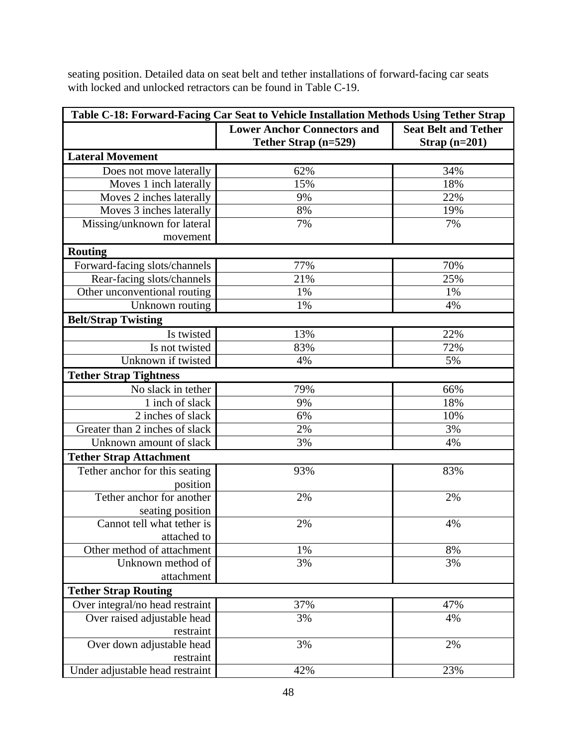seating position. Detailed data on seat belt and tether installations of forward-facing car seats with locked and unlocked retractors can be found in Table C-19.

| Table C-18: Forward-Facing Car Seat to Vehicle Installation Methods Using Tether Strap |                                    |                             |  |
|----------------------------------------------------------------------------------------|------------------------------------|-----------------------------|--|
|                                                                                        | <b>Lower Anchor Connectors and</b> | <b>Seat Belt and Tether</b> |  |
|                                                                                        | Tether Strap (n=529)               | Strap $(n=201)$             |  |
| <b>Lateral Movement</b>                                                                |                                    |                             |  |
| Does not move laterally                                                                | 62%                                | 34%                         |  |
| Moves 1 inch laterally                                                                 | 15%                                | 18%                         |  |
| Moves 2 inches laterally                                                               | 9%                                 | 22%                         |  |
| Moves 3 inches laterally                                                               | 8%                                 | 19%                         |  |
| Missing/unknown for lateral                                                            | 7%                                 | 7%                          |  |
| movement                                                                               |                                    |                             |  |
| <b>Routing</b>                                                                         |                                    |                             |  |
| Forward-facing slots/channels                                                          | 77%                                | 70%                         |  |
| Rear-facing slots/channels                                                             | 21%                                | 25%                         |  |
| Other unconventional routing                                                           | 1%                                 | 1%                          |  |
| Unknown routing                                                                        | 1%                                 | 4%                          |  |
| <b>Belt/Strap Twisting</b>                                                             |                                    |                             |  |
| Is twisted                                                                             | 13%                                | 22%                         |  |
| Is not twisted                                                                         | 83%                                | 72%                         |  |
| Unknown if twisted                                                                     | 4%                                 | 5%                          |  |
| <b>Tether Strap Tightness</b>                                                          |                                    |                             |  |
| No slack in tether                                                                     | 79%                                | 66%                         |  |
| 1 inch of slack                                                                        | 9%                                 | 18%                         |  |
| 2 inches of slack                                                                      | 6%                                 | 10%                         |  |
| Greater than 2 inches of slack                                                         | 2%                                 | 3%                          |  |
| Unknown amount of slack                                                                | 3%                                 | 4%                          |  |
| <b>Tether Strap Attachment</b>                                                         |                                    |                             |  |
| Tether anchor for this seating                                                         | 93%                                | 83%                         |  |
| position                                                                               |                                    |                             |  |
| Tether anchor for another                                                              | 2%                                 | 2%                          |  |
| seating position                                                                       |                                    |                             |  |
| Cannot tell what tether is                                                             | 2%                                 | 4%                          |  |
| attached to                                                                            |                                    |                             |  |
| Other method of attachment                                                             | 1%                                 | 8%                          |  |
| Unknown method of                                                                      | 3%                                 | 3%                          |  |
| attachment                                                                             |                                    |                             |  |
| <b>Tether Strap Routing</b>                                                            |                                    |                             |  |
| Over integral/no head restraint                                                        | 37%                                | 47%                         |  |
| Over raised adjustable head                                                            | 3%                                 | 4%                          |  |
| restraint                                                                              |                                    |                             |  |
| Over down adjustable head                                                              | 3%                                 | 2%                          |  |
| restraint                                                                              |                                    |                             |  |
| Under adjustable head restraint                                                        | 42%                                | 23%                         |  |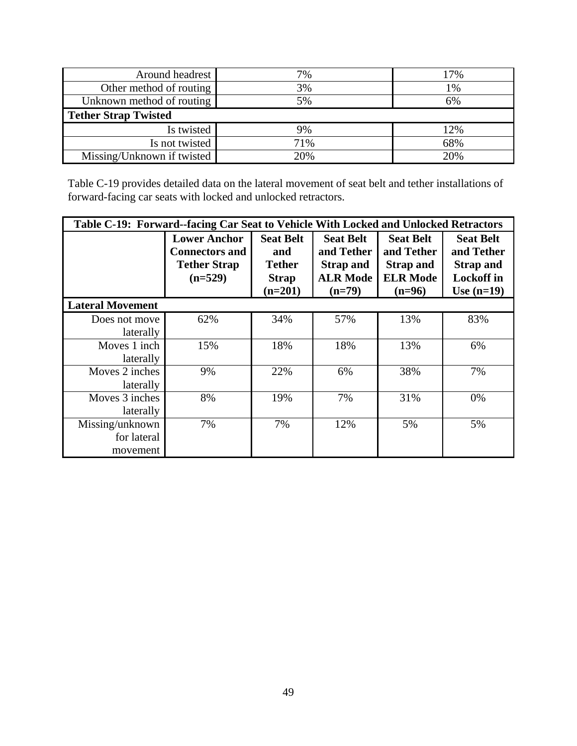| Around headrest             | 7%  | 17% |
|-----------------------------|-----|-----|
| Other method of routing     | 3%  | 1%  |
| Unknown method of routing   | 5%  | 6%  |
| <b>Tether Strap Twisted</b> |     |     |
| Is twisted                  | 9%  | 12% |
| Is not twisted              | 71% | 68% |
| Missing/Unknown if twisted  | 20% | 20% |

Table C-19 provides detailed data on the lateral movement of seat belt and tether installations of forward-facing car seats with locked and unlocked retractors.

| Table C-19: Forward--facing Car Seat to Vehicle With Locked and Unlocked Retractors |                                                                                  |                                                                       |                                                                                   |                                                                                   |                                                                                         |
|-------------------------------------------------------------------------------------|----------------------------------------------------------------------------------|-----------------------------------------------------------------------|-----------------------------------------------------------------------------------|-----------------------------------------------------------------------------------|-----------------------------------------------------------------------------------------|
| <b>Lateral Movement</b>                                                             | <b>Lower Anchor</b><br><b>Connectors and</b><br><b>Tether Strap</b><br>$(n=529)$ | <b>Seat Belt</b><br>and<br><b>Tether</b><br><b>Strap</b><br>$(n=201)$ | <b>Seat Belt</b><br>and Tether<br><b>Strap and</b><br><b>ALR Mode</b><br>$(n=79)$ | <b>Seat Belt</b><br>and Tether<br><b>Strap and</b><br><b>ELR Mode</b><br>$(n=96)$ | <b>Seat Belt</b><br>and Tether<br><b>Strap and</b><br><b>Lockoff</b> in<br>Use $(n=19)$ |
|                                                                                     |                                                                                  |                                                                       |                                                                                   |                                                                                   |                                                                                         |
| Does not move<br>laterally                                                          | 62%                                                                              | 34%                                                                   | 57%                                                                               | 13%                                                                               | 83%                                                                                     |
| Moves 1 inch<br>laterally                                                           | 15%                                                                              | 18%                                                                   | 18%                                                                               | 13%                                                                               | 6%                                                                                      |
| Moves 2 inches<br>laterally                                                         | 9%                                                                               | 22%                                                                   | 6%                                                                                | 38%                                                                               | 7%                                                                                      |
| Moves 3 inches<br>laterally                                                         | 8%                                                                               | 19%                                                                   | 7%                                                                                | 31%                                                                               | 0%                                                                                      |
| Missing/unknown<br>for lateral<br>movement                                          | 7%                                                                               | 7%                                                                    | 12%                                                                               | 5%                                                                                | 5%                                                                                      |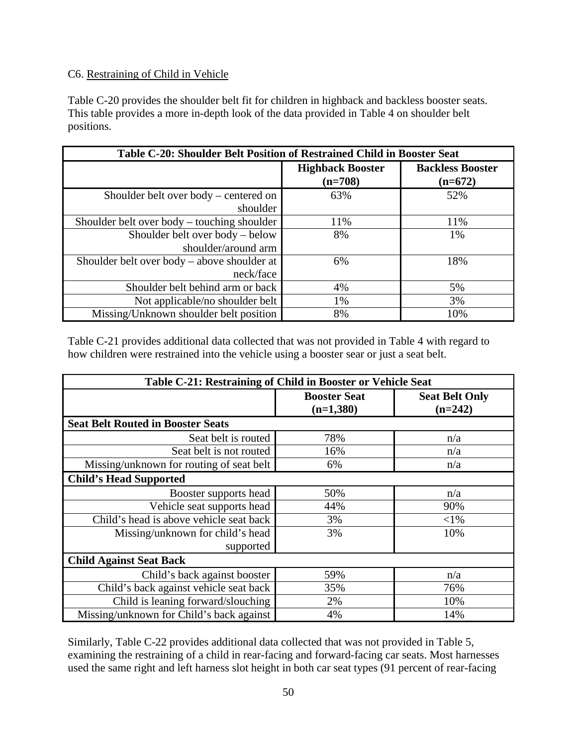# <span id="page-58-0"></span>C6. Restraining of Child in Vehicle

Table C-20 provides the shoulder belt fit for children in highback and backless booster seats. This table provides a more in-depth look of the data provided in Table 4 on shoulder belt positions.

| Table C-20: Shoulder Belt Position of Restrained Child in Booster Seat |                                      |                                      |
|------------------------------------------------------------------------|--------------------------------------|--------------------------------------|
|                                                                        | <b>Highback Booster</b><br>$(n=708)$ | <b>Backless Booster</b><br>$(n=672)$ |
| Shoulder belt over body – centered on<br>shoulder                      | 63%                                  | 52%                                  |
| Shoulder belt over body – touching shoulder                            | 11%                                  | 11%                                  |
| Shoulder belt over body – below<br>shoulder/around arm                 | 8%                                   | 1%                                   |
| Shoulder belt over body – above shoulder at<br>neck/face               | 6%                                   | 18%                                  |
| Shoulder belt behind arm or back                                       | 4%                                   | 5%                                   |
| Not applicable/no shoulder belt                                        | 1%                                   | 3%                                   |
| Missing/Unknown shoulder belt position                                 | 8%                                   | 10%                                  |

Table C-21 provides additional data collected that was not provided in Table 4 with regard to how children were restrained into the vehicle using a booster sear or just a seat belt.

| Table C-21: Restraining of Child in Booster or Vehicle Seat |                                    |                                    |  |
|-------------------------------------------------------------|------------------------------------|------------------------------------|--|
|                                                             | <b>Booster Seat</b><br>$(n=1,380)$ | <b>Seat Belt Only</b><br>$(n=242)$ |  |
| <b>Seat Belt Routed in Booster Seats</b>                    |                                    |                                    |  |
| Seat belt is routed                                         | 78%                                | n/a                                |  |
| Seat belt is not routed                                     | 16%                                | n/a                                |  |
| Missing/unknown for routing of seat belt                    | 6%                                 | n/a                                |  |
| <b>Child's Head Supported</b>                               |                                    |                                    |  |
| Booster supports head                                       | 50%                                | n/a                                |  |
| Vehicle seat supports head                                  | 44%                                | 90%                                |  |
| Child's head is above vehicle seat back                     | 3%                                 | $<$ 1%                             |  |
| Missing/unknown for child's head                            | 3%                                 | 10%                                |  |
| supported                                                   |                                    |                                    |  |
| <b>Child Against Seat Back</b>                              |                                    |                                    |  |
| Child's back against booster                                | 59%                                | n/a                                |  |
| Child's back against vehicle seat back                      | 35%                                | 76%                                |  |
| Child is leaning forward/slouching                          | 2%                                 | 10%                                |  |
| Missing/unknown for Child's back against                    | 4%                                 | 14%                                |  |

Similarly, Table C-22 provides additional data collected that was not provided in Table 5, examining the restraining of a child in rear-facing and forward-facing car seats. Most harnesses used the same right and left harness slot height in both car seat types (91 percent of rear-facing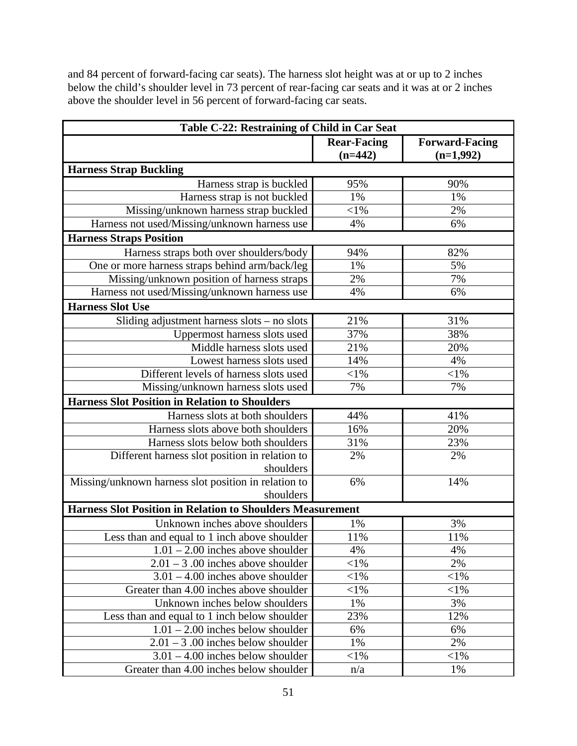and 84 percent of forward-facing car seats). The harness slot height was at or up to 2 inches below the child's shoulder level in 73 percent of rear-facing car seats and it was at or 2 inches above the shoulder level in 56 percent of forward-facing car seats.

| Table C-22: Restraining of Child in Car Seat                      |                                 |                                      |  |  |
|-------------------------------------------------------------------|---------------------------------|--------------------------------------|--|--|
|                                                                   | <b>Rear-Facing</b><br>$(n=442)$ | <b>Forward-Facing</b><br>$(n=1,992)$ |  |  |
| <b>Harness Strap Buckling</b>                                     |                                 |                                      |  |  |
| Harness strap is buckled                                          | 95%                             | 90%                                  |  |  |
| Harness strap is not buckled                                      | 1%                              | 1%                                   |  |  |
| Missing/unknown harness strap buckled                             | $<$ 1%                          | 2%                                   |  |  |
| Harness not used/Missing/unknown harness use                      | 4%                              | 6%                                   |  |  |
| <b>Harness Straps Position</b>                                    |                                 |                                      |  |  |
| Harness straps both over shoulders/body                           | 94%                             | 82%                                  |  |  |
| One or more harness straps behind arm/back/leg                    | 1%                              | 5%                                   |  |  |
| Missing/unknown position of harness straps                        | 2%                              | 7%                                   |  |  |
| Harness not used/Missing/unknown harness use                      | 4%                              | 6%                                   |  |  |
| <b>Harness Slot Use</b>                                           |                                 |                                      |  |  |
| Sliding adjustment harness slots – no slots                       | 21%                             | 31%                                  |  |  |
| Uppermost harness slots used                                      | 37%                             | 38%                                  |  |  |
| Middle harness slots used                                         | 21%                             | 20%                                  |  |  |
| Lowest harness slots used                                         | 14%                             | 4%                                   |  |  |
| Different levels of harness slots used                            | $<$ 1%                          | $<$ l $%$                            |  |  |
| Missing/unknown harness slots used                                | 7%                              | 7%                                   |  |  |
| <b>Harness Slot Position in Relation to Shoulders</b>             |                                 |                                      |  |  |
| Harness slots at both shoulders                                   | 44%                             | 41%                                  |  |  |
| Harness slots above both shoulders                                | 16%                             | 20%                                  |  |  |
| Harness slots below both shoulders                                | 31%                             | 23%                                  |  |  |
| Different harness slot position in relation to                    | 2%                              | 2%                                   |  |  |
| shoulders                                                         |                                 |                                      |  |  |
| Missing/unknown harness slot position in relation to              | 6%                              | 14%                                  |  |  |
| shoulders                                                         |                                 |                                      |  |  |
| <b>Harness Slot Position in Relation to Shoulders Measurement</b> |                                 |                                      |  |  |
| Unknown inches above shoulders                                    | 1%                              | 3%                                   |  |  |
| Less than and equal to 1 inch above shoulder                      | 11%                             | 11%                                  |  |  |
| $1.01 - 2.00$ inches above shoulder                               | 4%                              | 4%                                   |  |  |
| $2.01 - 3.00$ inches above shoulder                               | ${<}1\%$                        | 2%                                   |  |  |
| $3.01 - 4.00$ inches above shoulder                               | $<$ 1%                          | $<$ 1%                               |  |  |
| Greater than 4.00 inches above shoulder                           | ${<}1\%$                        | $<$ 1%                               |  |  |
| Unknown inches below shoulders                                    | 1%                              | 3%                                   |  |  |
| Less than and equal to 1 inch below shoulder                      | 23%                             | 12%                                  |  |  |
| $1.01 - 2.00$ inches below shoulder                               | 6%                              | 6%                                   |  |  |
| $2.01 - 3.00$ inches below shoulder                               | 1%                              | 2%                                   |  |  |
| $3.01 - 4.00$ inches below shoulder                               | ${<}1\%$                        | $<$ 1%                               |  |  |
| Greater than 4.00 inches below shoulder                           | n/a                             | 1%                                   |  |  |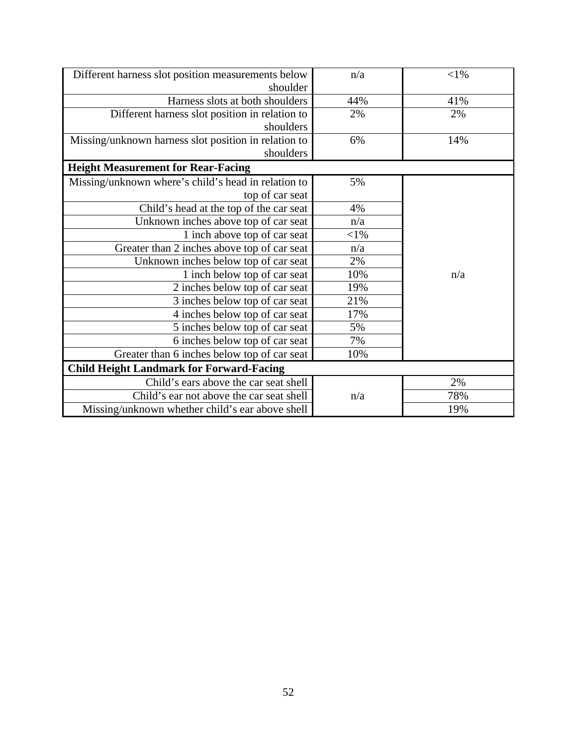| Different harness slot position measurements below<br>shoulder | n/a      | $<$ 1% |
|----------------------------------------------------------------|----------|--------|
| Harness slots at both shoulders                                | 44%      | 41%    |
| Different harness slot position in relation to                 | 2%       | 2%     |
| shoulders                                                      |          |        |
| Missing/unknown harness slot position in relation to           | 6%       | 14%    |
| shoulders                                                      |          |        |
| <b>Height Measurement for Rear-Facing</b>                      |          |        |
| Missing/unknown where's child's head in relation to            | 5%       |        |
| top of car seat                                                |          |        |
| Child's head at the top of the car seat                        | 4%       |        |
| Unknown inches above top of car seat                           | n/a      |        |
| 1 inch above top of car seat                                   | ${<}1\%$ |        |
| Greater than 2 inches above top of car seat                    | n/a      |        |
| Unknown inches below top of car seat                           | 2%       |        |
| 1 inch below top of car seat                                   | 10%      | n/a    |
| 2 inches below top of car seat                                 | 19%      |        |
| 3 inches below top of car seat                                 | 21%      |        |
| 4 inches below top of car seat                                 | 17%      |        |
| 5 inches below top of car seat                                 | 5%       |        |
| 6 inches below top of car seat                                 | 7%       |        |
| Greater than 6 inches below top of car seat                    | 10%      |        |
| <b>Child Height Landmark for Forward-Facing</b>                |          |        |
| Child's ears above the car seat shell                          |          | 2%     |
| Child's ear not above the car seat shell                       | n/a      | 78%    |
| Missing/unknown whether child's ear above shell                |          | 19%    |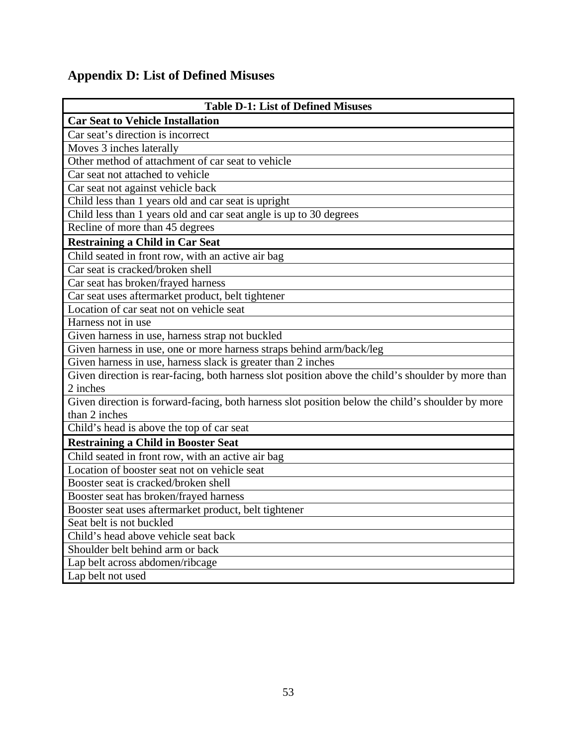# <span id="page-61-0"></span>**Appendix D: List of Defined Misuses**

| <b>Table D-1: List of Defined Misuses</b>                                                          |  |  |  |  |
|----------------------------------------------------------------------------------------------------|--|--|--|--|
| <b>Car Seat to Vehicle Installation</b>                                                            |  |  |  |  |
| Car seat's direction is incorrect                                                                  |  |  |  |  |
| Moves 3 inches laterally                                                                           |  |  |  |  |
| Other method of attachment of car seat to vehicle                                                  |  |  |  |  |
| Car seat not attached to vehicle                                                                   |  |  |  |  |
| Car seat not against vehicle back                                                                  |  |  |  |  |
| Child less than 1 years old and car seat is upright                                                |  |  |  |  |
| Child less than 1 years old and car seat angle is up to 30 degrees                                 |  |  |  |  |
| Recline of more than 45 degrees                                                                    |  |  |  |  |
| <b>Restraining a Child in Car Seat</b>                                                             |  |  |  |  |
| Child seated in front row, with an active air bag                                                  |  |  |  |  |
| Car seat is cracked/broken shell                                                                   |  |  |  |  |
| Car seat has broken/frayed harness                                                                 |  |  |  |  |
| Car seat uses aftermarket product, belt tightener                                                  |  |  |  |  |
| Location of car seat not on vehicle seat                                                           |  |  |  |  |
| Harness not in use                                                                                 |  |  |  |  |
| Given harness in use, harness strap not buckled                                                    |  |  |  |  |
| Given harness in use, one or more harness straps behind arm/back/leg                               |  |  |  |  |
| Given harness in use, harness slack is greater than 2 inches                                       |  |  |  |  |
| Given direction is rear-facing, both harness slot position above the child's shoulder by more than |  |  |  |  |
| 2 inches                                                                                           |  |  |  |  |
| Given direction is forward-facing, both harness slot position below the child's shoulder by more   |  |  |  |  |
| than 2 inches                                                                                      |  |  |  |  |
| Child's head is above the top of car seat                                                          |  |  |  |  |
| <b>Restraining a Child in Booster Seat</b>                                                         |  |  |  |  |
| Child seated in front row, with an active air bag                                                  |  |  |  |  |
| Location of booster seat not on vehicle seat                                                       |  |  |  |  |
| Booster seat is cracked/broken shell                                                               |  |  |  |  |
| Booster seat has broken/frayed harness                                                             |  |  |  |  |
| Booster seat uses aftermarket product, belt tightener                                              |  |  |  |  |
| Seat belt is not buckled                                                                           |  |  |  |  |
| Child's head above vehicle seat back                                                               |  |  |  |  |
| Shoulder belt behind arm or back                                                                   |  |  |  |  |
| Lap belt across abdomen/ribcage                                                                    |  |  |  |  |
| Lap belt not used                                                                                  |  |  |  |  |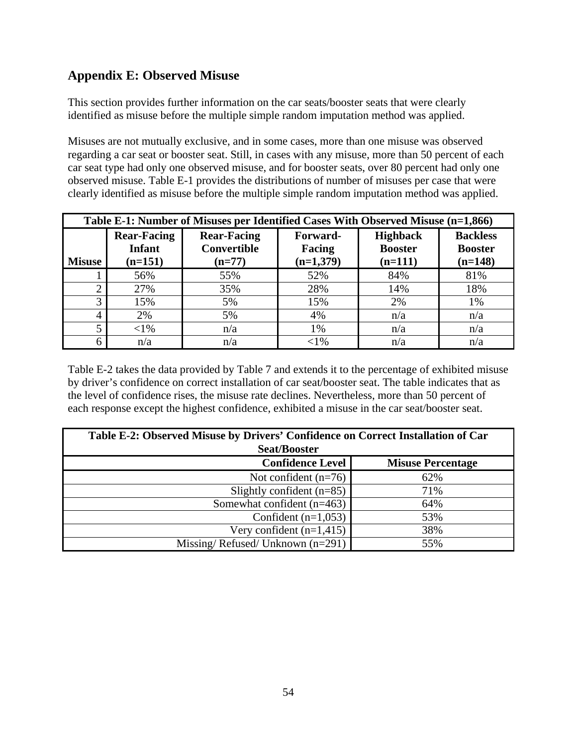# <span id="page-62-0"></span>**Appendix E: Observed Misuse**

This section provides further information on the car seats/booster seats that were clearly identified as misuse before the multiple simple random imputation method was applied.

Misuses are not mutually exclusive, and in some cases, more than one misuse was observed regarding a car seat or booster seat. Still, in cases with any misuse, more than 50 percent of each car seat type had only one observed misuse, and for booster seats, over 80 percent had only one observed misuse. Table E-1 provides the distributions of number of misuses per case that were clearly identified as misuse before the multiple simple random imputation method was applied.

|               | Table E-1: Number of Misuses per Identified Cases With Observed Misuse (n=1,866) |                                                      |                                   |                                                |                                                |  |
|---------------|----------------------------------------------------------------------------------|------------------------------------------------------|-----------------------------------|------------------------------------------------|------------------------------------------------|--|
| <b>Misuse</b> | <b>Rear-Facing</b><br><b>Infant</b><br>$(n=151)$                                 | <b>Rear-Facing</b><br><b>Convertible</b><br>$(n=77)$ | Forward-<br>Facing<br>$(n=1,379)$ | <b>Highback</b><br><b>Booster</b><br>$(n=111)$ | <b>Backless</b><br><b>Booster</b><br>$(n=148)$ |  |
|               | 56%                                                                              | 55%                                                  | 52%                               | 84%                                            | 81%                                            |  |
|               | 27%                                                                              | 35%                                                  | 28%                               | 14%                                            | 18%                                            |  |
| 3             | 15%                                                                              | 5%                                                   | 15%                               | 2%                                             | 1%                                             |  |
| 4             | 2%                                                                               | 5%                                                   | 4%                                | n/a                                            | n/a                                            |  |
| 5             | ${<}1\%$                                                                         | n/a                                                  | 1%                                | n/a                                            | n/a                                            |  |
| 6             | n/a                                                                              | n/a                                                  | $< 1\%$                           | n/a                                            | n/a                                            |  |

Table E-2 takes the data provided by Table 7 and extends it to the percentage of exhibited misuse by driver's confidence on correct installation of car seat/booster seat. The table indicates that as the level of confidence rises, the misuse rate declines. Nevertheless, more than 50 percent of each response except the highest confidence, exhibited a misuse in the car seat/booster seat.

| Table E-2: Observed Misuse by Drivers' Confidence on Correct Installation of Car<br><b>Seat/Booster</b> |                          |  |  |
|---------------------------------------------------------------------------------------------------------|--------------------------|--|--|
| <b>Confidence Level</b>                                                                                 | <b>Misuse Percentage</b> |  |  |
| Not confident $(n=76)$                                                                                  | 62%                      |  |  |
| Slightly confident $(n=85)$                                                                             | 71%                      |  |  |
| Somewhat confident $(n=463)$                                                                            | 64%                      |  |  |
| Confident $(n=1,053)$                                                                                   | 53%                      |  |  |
| Very confident $(n=1,415)$                                                                              | 38%                      |  |  |
| Missing/Refused/Unknown $(n=291)$                                                                       | 55%                      |  |  |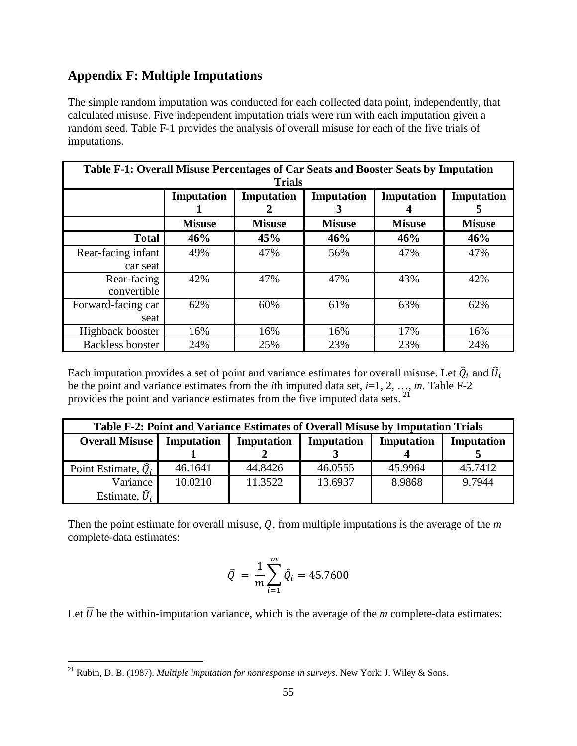# <span id="page-63-0"></span>**Appendix F: Multiple Imputations**

The simple random imputation was conducted for each collected data point, independently, that calculated misuse. Five independent imputation trials were run with each imputation given a random seed. Table F-1 provides the analysis of overall misuse for each of the five trials of imputations.

| Table F-1: Overall Misuse Percentages of Car Seats and Booster Seats by Imputation |               |               |               |               |               |  |
|------------------------------------------------------------------------------------|---------------|---------------|---------------|---------------|---------------|--|
| <b>Trials</b>                                                                      |               |               |               |               |               |  |
|                                                                                    | Imputation    | Imputation    | Imputation    | Imputation    | Imputation    |  |
|                                                                                    |               |               | 3             |               | 5             |  |
|                                                                                    | <b>Misuse</b> | <b>Misuse</b> | <b>Misuse</b> | <b>Misuse</b> | <b>Misuse</b> |  |
| <b>Total</b>                                                                       | 46%           | 45%           | 46%           | 46%           | 46%           |  |
| Rear-facing infant                                                                 | 49%           | 47%           | 56%           | 47%           | 47%           |  |
| car seat                                                                           |               |               |               |               |               |  |
| Rear-facing                                                                        | 42%           | 47%           | 47%           | 43%           | 42%           |  |
| convertible                                                                        |               |               |               |               |               |  |
| Forward-facing car                                                                 | 62%           | 60%           | 61%           | 63%           | 62%           |  |
| seat                                                                               |               |               |               |               |               |  |
| Highback booster                                                                   | 16%           | 16%           | 16%           | 17%           | 16%           |  |
| <b>Backless booster</b>                                                            | 24%           | 25%           | 23%           | 23%           | 24%           |  |

Each imputation provides a set of point and variance estimates for overall misuse. Let  $\hat{Q}_i$  and  $\hat{U}_i$ be the point and variance estimates from the *i*th imputed data set,  $i=1, 2, ..., m$ . Table F-2 provides the point and variance estimates from the five imputed data sets. [21](#page-63-1) 

| Table F-2: Point and Variance Estimates of Overall Misuse by Imputation Trials |            |            |            |            |            |  |
|--------------------------------------------------------------------------------|------------|------------|------------|------------|------------|--|
| <b>Overall Misuse</b>                                                          | Imputation | Imputation | Imputation | Imputation | Imputation |  |
|                                                                                |            |            |            |            |            |  |
| Point Estimate, $\hat{Q}_i$                                                    | 46.1641    | 44.8426    | 46.0555    | 45.9964    | 45.7412    |  |
| Variance                                                                       | 10.0210    | 11.3522    | 13.6937    | 8.9868     | 9.7944     |  |
| Estimate, $\widehat{U}_i$                                                      |            |            |            |            |            |  |

Then the point estimate for overall misuse,  $Q$ , from multiple imputations is the average of the  $m$ complete-data estimates:

$$
\bar{Q} = \frac{1}{m} \sum_{i=1}^{m} \hat{Q}_i = 45.7600
$$

Let  $\overline{U}$  be the within-imputation variance, which is the average of the *m* complete-data estimates:

<span id="page-63-1"></span> $\overline{a}$ 21 Rubin, D. B. (1987). *Multiple imputation for nonresponse in surveys*. New York: J. Wiley & Sons.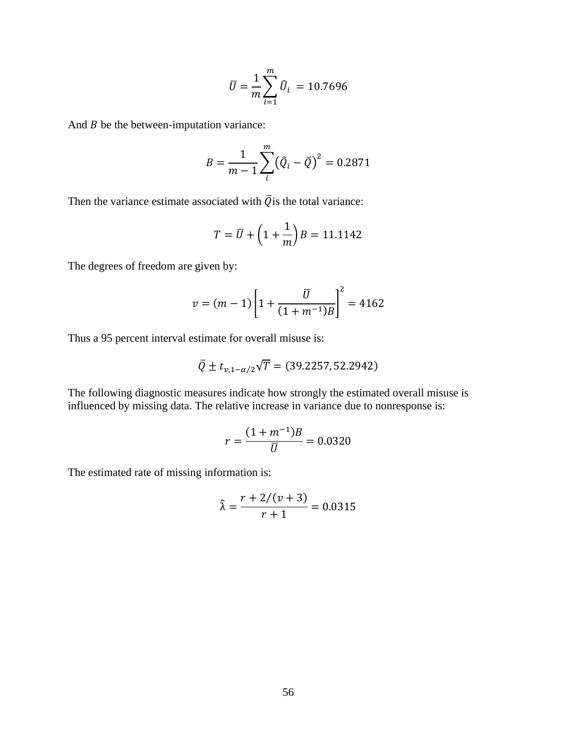$$
\bar{U} = \frac{1}{m} \sum_{i=1}^{m} \bar{U}_i = 10.7696
$$

And  $B$  be the between-imputation variance:

$$
B = \frac{1}{m-1} \sum_{i}^{m} (\hat{Q}_i - \bar{Q})^2 = 0.2871
$$

Then the variance estimate associated with  $\overline{Q}$  is the total variance:

$$
T = \overline{U} + \left(1 + \frac{1}{m}\right)B = 11.1142
$$

The degrees of freedom are given by:

$$
v = (m-1)\left[1 + \frac{\overline{U}}{(1+m^{-1})B}\right]^2 = 4162
$$

Thus a 95 percent interval estimate for overall misuse is:

$$
\overline{Q} \pm t_{\nu,1-\alpha/2} \sqrt{T} = (39.2257, 52.2942)
$$

The following diagnostic measures indicate how strongly the estimated overall misuse is influenced by missing data. The relative increase in variance due to nonresponse is:

$$
r = \frac{(1 + m^{-1})B}{\overline{U}} = 0.0320
$$

The estimated rate of missing information is:

$$
\hat{\lambda} = \frac{r + 2/(v + 3)}{r + 1} = 0.0315
$$